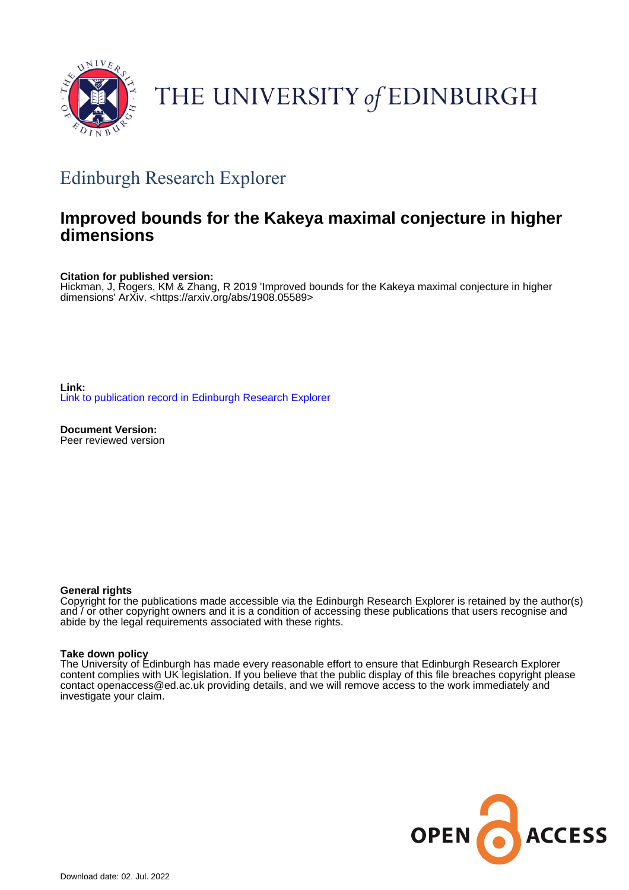

# THE UNIVERSITY of EDINBURGH

# Edinburgh Research Explorer

# **Improved bounds for the Kakeya maximal conjecture in higher dimensions**

**Citation for published version:**

Hickman, J, Rogers, KM & Zhang, R 2019 'Improved bounds for the Kakeya maximal conjecture in higher dimensions' ArXiv. <<https://arxiv.org/abs/1908.05589>>

**Link:** [Link to publication record in Edinburgh Research Explorer](https://www.research.ed.ac.uk/en/publications/b4d08b86-6aae-4a72-a573-fc5eea410ef9)

**Document Version:** Peer reviewed version

# **General rights**

Copyright for the publications made accessible via the Edinburgh Research Explorer is retained by the author(s) and / or other copyright owners and it is a condition of accessing these publications that users recognise and abide by the legal requirements associated with these rights.

# **Take down policy**

The University of Edinburgh has made every reasonable effort to ensure that Edinburgh Research Explorer content complies with UK legislation. If you believe that the public display of this file breaches copyright please contact openaccess@ed.ac.uk providing details, and we will remove access to the work immediately and investigate your claim.

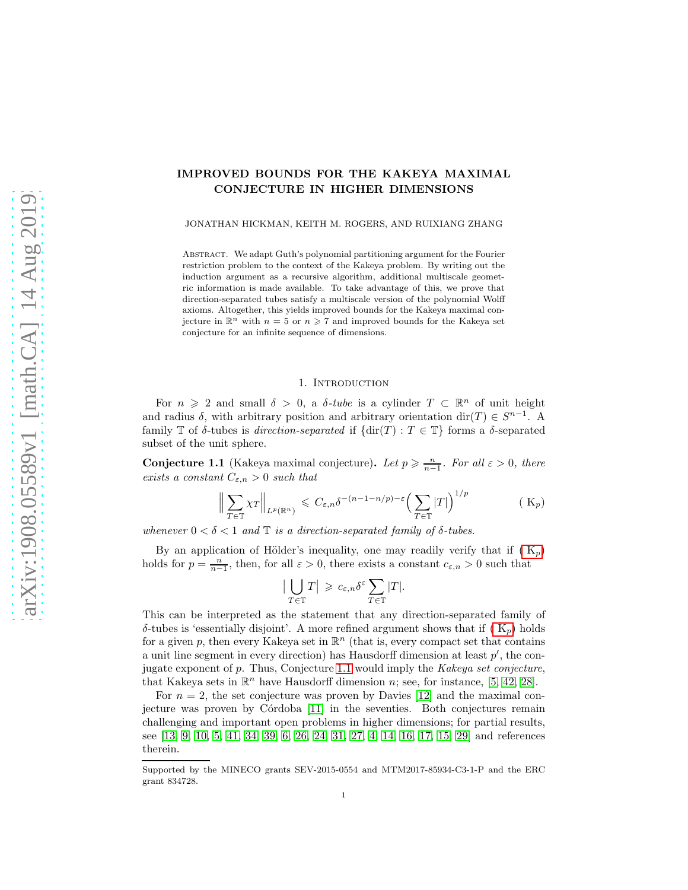# IMPROVED BOUNDS FOR THE KAKEYA MAXIMAL CONJECTURE IN HIGHER DIMENSIONS

JONATHAN HICKMAN, KEITH M. ROGERS, AND RUIXIANG ZHANG

ABSTRACT. We adapt Guth's polynomial partitioning argument for the Fourier restriction problem to the context of the Kakeya problem. By writing out the induction argument as a recursive algorithm, additional multiscale geometric information is made available. To take advantage of this, we prove that direction-separated tubes satisfy a multiscale version of the polynomial Wolff axioms. Altogether, this yields improved bounds for the Kakeya maximal conjecture in  $\mathbb{R}^n$  with  $n = 5$  or  $n \ge 7$  and improved bounds for the Kakeya set conjecture for an infinite sequence of dimensions.

# 1. INTRODUCTION

For  $n \geq 2$  and small  $\delta > 0$ , a  $\delta$ -tube is a cylinder  $T \subset \mathbb{R}^n$  of unit height and radius  $\delta$ , with arbitrary position and arbitrary orientation dir(T)  $\in S^{n-1}$ . A family T of  $\delta$ -tubes is *direction-separated* if  $\{ \text{dir}(T) : T \in \mathbb{T} \}$  forms a  $\delta$ -separated subset of the unit sphere.

<span id="page-1-1"></span>**Conjecture 1.1** (Kakeya maximal conjecture). Let  $p \geqslant \frac{n}{n-1}$ . For all  $\varepsilon > 0$ , there exists a constant  $C_{\varepsilon,n} > 0$  such that

$$
\left\| \sum_{T \in \mathbb{T}} \chi_T \right\|_{L^p(\mathbb{R}^n)} \leqslant C_{\varepsilon,n} \delta^{-(n-1-n/p)-\varepsilon} \left( \sum_{T \in \mathbb{T}} |T| \right)^{1/p} \tag{ K_p}
$$

whenever  $0 < \delta < 1$  and  $\mathbb T$  is a direction-separated family of  $\delta$ -tubes.

By an application of Hölder's inequality, one may readily verify that if  $(K_p)$  $(K_p)$  $(K_p)$ holds for  $p = \frac{n}{n-1}$ , then, for all  $\varepsilon > 0$ , there exists a constant  $c_{\varepsilon,n} > 0$  such that

<span id="page-1-0"></span>
$$
\left|\bigcup_{T \in \mathbb{T}} T\right| \geqslant c_{\varepsilon,n} \delta^{\varepsilon} \sum_{T \in \mathbb{T}} |T|.
$$

This can be interpreted as the statement that any direction-separated family of δ-tubes is 'essentially disjoint'. A more refined argument shows that if [\( K](#page-1-0)p) holds for a given p, then every Kakeya set in  $\mathbb{R}^n$  (that is, every compact set that contains a unit line segment in every direction) has Hausdorff dimension at least  $p'$ , the conjugate exponent of  $p$ . Thus, Conjecture [1.1](#page-1-1) would imply the Kakeya set conjecture, that Kakeya sets in  $\mathbb{R}^n$  have Hausdorff dimension n; see, for instance, [\[5,](#page-41-0) [42,](#page-42-0) [28\]](#page-42-1).

For  $n = 2$ , the set conjecture was proven by Davies [\[12\]](#page-41-1) and the maximal con-jecture was proven by Córdoba [\[11\]](#page-41-2) in the seventies. Both conjectures remain challenging and important open problems in higher dimensions; for partial results, see [\[13,](#page-41-3) [9,](#page-41-4) [10,](#page-41-5) [5,](#page-41-0) [41,](#page-42-2) [34,](#page-42-3) [39,](#page-42-4) [6,](#page-41-6) [26,](#page-42-5) [24,](#page-42-6) [31,](#page-42-7) [27,](#page-42-8) [4,](#page-41-7) [14,](#page-41-8) [16,](#page-41-9) [17,](#page-41-10) [15,](#page-41-11) [29\]](#page-42-9) and references therein.

Supported by the MINECO grants SEV-2015-0554 and MTM2017-85934-C3-1-P and the ERC grant 834728.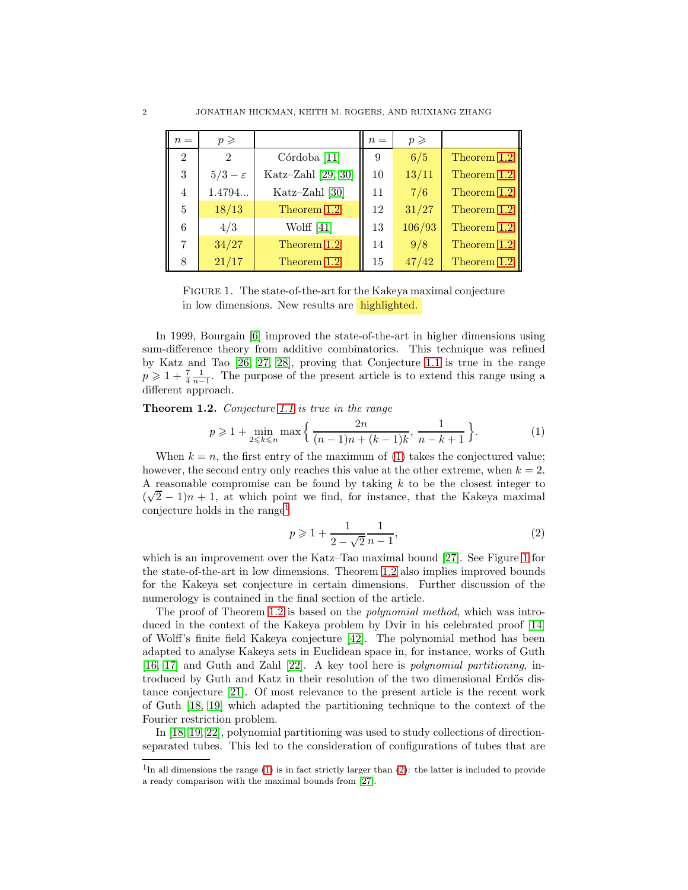<span id="page-2-3"></span>

| $n =$          | $p \geqslant$     |                         | $n =$ | $p \geqslant$ |             |
|----------------|-------------------|-------------------------|-------|---------------|-------------|
| 2              | $\overline{2}$    | Córdoba <sup>[11]</sup> | 9     | 6/5           | Theorem 1.2 |
| 3              | $5/3-\varepsilon$ | Katz-Zahl [29, 30]      | 10    | 13/11         | Theorem 1.2 |
| $\overline{4}$ | 1.4794            | Katz-Zahl [30]          | 11    | 7/6           | Theorem 1.2 |
| 5              | 18/13             | Theorem 1.2             | 12    | 31/27         | Theorem 1.2 |
| 6              | 4/3               | Wolff $[41]$            | 13    | 106/93        | Theorem 1.2 |
| 7              | 34/27             | Theorem 1.2             | 14    | 9/8           | Theorem 1.2 |
| 8              | 21/17             | Theorem 1.2             | 15    | 47/42         | Theorem 1.2 |

Figure 1. The state-of-the-art for the Kakeya maximal conjecture in low dimensions. New results are highlighted.

In 1999, Bourgain [\[6\]](#page-41-6) improved the state-of-the-art in higher dimensions using sum-difference theory from additive combinatorics. This technique was refined by Katz and Tao [\[26,](#page-42-5) [27,](#page-42-8) [28\]](#page-42-1), proving that Conjecture [1.1](#page-1-1) is true in the range  $p \geq 1 + \frac{7}{4} \frac{1}{n-1}$ . The purpose of the present article is to extend this range using a different approach.

<span id="page-2-0"></span>**Theorem 1.2.** Conjecture [1.1](#page-1-1) is true in the range

<span id="page-2-1"></span>
$$
p \geqslant 1 + \min_{2 \leqslant k \leqslant n} \max \left\{ \frac{2n}{(n-1)n + (k-1)k}, \frac{1}{n-k+1} \right\}.
$$
 (1)

When  $k = n$ , the first entry of the maximum of [\(1\)](#page-2-1) takes the conjectured value; however, the second entry only reaches this value at the other extreme, when  $k = 2$ . A reasonable compromise can be found by taking  $k$  to be the closest integer to  $(\sqrt{2}-1)n+1$ , at which point we find, for instance, that the Kakeya maximal conjecture holds in the range<sup>[1](#page-2-2)</sup>

<span id="page-2-4"></span>
$$
p \geqslant 1 + \frac{1}{2 - \sqrt{2}} \frac{1}{n - 1},\tag{2}
$$

which is an improvement over the Katz–Tao maximal bound [\[27\]](#page-42-8). See Figure [1](#page-2-3) for the state-of-the-art in low dimensions. Theorem [1.2](#page-2-0) also implies improved bounds for the Kakeya set conjecture in certain dimensions. Further discussion of the numerology is contained in the final section of the article.

The proof of Theorem [1.2](#page-2-0) is based on the *polynomial method*, which was introduced in the context of the Kakeya problem by Dvir in his celebrated proof [\[14\]](#page-41-8) of Wolff's finite field Kakeya conjecture [\[42\]](#page-42-0). The polynomial method has been adapted to analyse Kakeya sets in Euclidean space in, for instance, works of Guth [\[16,](#page-41-9) [17\]](#page-41-10) and Guth and Zahl [\[22\]](#page-42-11). A key tool here is polynomial partitioning, introduced by Guth and Katz in their resolution of the two dimensional Erdős distance conjecture [\[21\]](#page-42-12). Of most relevance to the present article is the recent work of Guth [\[18,](#page-41-12) [19\]](#page-42-13) which adapted the partitioning technique to the context of the Fourier restriction problem.

In [\[18,](#page-41-12) [19,](#page-42-13) [22\]](#page-42-11), polynomial partitioning was used to study collections of directionseparated tubes. This led to the consideration of configurations of tubes that are

<span id="page-2-2"></span><sup>&</sup>lt;sup>1</sup>In all dimensions the range [\(1\)](#page-2-1) is in fact strictly larger than [\(2\)](#page-2-4): the latter is included to provide a ready comparison with the maximal bounds from [\[27\]](#page-42-8).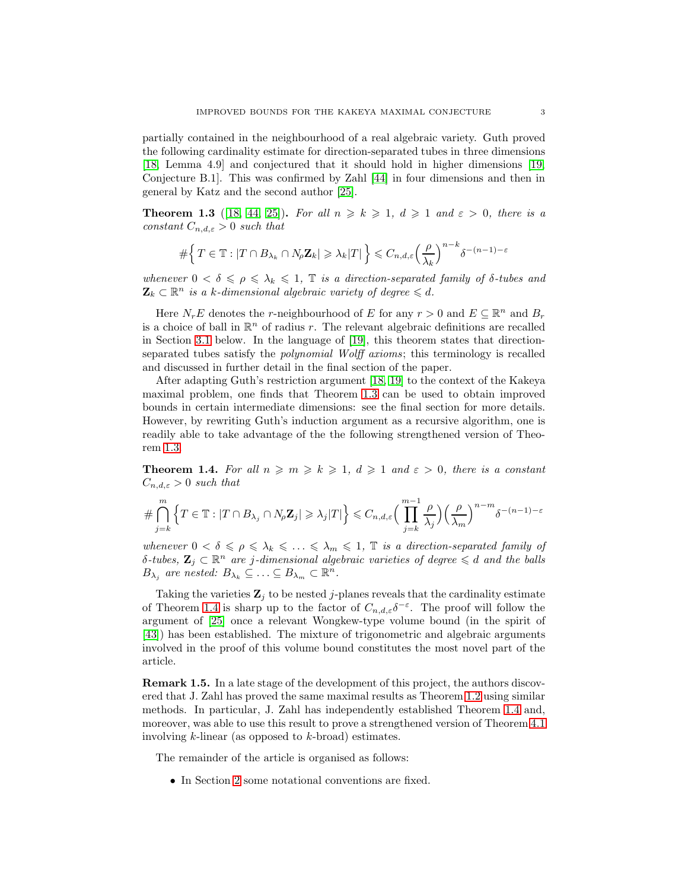partially contained in the neighbourhood of a real algebraic variety. Guth proved the following cardinality estimate for direction-separated tubes in three dimensions [\[18,](#page-41-12) Lemma 4.9] and conjectured that it should hold in higher dimensions [\[19,](#page-42-13) Conjecture B.1]. This was confirmed by Zahl [\[44\]](#page-42-14) in four dimensions and then in general by Katz and the second author [\[25\]](#page-42-15).

<span id="page-3-0"></span>**Theorem 1.3** ([\[18,](#page-41-12) [44,](#page-42-14) [25\]](#page-42-15)). For all  $n \geq k \geq 1$ ,  $d \geq 1$  and  $\varepsilon > 0$ , there is a constant  $C_{n,d,\varepsilon} > 0$  such that

$$
\#\Big\{\,T\in\mathbb{T}:|T\cap B_{\lambda_k}\cap N_\rho\mathbf{Z}_k|\geqslant \lambda_k|T|\,\Big\}\leqslant C_{n,d,\varepsilon}\Big(\frac{\rho}{\lambda_k}\Big)^{n-k}\delta^{-(n-1)-\varepsilon}
$$

whenever  $0 < \delta \leq \rho \leq \lambda_k \leq 1$ ,  $\mathbb T$  is a direction-separated family of  $\delta$ -tubes and  $\mathbf{Z}_k \subset \mathbb{R}^n$  is a k-dimensional algebraic variety of degree  $\leq d$ .

Here  $N_r E$  denotes the r-neighbourhood of E for any  $r > 0$  and  $E \subseteq \mathbb{R}^n$  and  $B_r$ is a choice of ball in  $\mathbb{R}^n$  of radius r. The relevant algebraic definitions are recalled in Section [3.1](#page-4-0) below. In the language of [\[19\]](#page-42-13), this theorem states that directionseparated tubes satisfy the polynomial Wolff axioms; this terminology is recalled and discussed in further detail in the final section of the paper.

After adapting Guth's restriction argument [\[18,](#page-41-12) [19\]](#page-42-13) to the context of the Kakeya maximal problem, one finds that Theorem [1.3](#page-3-0) can be used to obtain improved bounds in certain intermediate dimensions: see the final section for more details. However, by rewriting Guth's induction argument as a recursive algorithm, one is readily able to take advantage of the the following strengthened version of Theorem [1.3.](#page-3-0)

<span id="page-3-1"></span>**Theorem 1.4.** For all  $n \ge m \ge k \ge 1$ ,  $d \ge 1$  and  $\varepsilon > 0$ , there is a constant  $C_{n,d,\varepsilon} > 0$  such that

$$
\#\bigcap_{j=k}^m \Big\{T\in\mathbb{T}:|T\cap B_{\lambda_j}\cap N_{\rho}\mathbf{Z}_j|\geqslant \lambda_j|T|\Big\}\leqslant C_{n,d,\varepsilon}\Big(\prod_{j=k}^{m-1}\frac{\rho}{\lambda_j}\Big)\Big(\frac{\rho}{\lambda_m}\Big)^{n-m}\delta^{-(n-1)-\varepsilon}
$$

whenever  $0 < \delta \leq \rho \leq \lambda_k \leq \ldots \leq \lambda_m \leq 1$ ,  $\mathbb T$  is a direction-separated family of  $\delta$ -tubes,  $\mathbf{Z}_j \subset \mathbb{R}^n$  are j-dimensional algebraic varieties of degree  $\leq d$  and the balls  $B_{\lambda_j}$  are nested:  $B_{\lambda_k} \subseteq \ldots \subseteq B_{\lambda_m} \subset \mathbb{R}^n$ .

Taking the varieties  $\mathbf{Z}_i$  to be nested *j*-planes reveals that the cardinality estimate of Theorem [1.4](#page-3-1) is sharp up to the factor of  $C_{n,d,\varepsilon} \delta^{-\varepsilon}$ . The proof will follow the argument of [\[25\]](#page-42-15) once a relevant Wongkew-type volume bound (in the spirit of [\[43\]](#page-42-16)) has been established. The mixture of trigonometric and algebraic arguments involved in the proof of this volume bound constitutes the most novel part of the article.

Remark 1.5. In a late stage of the development of this project, the authors discovered that J. Zahl has proved the same maximal results as Theorem [1.2](#page-2-0) using similar methods. In particular, J. Zahl has independently established Theorem [1.4](#page-3-1) and, moreover, was able to use this result to prove a strengthened version of Theorem [4.1](#page-16-0) involving  $k$ -linear (as opposed to  $k$ -broad) estimates.

The remainder of the article is organised as follows:

• In Section [2](#page-4-1) some notational conventions are fixed.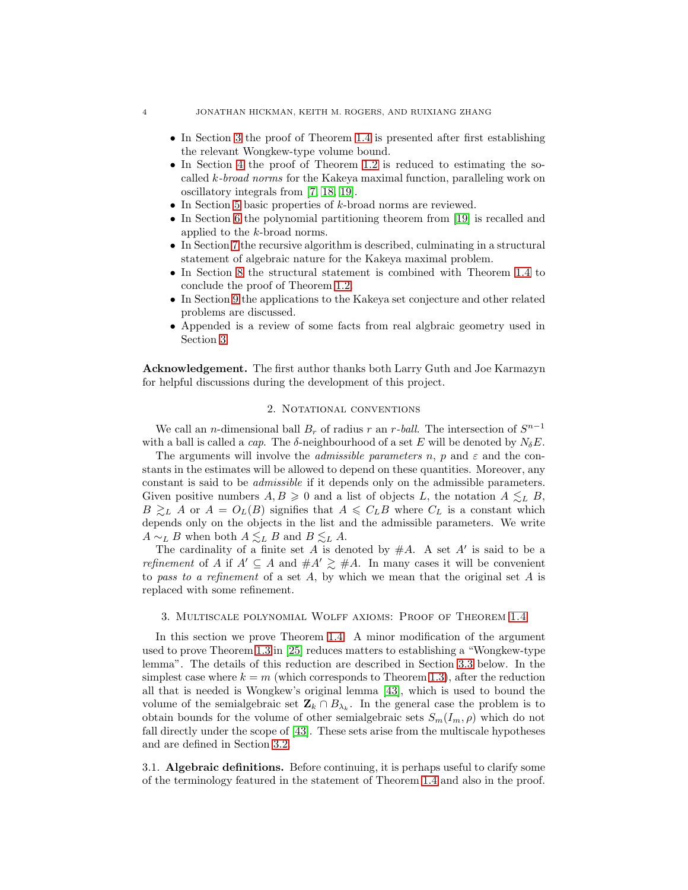- In Section [3](#page-4-2) the proof of Theorem [1.4](#page-3-1) is presented after first establishing the relevant Wongkew-type volume bound.
- In Section [4](#page-15-0) the proof of Theorem [1.2](#page-2-0) is reduced to estimating the socalled k-broad norms for the Kakeya maximal function, paralleling work on oscillatory integrals from [\[7,](#page-41-13) [18,](#page-41-12) [19\]](#page-42-13).
- In Section [5](#page-18-0) basic properties of k-broad norms are reviewed.
- In Section [6](#page-21-0) the polynomial partitioning theorem from [\[19\]](#page-42-13) is recalled and applied to the k-broad norms.
- In Section [7](#page-22-0) the recursive algorithm is described, culminating in a structural statement of algebraic nature for the Kakeya maximal problem.
- In Section [8](#page-34-0) the structural statement is combined with Theorem [1.4](#page-3-1) to conclude the proof of Theorem [1.2.](#page-2-0)
- In Section [9](#page-36-0) the applications to the Kakeya set conjecture and other related problems are discussed.
- Appended is a review of some facts from real algbraic geometry used in Section [3.](#page-4-2)

<span id="page-4-1"></span>Acknowledgement. The first author thanks both Larry Guth and Joe Karmazyn for helpful discussions during the development of this project.

### 2. NOTATIONAL CONVENTIONS

We call an *n*-dimensional ball  $B_r$  of radius r an r-ball. The intersection of  $S^{n-1}$ with a ball is called a *cap*. The  $\delta$ -neighbourhood of a set E will be denoted by  $N_{\delta}E$ .

The arguments will involve the *admissible parameters* n, p and  $\varepsilon$  and the constants in the estimates will be allowed to depend on these quantities. Moreover, any constant is said to be admissible if it depends only on the admissible parameters. Given positive numbers  $A, B \geq 0$  and a list of objects L, the notation  $A \leq_L B$ ,  $B \gtrsim_L A$  or  $A = O_L(B)$  signifies that  $A \leq C_L B$  where  $C_L$  is a constant which depends only on the objects in the list and the admissible parameters. We write  $A \sim_L B$  when both  $A \lesssim_L B$  and  $B \lesssim_L A$ .

The cardinality of a finite set A is denoted by  $#A$ . A set A' is said to be a refinement of A if  $A' \subseteq A$  and  $\#A' \geq \#A$ . In many cases it will be convenient to pass to a refinement of a set  $A$ , by which we mean that the original set  $A$  is replaced with some refinement.

# <span id="page-4-2"></span>3. Multiscale polynomial Wolff axioms: Proof of Theorem [1.4](#page-3-1)

In this section we prove Theorem [1.4.](#page-3-1) A minor modification of the argument used to prove Theorem [1.3](#page-3-0) in [\[25\]](#page-42-15) reduces matters to establishing a "Wongkew-type lemma". The details of this reduction are described in Section [3.3](#page-14-0) below. In the simplest case where  $k = m$  (which corresponds to Theorem [1.3\)](#page-3-0), after the reduction all that is needed is Wongkew's original lemma [\[43\]](#page-42-16), which is used to bound the volume of the semialgebraic set  $\mathbf{Z}_k \cap B_{\lambda_k}$ . In the general case the problem is to obtain bounds for the volume of other semialgebraic sets  $S_m(I_m, \rho)$  which do not fall directly under the scope of [\[43\]](#page-42-16). These sets arise from the multiscale hypotheses and are defined in Section [3.2.](#page-5-0)

<span id="page-4-0"></span>3.1. Algebraic definitions. Before continuing, it is perhaps useful to clarify some of the terminology featured in the statement of Theorem [1.4](#page-3-1) and also in the proof.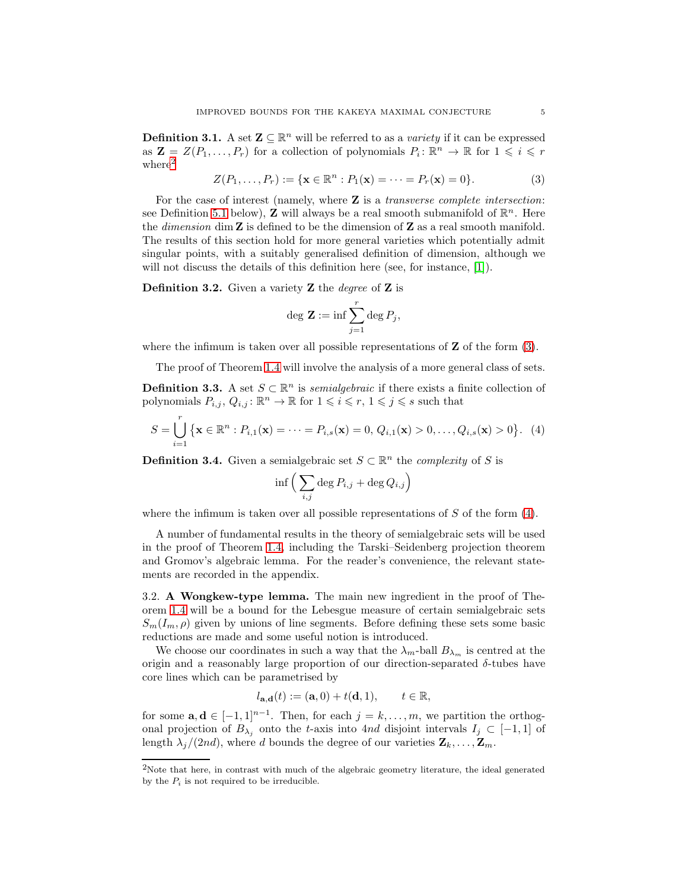**Definition 3.1.** A set  $\mathbf{Z} \subseteq \mathbb{R}^n$  will be referred to as a *variety* if it can be expressed as  $\mathbf{Z} = Z(P_1, \ldots, P_r)$  for a collection of polynomials  $P_i: \mathbb{R}^n \to \mathbb{R}$  for  $1 \leq i \leq r$  $where<sup>2</sup>$  $where<sup>2</sup>$  $where<sup>2</sup>$ 

<span id="page-5-2"></span>
$$
Z(P_1, ..., P_r) := \{ \mathbf{x} \in \mathbb{R}^n : P_1(\mathbf{x}) = \dots = P_r(\mathbf{x}) = 0 \}.
$$
 (3)

For the case of interest (namely, where  $\mathbf Z$  is a transverse complete intersection: see Definition [5.1](#page-18-1) below), **Z** will always be a real smooth submanifold of  $\mathbb{R}^n$ . Here the *dimension* dim  $Z$  is defined to be the dimension of  $Z$  as a real smooth manifold. The results of this section hold for more general varieties which potentially admit singular points, with a suitably generalised definition of dimension, although we will not discuss the details of this definition here (see, for instance, [\[1\]](#page-41-14)).

**Definition 3.2.** Given a variety **Z** the *degree* of **Z** is

$$
\deg \mathbf{Z} := \inf \sum_{j=1}^r \deg P_j,
$$

where the infimum is taken over all possible representations of  $Z$  of the form  $(3)$ .

The proof of Theorem [1.4](#page-3-1) will involve the analysis of a more general class of sets.

**Definition 3.3.** A set  $S \subset \mathbb{R}^n$  is *semialgebraic* if there exists a finite collection of polynomials  $P_{i,j}$ ,  $Q_{i,j}$ :  $\mathbb{R}^n \to \mathbb{R}$  for  $1 \leqslant i \leqslant r$ ,  $1 \leqslant j \leqslant s$  such that

<span id="page-5-3"></span>
$$
S = \bigcup_{i=1}^r \{ \mathbf{x} \in \mathbb{R}^n : P_{i,1}(\mathbf{x}) = \dots = P_{i,s}(\mathbf{x}) = 0, Q_{i,1}(\mathbf{x}) > 0, \dots, Q_{i,s}(\mathbf{x}) > 0 \}. \tag{4}
$$

**Definition 3.4.** Given a semialgebraic set  $S \subset \mathbb{R}^n$  the *complexity* of S is

$$
\inf \Big( \sum_{i,j} \deg P_{i,j} + \deg Q_{i,j} \Big)
$$

where the infimum is taken over all possible representations of  $S$  of the form  $(4)$ .

A number of fundamental results in the theory of semialgebraic sets will be used in the proof of Theorem [1.4,](#page-3-1) including the Tarski–Seidenberg projection theorem and Gromov's algebraic lemma. For the reader's convenience, the relevant statements are recorded in the appendix.

<span id="page-5-0"></span>3.2. A Wongkew-type lemma. The main new ingredient in the proof of Theorem [1.4](#page-3-1) will be a bound for the Lebesgue measure of certain semialgebraic sets  $S_m(I_m, \rho)$  given by unions of line segments. Before defining these sets some basic reductions are made and some useful notion is introduced.

We choose our coordinates in such a way that the  $\lambda_m$ -ball  $B_{\lambda_m}$  is centred at the origin and a reasonably large proportion of our direction-separated  $\delta$ -tubes have core lines which can be parametrised by

$$
l_{\mathbf{a},\mathbf{d}}(t) := (\mathbf{a},0) + t(\mathbf{d},1), \qquad t \in \mathbb{R},
$$

for some  $\mathbf{a}, \mathbf{d} \in [-1, 1]^{n-1}$ . Then, for each  $j = k, \ldots, m$ , we partition the orthogonal projection of  $B_{\lambda_i}$  onto the t-axis into 4nd disjoint intervals  $I_j \subset [-1,1]$  of length  $\lambda_i/(2nd)$ , where d bounds the degree of our varieties  $\mathbf{Z}_k, \ldots, \mathbf{Z}_m$ .

<span id="page-5-1"></span><sup>2</sup>Note that here, in contrast with much of the algebraic geometry literature, the ideal generated by the  $P_i$  is not required to be irreducible.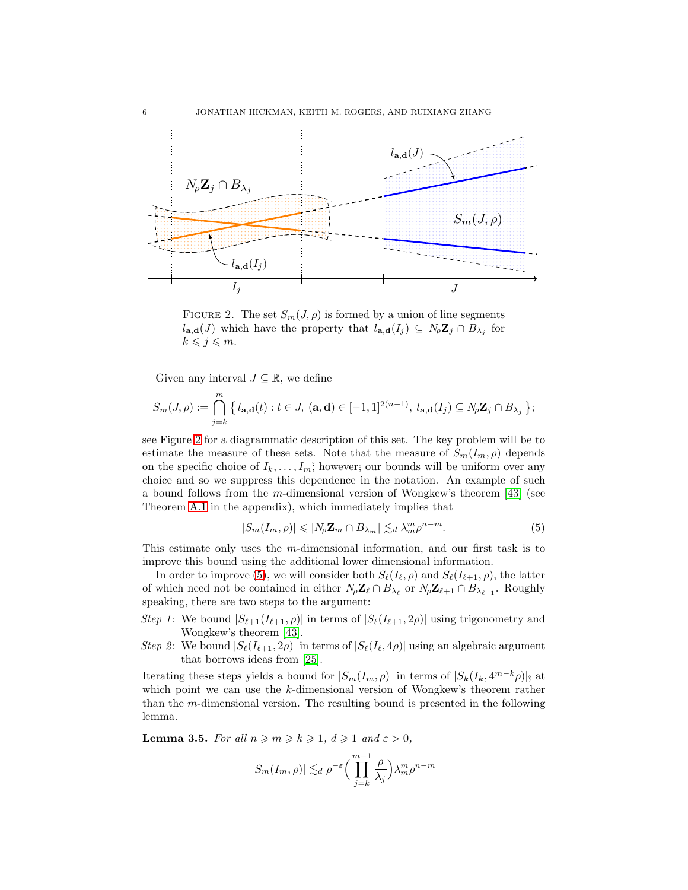<span id="page-6-0"></span>

FIGURE 2. The set  $S_m(J, \rho)$  is formed by a union of line segments  $l_{\mathbf{a},\mathbf{d}}(J)$  which have the property that  $l_{\mathbf{a},\mathbf{d}}(I_j) \subseteq N_{\rho} \mathbf{Z}_j \cap B_{\lambda_j}$  for  $k \leqslant j \leqslant m$ .

Given any interval  $J \subseteq \mathbb{R}$ , we define

$$
S_m(J,\rho):=\bigcap_{j=k}^m\big\{\,l_{\mathbf{a},\mathbf{d}}(t):t\in J,\,(\mathbf{a},\mathbf{d})\in[-1,1]^{2(n-1)},\,l_{\mathbf{a},\mathbf{d}}(I_j)\subseteq N_\rho\mathbf{Z}_j\cap B_{\lambda_j}\,\big\};
$$

see Figure [2](#page-6-0) for a diagrammatic description of this set. The key problem will be to estimate the measure of these sets. Note that the measure of  $S_m(I_m, \rho)$  depends on the specific choice of  $I_k, \ldots, I_m$ ; however; our bounds will be uniform over any choice and so we suppress this dependence in the notation. An example of such a bound follows from the m-dimensional version of Wongkew's theorem  $[43]$  (see Theorem [A.1](#page-40-0) in the appendix), which immediately implies that

<span id="page-6-1"></span>
$$
|S_m(I_m, \rho)| \leqslant |N_{\rho} \mathbf{Z}_m \cap B_{\lambda_m}| \lesssim_d \lambda_m^m \rho^{n-m}.
$$
 (5)

This estimate only uses the m-dimensional information, and our first task is to improve this bound using the additional lower dimensional information.

In order to improve [\(5\)](#page-6-1), we will consider both  $S_{\ell}(I_{\ell}, \rho)$  and  $S_{\ell}(I_{\ell+1}, \rho)$ , the latter of which need not be contained in either  $N_{\rho} \mathbf{Z}_{\ell} \cap B_{\lambda_{\ell}}$  or  $N_{\rho} \mathbf{Z}_{\ell+1} \cap B_{\lambda_{\ell+1}}$ . Roughly speaking, there are two steps to the argument:

- Step 1: We bound  $|S_{\ell+1}(I_{\ell+1}, \rho)|$  in terms of  $|S_{\ell}(I_{\ell+1}, 2\rho)|$  using trigonometry and Wongkew's theorem [\[43\]](#page-42-16).
- Step 2: We bound  $|S_{\ell}(I_{\ell+1}, 2\rho)|$  in terms of  $|S_{\ell}(I_{\ell}, 4\rho)|$  using an algebraic argument that borrows ideas from [\[25\]](#page-42-15).

Iterating these steps yields a bound for  $|S_m(I_m, \rho)|$  in terms of  $|S_k(I_k, 4^{m-k}\rho)|$ ; at which point we can use the k-dimensional version of Wongkew's theorem rather than the m-dimensional version. The resulting bound is presented in the following lemma.

<span id="page-6-2"></span>**Lemma 3.5.** For all  $n \ge m \ge k \ge 1$ ,  $d \ge 1$  and  $\varepsilon > 0$ ,

$$
|S_m(I_m, \rho)| \lesssim_d \rho^{-\varepsilon} \Big(\prod_{j=k}^{m-1} \frac{\rho}{\lambda_j}\Big) \lambda_m^m \rho^{n-m}
$$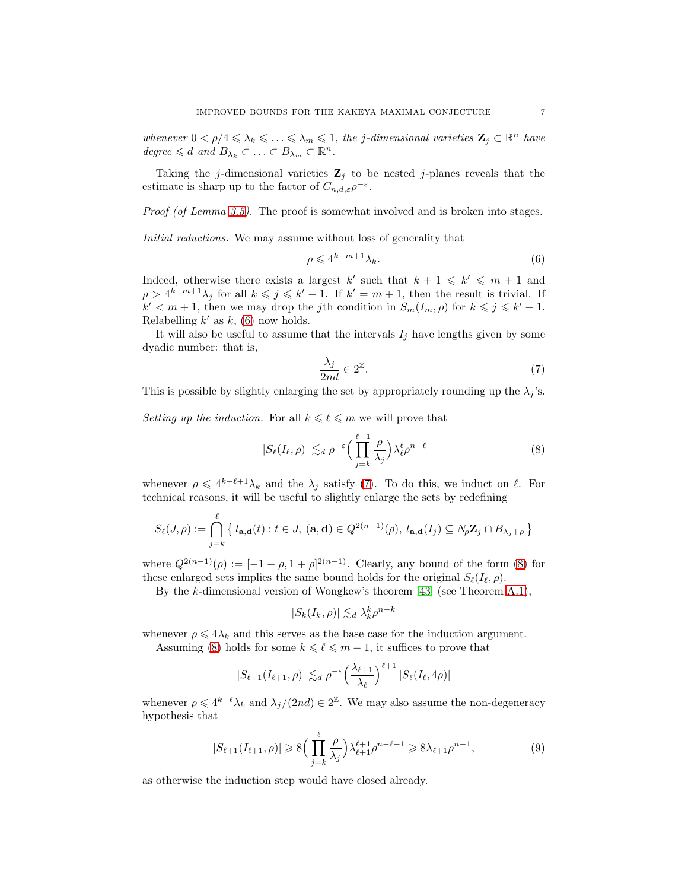whenever  $0 < \rho/4 \leq \lambda_k \leq \ldots \leq \lambda_m \leq 1$ , the j-dimensional varieties  $\mathbf{Z}_j \subset \mathbb{R}^n$  have degree  $\leq d$  and  $B_{\lambda_k} \subset \ldots \subset B_{\lambda_m} \subset \mathbb{R}^n$ .

Taking the j-dimensional varieties  $\mathbf{Z}_i$  to be nested j-planes reveals that the estimate is sharp up to the factor of  $C_{n,d,\varepsilon} \rho^{-\varepsilon}$ .

Proof (of Lemma [3.5\)](#page-6-2). The proof is somewhat involved and is broken into stages.

Initial reductions. We may assume without loss of generality that

<span id="page-7-0"></span>
$$
\rho \leqslant 4^{k-m+1} \lambda_k. \tag{6}
$$

Indeed, otherwise there exists a largest k' such that  $k + 1 \leq k' \leq m + 1$  and  $\rho > 4^{k-m+1}\lambda_j$  for all  $k \leqslant j \leqslant k'-1$ . If  $k'=m+1$ , then the result is trivial. If  $k' < m+1$ , then we may drop the jth condition in  $S_m(I_m, \rho)$  for  $k \leq j \leq k'-1$ . Relabelling  $k'$  as  $k$ , [\(6\)](#page-7-0) now holds.

It will also be useful to assume that the intervals  $I_i$  have lengths given by some dyadic number: that is,

<span id="page-7-1"></span>
$$
\frac{\lambda_j}{2nd} \in 2^{\mathbb{Z}}.\tag{7}
$$

This is possible by slightly enlarging the set by appropriately rounding up the  $\lambda_j$ 's.

Setting up the induction. For all  $k \leq \ell \leq m$  we will prove that

<span id="page-7-2"></span>
$$
|S_{\ell}(I_{\ell}, \rho)| \lesssim_d \rho^{-\varepsilon} \Big( \prod_{j=k}^{\ell-1} \frac{\rho}{\lambda_j} \Big) \lambda_{\ell}^{\ell} \rho^{n-\ell} \tag{8}
$$

whenever  $\rho \leq 4^{k-\ell+1}\lambda_k$  and the  $\lambda_j$  satisfy [\(7\)](#page-7-1). To do this, we induct on  $\ell$ . For technical reasons, it will be useful to slightly enlarge the sets by redefining

$$
S_{\ell}(J,\rho) := \bigcap_{j=k}^{\ell} \left\{ l_{\mathbf{a},\mathbf{d}}(t) : t \in J, \ (\mathbf{a},\mathbf{d}) \in Q^{2(n-1)}(\rho), \ l_{\mathbf{a},\mathbf{d}}(I_j) \subseteq N_{\rho} \mathbf{Z}_j \cap B_{\lambda_j + \rho} \right\}
$$

where  $Q^{2(n-1)}(\rho) := [-1 - \rho, 1 + \rho]^{2(n-1)}$ . Clearly, any bound of the form [\(8\)](#page-7-2) for these enlarged sets implies the same bound holds for the original  $S_{\ell}(I_{\ell},\rho)$ .

By the k-dimensional version of Wongkew's theorem [\[43\]](#page-42-16) (see Theorem [A.1\)](#page-40-0),

$$
|S_k(I_k, \rho)| \lesssim_d \lambda_k^k \rho^{n-k}
$$

whenever  $\rho \leq 4\lambda_k$  and this serves as the base case for the induction argument.

Assuming [\(8\)](#page-7-2) holds for some  $k \leq \ell \leq m-1$ , it suffices to prove that

$$
|S_{\ell+1}(I_{\ell+1},\rho)| \lesssim_d \rho^{-\varepsilon} \left(\frac{\lambda_{\ell+1}}{\lambda_{\ell}}\right)^{\ell+1} |S_{\ell}(I_{\ell}, 4\rho)|
$$

whenever  $\rho \leq 4^{k-\ell}\lambda_k$  and  $\lambda_j/(2nd) \in 2^{\mathbb{Z}}$ . We may also assume the non-degeneracy hypothesis that

<span id="page-7-3"></span>
$$
|S_{\ell+1}(I_{\ell+1},\rho)| \ge 8\Big(\prod_{j=k}^{\ell} \frac{\rho}{\lambda_j}\Big) \lambda_{\ell+1}^{\ell+1} \rho^{n-\ell-1} \ge 8\lambda_{\ell+1} \rho^{n-1},\tag{9}
$$

as otherwise the induction step would have closed already.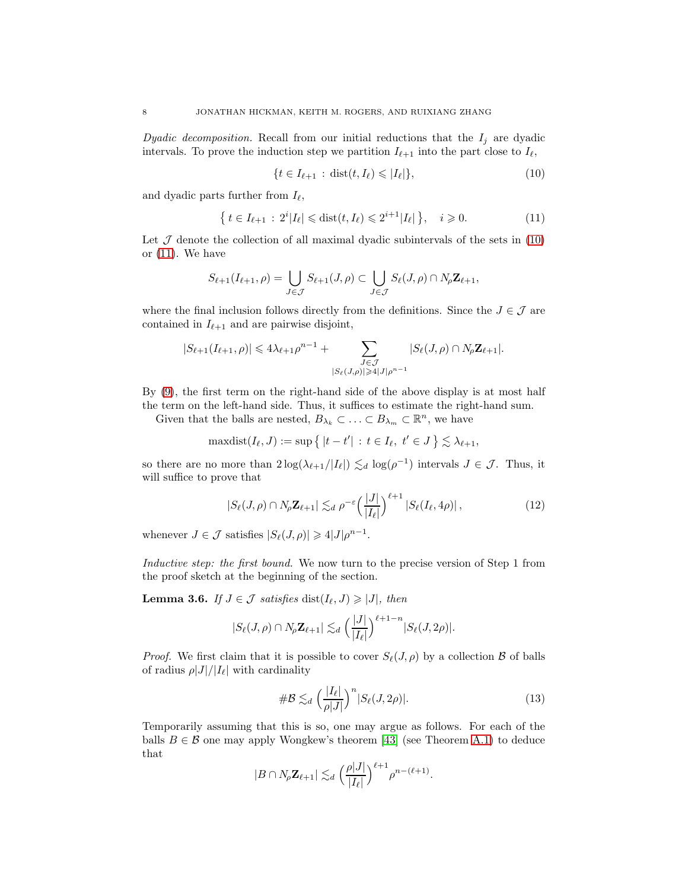Dyadic decomposition. Recall from our initial reductions that the  $I_j$  are dyadic intervals. To prove the induction step we partition  $I_{\ell+1}$  into the part close to  $I_{\ell}$ ,

<span id="page-8-0"></span>
$$
\{t \in I_{\ell+1} : \operatorname{dist}(t, I_{\ell}) \leqslant |I_{\ell}|\},\tag{10}
$$

and dyadic parts further from  $I_{\ell}$ ,

<span id="page-8-1"></span>
$$
\{ t \in I_{\ell+1} : 2^i |I_{\ell}| \leq \text{dist}(t, I_{\ell}) \leq 2^{i+1} |I_{\ell}| \}, \quad i \geq 0. \tag{11}
$$

Let  $J$  denote the collection of all maximal dyadic subintervals of the sets in  $(10)$ or [\(11\)](#page-8-1). We have

$$
S_{\ell+1}(I_{\ell+1},\rho)=\bigcup_{J\in\mathcal{J}}S_{\ell+1}(J,\rho)\subset\bigcup_{J\in\mathcal{J}}S_{\ell}(J,\rho)\cap N_{\rho}\mathbf{Z}_{\ell+1},
$$

where the final inclusion follows directly from the definitions. Since the  $J \in \mathcal{J}$  are contained in  $I_{\ell+1}$  and are pairwise disjoint,

$$
|S_{\ell+1}(I_{\ell+1},\rho)| \leq 4\lambda_{\ell+1}\rho^{n-1} + \sum_{\substack{J \in \mathcal{J} \\ |S_{\ell}(J,\rho)| \geq 4|J|\rho^{n-1}}} |S_{\ell}(J,\rho) \cap N_{\rho} \mathbf{Z}_{\ell+1}|.
$$

By [\(9\)](#page-7-3), the first term on the right-hand side of the above display is at most half the term on the left-hand side. Thus, it suffices to estimate the right-hand sum.

Given that the balls are nested,  $B_{\lambda_k} \subset \ldots \subset B_{\lambda_m} \subset \mathbb{R}^n$ , we have

maxdist
$$
(I_{\ell}, J)
$$
 := sup  $\{|t - t'| : t \in I_{\ell}, t' \in J\} \lesssim \lambda_{\ell+1}$ ,

so there are no more than  $2\log(\lambda_{\ell+1}/|I_{\ell}|) \lesssim_d \log(\rho^{-1})$  intervals  $J \in \mathcal{J}$ . Thus, it will suffice to prove that

<span id="page-8-3"></span>
$$
|S_{\ell}(J,\rho) \cap N_{\rho} \mathbf{Z}_{\ell+1}| \lesssim_d \rho^{-\varepsilon} \left(\frac{|J|}{|I_{\ell}|}\right)^{\ell+1} |S_{\ell}(I_{\ell}, 4\rho)|\,,\tag{12}
$$

whenever  $J \in \mathcal{J}$  satisfies  $|S_{\ell}(J,\rho)| \geq 4|J|\rho^{n-1}$ .

Inductive step: the first bound. We now turn to the precise version of Step 1 from the proof sketch at the beginning of the section.

<span id="page-8-4"></span>**Lemma 3.6.** If  $J \in \mathcal{J}$  satisfies  $dist(I_{\ell}, J) \geq |J|$ , then

$$
|S_{\ell}(J,\rho) \cap N_{\rho} \mathbf{Z}_{\ell+1}| \lesssim_d \left(\frac{|J|}{|I_{\ell}|}\right)^{\ell+1-n} |S_{\ell}(J,2\rho)|.
$$

*Proof.* We first claim that it is possible to cover  $S_{\ell}(J, \rho)$  by a collection  $\beta$  of balls of radius  $\rho|J|/|I_{\ell}|$  with cardinality

<span id="page-8-2"></span>
$$
\# \mathcal{B} \lesssim_d \left(\frac{|I_{\ell}|}{\rho|J|}\right)^n |S_{\ell}(J, 2\rho)|. \tag{13}
$$

Temporarily assuming that this is so, one may argue as follows. For each of the balls  $B \in \mathcal{B}$  one may apply Wongkew's theorem [\[43\]](#page-42-16) (see Theorem [A.1\)](#page-40-0) to deduce that

$$
|B \cap N_{\rho} \mathbf{Z}_{\ell+1}| \lesssim_d \left(\frac{\rho |J|}{|I_{\ell}|}\right)^{\ell+1} \rho^{n-(\ell+1)}.
$$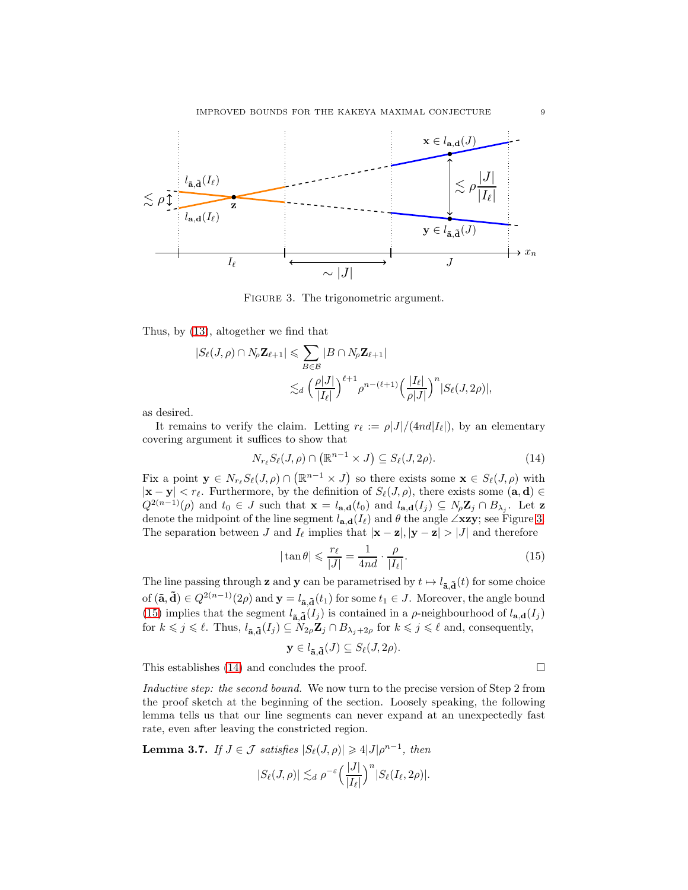<span id="page-9-0"></span>

FIGURE 3. The trigonometric argument.

Thus, by [\(13\)](#page-8-2), altogether we find that

$$
|S_{\ell}(J,\rho) \cap N_{\rho} \mathbf{Z}_{\ell+1}| \leqslant \sum_{B \in \mathcal{B}} |B \cap N_{\rho} \mathbf{Z}_{\ell+1}|
$$
  

$$
\lesssim_d \left(\frac{\rho|J|}{|I_{\ell}|}\right)^{\ell+1} \rho^{n-(\ell+1)} \left(\frac{|I_{\ell}|}{\rho|J|}\right)^n |S_{\ell}(J,2\rho)|,
$$

as desired.

It remains to verify the claim. Letting  $r_{\ell} := \rho |J|/(4nd|I_{\ell}|)$ , by an elementary covering argument it suffices to show that

<span id="page-9-2"></span>
$$
N_{r_{\ell}}S_{\ell}(J,\rho)\cap\left(\mathbb{R}^{n-1}\times J\right)\subseteq S_{\ell}(J,2\rho). \tag{14}
$$

Fix a point  $\mathbf{y} \in N_{r_{\ell}}S_{\ell}(J,\rho) \cap (\mathbb{R}^{n-1} \times J)$  so there exists some  $\mathbf{x} \in S_{\ell}(J,\rho)$  with  $|\mathbf{x} - \mathbf{y}| < r_{\ell}$ . Furthermore, by the definition of  $S_{\ell}(J,\rho)$ , there exists some  $(\mathbf{a}, \mathbf{d}) \in$  $Q^{2(n-1)}(\rho)$  and  $t_0 \in J$  such that  $\mathbf{x} = l_{\mathbf{a},\mathbf{d}}(t_0)$  and  $l_{\mathbf{a},\mathbf{d}}(I_j) \subseteq N_\rho \mathbf{Z}_j \cap B_{\lambda_j}$ . Let z denote the midpoint of the line segment  $l_{\mathbf{a},\mathbf{d}}(I_{\ell})$  and  $\theta$  the angle  $\angle$ xzy; see Figure [3.](#page-9-0) The separation between J and  $I_{\ell}$  implies that  $|\mathbf{x} - \mathbf{z}|, |\mathbf{y} - \mathbf{z}| > |J|$  and therefore

<span id="page-9-1"></span>
$$
|\tan \theta| \leqslant \frac{r_{\ell}}{|J|} = \frac{1}{4nd} \cdot \frac{\rho}{|I_{\ell}|}. \tag{15}
$$

The line passing through **z** and **y** can be parametrised by  $t \mapsto l_{\tilde{a},\tilde{d}}(t)$  for some choice of  $(\tilde{\mathbf{a}}, \tilde{\mathbf{d}}) \in Q^{2(n-1)}(2\rho)$  and  $\mathbf{y} = l_{\tilde{\mathbf{a}}, \tilde{\mathbf{d}}}(t_1)$  for some  $t_1 \in J$ . Moreover, the angle bound [\(15\)](#page-9-1) implies that the segment  $l_{\tilde{a},\tilde{d}}(I_j)$  is contained in a  $\rho$ -neighbourhood of  $l_{\mathbf{a},\mathbf{d}}(I_j)$ for  $k \leq j \leq \ell$ . Thus,  $l_{\tilde{a},\tilde{d}}(I_j) \subseteq N_{2\rho} \mathbb{Z}_j \cap B_{\lambda_j+2\rho}$  for  $k \leq j \leq \ell$  and, consequently,

$$
\mathbf{y} \in l_{\tilde{\mathbf{a}}, \tilde{\mathbf{d}}}(J) \subseteq S_{\ell}(J, 2\rho).
$$

This establishes [\(14\)](#page-9-2) and concludes the proof.  $\Box$ 

Inductive step: the second bound. We now turn to the precise version of Step 2 from the proof sketch at the beginning of the section. Loosely speaking, the following lemma tells us that our line segments can never expand at an unexpectedly fast rate, even after leaving the constricted region.

<span id="page-9-3"></span>**Lemma 3.7.** If  $J \in \mathcal{J}$  satisfies  $|S_{\ell}(J,\rho)| \geq 4|J|\rho^{n-1}$ , then

$$
|S_{\ell}(J,\rho)| \lesssim_d \rho^{-\varepsilon} \left(\frac{|J|}{|I_{\ell}|}\right)^n |S_{\ell}(I_{\ell},2\rho)|.
$$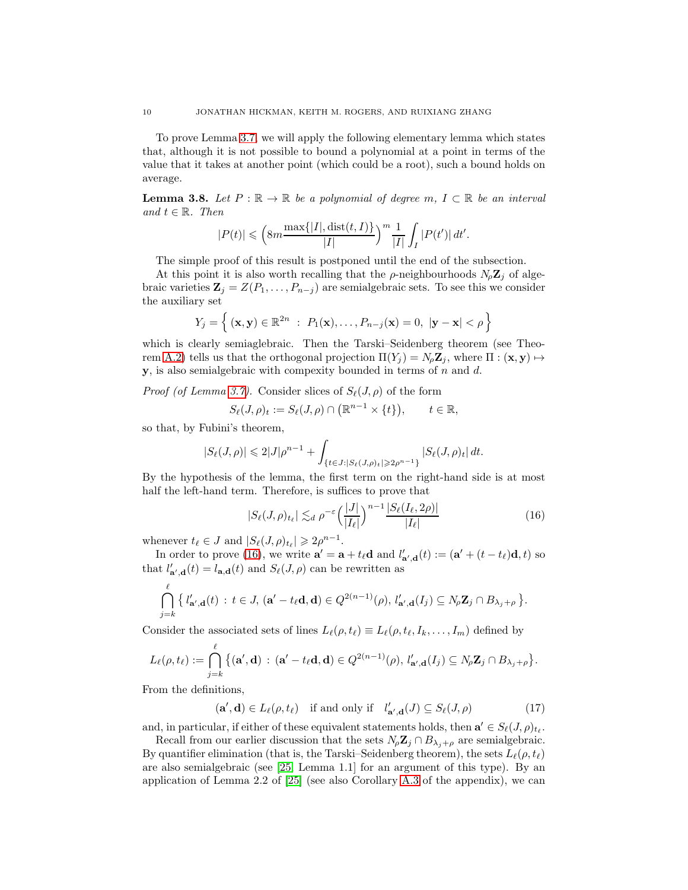To prove Lemma [3.7,](#page-9-3) we will apply the following elementary lemma which states that, although it is not possible to bound a polynomial at a point in terms of the value that it takes at another point (which could be a root), such a bound holds on average.

<span id="page-10-2"></span>**Lemma 3.8.** Let  $P : \mathbb{R} \to \mathbb{R}$  be a polynomial of degree m,  $I \subset \mathbb{R}$  be an interval and  $t \in \mathbb{R}$ . Then

$$
|P(t)| \leqslant \left(8m\frac{\max\{|I|,\operatorname{dist}(t,I)\}}{|I|}\right)^m\frac{1}{|I|}\int_I |P(t')|\,dt'.
$$

The simple proof of this result is postponed until the end of the subsection.

At this point it is also worth recalling that the  $\rho$ -neighbourhoods  $N_{\rho}Z_i$  of algebraic varieties  $\mathbf{Z}_j = Z(P_1, \ldots, P_{n-j})$  are semialgebraic sets. To see this we consider the auxiliary set

$$
Y_j = \left\{ (\mathbf{x}, \mathbf{y}) \in \mathbb{R}^{2n} : P_1(\mathbf{x}), \dots, P_{n-j}(\mathbf{x}) = 0, |\mathbf{y} - \mathbf{x}| < \rho \right\}
$$

which is clearly semiaglebraic. Then the Tarski–Seidenberg theorem (see Theo-rem [A.2\)](#page-40-1) tells us that the orthogonal projection  $\Pi(Y_j) = N_\rho \mathbf{Z}_j$ , where  $\Pi : (\mathbf{x}, \mathbf{y}) \mapsto$ **, is also semialgebraic with compexity bounded in terms of n and d.** 

*Proof (of Lemma [3.7\)](#page-9-3).* Consider slices of  $S_{\ell}(J, \rho)$  of the form

$$
S_{\ell}(J,\rho)_t := S_{\ell}(J,\rho) \cap (\mathbb{R}^{n-1} \times \{t\}), \qquad t \in \mathbb{R},
$$

so that, by Fubini's theorem,

$$
|S_{\ell}(J,\rho)| \leq 2|J|\rho^{n-1} + \int_{\{t \in J: |S_{\ell}(J,\rho)_t| \geqslant 2\rho^{n-1}\}} |S_{\ell}(J,\rho)_t| dt.
$$

By the hypothesis of the lemma, the first term on the right-hand side is at most half the left-hand term. Therefore, is suffices to prove that

<span id="page-10-0"></span>
$$
|S_{\ell}(J,\rho)_{t_{\ell}}| \lesssim_d \rho^{-\varepsilon} \left(\frac{|J|}{|I_{\ell}|}\right)^{n-1} \frac{|S_{\ell}(I_{\ell},2\rho)|}{|I_{\ell}|}\tag{16}
$$

whenever  $t_{\ell} \in J$  and  $|S_{\ell}(J,\rho)_{t_{\ell}}| \geq 2\rho^{n-1}$ .

In order to prove [\(16\)](#page-10-0), we write  $\mathbf{a}' = \mathbf{a} + t_{\ell} \mathbf{d}$  and  $l'_{\mathbf{a}',\mathbf{d}}(t) := (\mathbf{a}' + (t - t_{\ell})\mathbf{d}, t)$  so that  $l'_{\mathbf{a}',\mathbf{d}}(t) = l_{\mathbf{a},\mathbf{d}}(t)$  and  $S_{\ell}(J,\rho)$  can be rewritten as

$$
\bigcap_{j=k}^{\ell} \left\{ l'_{\mathbf{a}',\mathbf{d}}(t) : t \in J, \, (\mathbf{a}' - t_{\ell}\mathbf{d}, \mathbf{d}) \in Q^{2(n-1)}(\rho), \, l'_{\mathbf{a}',\mathbf{d}}(I_j) \subseteq N_{\rho} \mathbf{Z}_j \cap B_{\lambda_j + \rho} \right\}.
$$

Consider the associated sets of lines  $L_{\ell}(\rho, t_{\ell}) \equiv L_{\ell}(\rho, t_{\ell}, I_k, \ldots, I_m)$  defined by

$$
L_{\ell}(\rho,t_{\ell}) := \bigcap_{j=k}^{\ell} \big\{ (\mathbf{a}',\mathbf{d}) \,:\, (\mathbf{a}'-t_{\ell}\mathbf{d},\mathbf{d}) \in Q^{2(n-1)}(\rho),\, l'_{\mathbf{a}',\mathbf{d}}(I_j) \subseteq N_{\rho} \mathbf{Z}_j \cap B_{\lambda_j+\rho} \big\}.
$$

From the definitions,

<span id="page-10-1"></span>
$$
(\mathbf{a}', \mathbf{d}) \in L_{\ell}(\rho, t_{\ell}) \quad \text{if and only if} \quad l'_{\mathbf{a}',\mathbf{d}}(J) \subseteq S_{\ell}(J, \rho) \tag{17}
$$

and, in particular, if either of these equivalent statements holds, then  $\mathbf{a}' \in S_{\ell}(J,\rho)_{t_{\ell}}$ .

Recall from our earlier discussion that the sets  $N_{\rho} \mathbf{Z}_j \cap B_{\lambda_j + \rho}$  are semialgebraic. By quantifier elimination (that is, the Tarski–Seidenberg theorem), the sets  $L_{\ell}(\rho, t_{\ell})$ are also semialgebraic (see [\[25,](#page-42-15) Lemma 1.1] for an argument of this type). By an application of Lemma 2.2 of [\[25\]](#page-42-15) (see also Corollary [A.3](#page-40-2) of the appendix), we can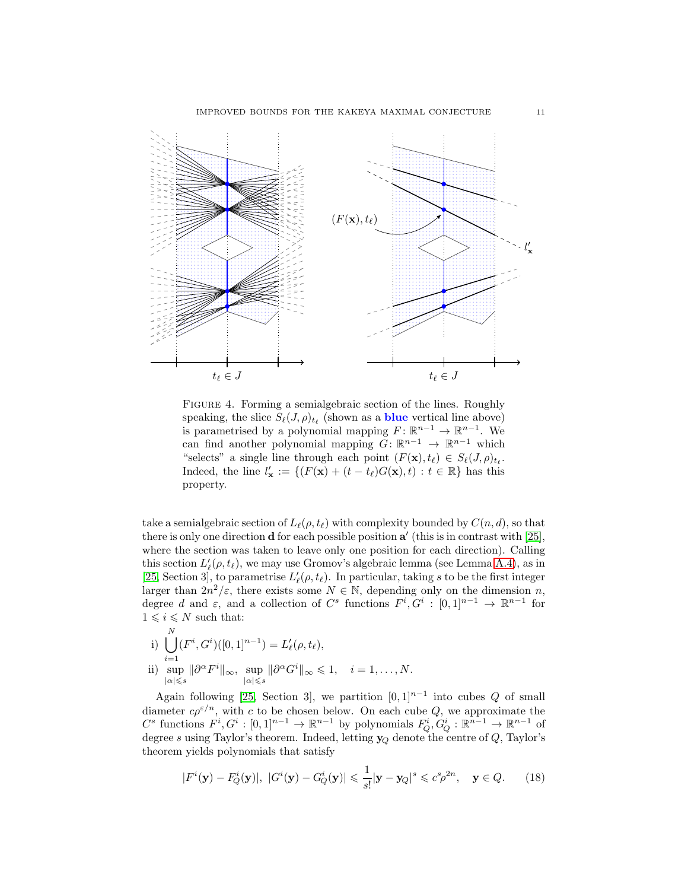

Figure 4. Forming a semialgebraic section of the lines. Roughly speaking, the slice  $S_{\ell}(J,\rho)_{t_{\ell}}$  (shown as a **blue** vertical line above) is parametrised by a polynomial mapping  $F: \mathbb{R}^{n-1} \to \mathbb{R}^{n-1}$ . We can find another polynomial mapping  $G: \mathbb{R}^{n-1} \to \mathbb{R}^{n-1}$  which "selects" a single line through each point  $(F(\mathbf{x}), t_\ell) \in S_\ell(J, \rho)_{t_\ell}$ . Indeed, the line  $l'_\mathbf{x} := \{ (F(\mathbf{x}) + (t - t_\ell)G(\mathbf{x}), t) : t \in \mathbb{R} \}$  has this property.

take a semialgebraic section of  $L_{\ell}(\rho, t_{\ell})$  with complexity bounded by  $C(n, d)$ , so that there is only one direction **d** for each possible position  $a'$  (this is in contrast with [\[25\]](#page-42-15), where the section was taken to leave only one position for each direction). Calling this section  $L'_{\ell}(\rho, t_{\ell})$ , we may use Gromov's algebraic lemma (see Lemma [A.4\)](#page-41-15), as in [\[25,](#page-42-15) Section 3], to parametrise  $L'_{\ell}(\rho, t_{\ell})$ . In particular, taking s to be the first integer larger than  $2n^2/\varepsilon$ , there exists some  $N \in \mathbb{N}$ , depending only on the dimension n, degree d and  $\varepsilon$ , and a collection of  $C^s$  functions  $F^i, G^i : [0,1]^{n-1} \to \mathbb{R}^{n-1}$  for  $1 \leqslant i \leqslant N$  such that:

i) 
$$
\bigcup_{i=1}^{N} (F^i, G^i) ([0, 1]^{n-1}) = L'_{\ell}(\rho, t_{\ell}),
$$
  
ii) 
$$
\sup_{|\alpha| \leq s} \|\partial^{\alpha} F^i\|_{\infty}, \sup_{|\alpha| \leq s} \|\partial^{\alpha} G^i\|_{\infty} \leq 1, \quad i = 1, ..., N.
$$

 $\mathbf{v}$ 

Again following [\[25,](#page-42-15) Section 3], we partition  $[0,1]^{n-1}$  into cubes Q of small diameter  $c\rho^{\varepsilon/n}$ , with c to be chosen below. On each cube Q, we approximate the  $C^s$  functions  $F^i, G^i : [0,1]^{n-1} \to \mathbb{R}^{n-1}$  by polynomials  $F_Q^i, G_Q^i : \mathbb{R}^{n-1} \to \mathbb{R}^{n-1}$  of degree s using Taylor's theorem. Indeed, letting  $y_Q$  denote the centre of Q, Taylor's theorem yields polynomials that satisfy

<span id="page-11-0"></span>
$$
|F^i(\mathbf{y}) - F_Q^i(\mathbf{y})|, |G^i(\mathbf{y}) - G_Q^i(\mathbf{y})| \leq \frac{1}{s!} |\mathbf{y} - \mathbf{y}_Q|^s \leq c^s \rho^{2n}, \quad \mathbf{y} \in Q. \tag{18}
$$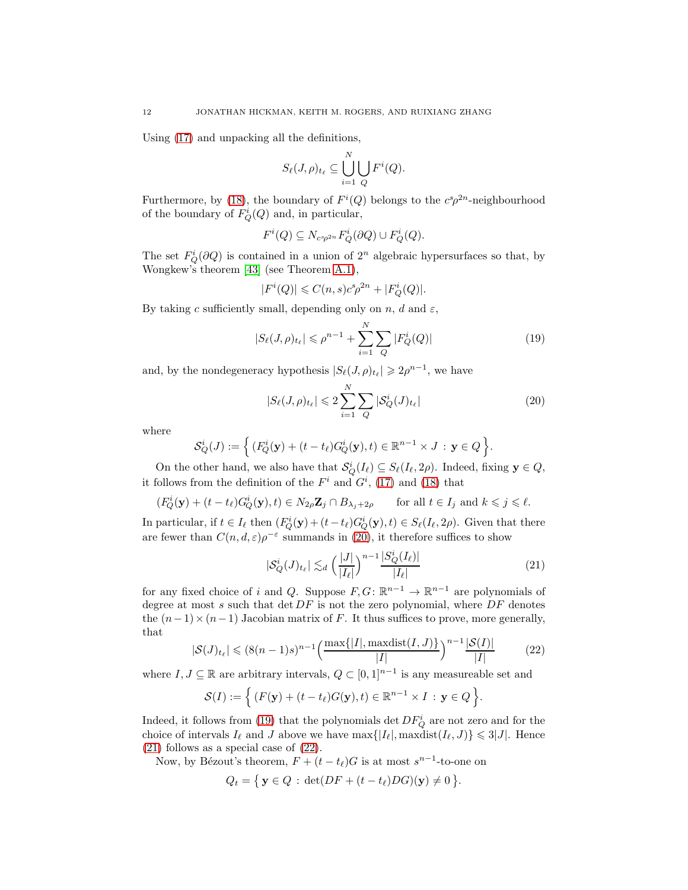Using [\(17\)](#page-10-1) and unpacking all the definitions,

$$
S_{\ell}(J,\rho)_{t_{\ell}} \subseteq \bigcup_{i=1}^N \bigcup_Q F^i(Q).
$$

Furthermore, by [\(18\)](#page-11-0), the boundary of  $F^i(Q)$  belongs to the  $c^s\rho^{2n}$ -neighbourhood of the boundary of  $F_Q^i(Q)$  and, in particular,

$$
F^{i}(Q) \subseteq N_{c^{s}\rho^{2n}} F^{i}_{Q}(\partial Q) \cup F^{i}_{Q}(Q).
$$

The set  $F_Q^i(\partial Q)$  is contained in a union of  $2^n$  algebraic hypersurfaces so that, by Wongkew's theorem [\[43\]](#page-42-16) (see Theorem [A.1\)](#page-40-0),

$$
|F^i(Q)| \leqslant C(n,s)c^s\rho^{2n} + |F^i_Q(Q)|.
$$

By taking c sufficiently small, depending only on n, d and  $\varepsilon$ ,

<span id="page-12-1"></span>
$$
|S_{\ell}(J,\rho)_{t_{\ell}}| \leq \rho^{n-1} + \sum_{i=1}^{N} \sum_{Q} |F_{Q}^{i}(Q)| \qquad (19)
$$

and, by the nondegeneracy hypothesis  $|S_{\ell}(J,\rho)_{t_{\ell}}| \geq 2\rho^{n-1}$ , we have

<span id="page-12-0"></span>
$$
|S_{\ell}(J,\rho)_{t_{\ell}}| \leqslant 2\sum_{i=1}^{N} \sum_{Q} |\mathcal{S}_{Q}^{i}(J)_{t_{\ell}}| \tag{20}
$$

where

$$
\mathcal{S}_Q^i(J) := \left\{ (F_Q^i(\mathbf{y}) + (t - t_\ell) G_Q^i(\mathbf{y}), t) \in \mathbb{R}^{n-1} \times J : \mathbf{y} \in Q \right\}.
$$

On the other hand, we also have that  $\mathcal{S}_Q^i(I_\ell) \subseteq S_\ell(I_\ell, 2\rho)$ . Indeed, fixing  $\mathbf{y} \in Q$ , it follows from the definition of the  $F<sup>i</sup>$  and  $G<sup>i</sup>$ , [\(17\)](#page-10-1) and [\(18\)](#page-11-0) that

$$
(F_Q^i(\mathbf{y}) + (t - t_\ell)G_Q^i(\mathbf{y}), t) \in N_{2\rho} \mathbf{Z}_j \cap B_{\lambda_j + 2\rho} \qquad \text{for all } t \in I_j \text{ and } k \leqslant j \leqslant \ell.
$$

In particular, if  $t \in I_\ell$  then  $(F_Q^i(\mathbf{y}) + (t - t_\ell) G_Q^i(\mathbf{y}), t) \in S_\ell(I_\ell, 2\rho)$ . Given that there are fewer than  $C(n, d, \varepsilon)\rho^{-\varepsilon}$  summands in [\(20\)](#page-12-0), it therefore suffices to show

<span id="page-12-2"></span>
$$
|\mathcal{S}_Q^i(J)_{t_\ell}| \lesssim_d \left(\frac{|J|}{|I_\ell|}\right)^{n-1} \frac{|S_Q^i(I_\ell)|}{|I_\ell|} \tag{21}
$$

for any fixed choice of i and Q. Suppose  $F, G: \mathbb{R}^{n-1} \to \mathbb{R}^{n-1}$  are polynomials of degree at most  $s$  such that  $\det DF$  is not the zero polynomial, where  $DF$  denotes the  $(n-1) \times (n-1)$  Jacobian matrix of F. It thus suffices to prove, more generally, that

<span id="page-12-3"></span>
$$
|\mathcal{S}(J)_{t_{\ell}}| \le (8(n-1)s)^{n-1} \left(\frac{\max\{|I|, \max\{\text{dist}(I, J)\}}{|I|}\right)^{n-1} \frac{|\mathcal{S}(I)|}{|I|}
$$
(22)

where  $I, J \subseteq \mathbb{R}$  are arbitrary intervals,  $Q \subset [0,1]^{n-1}$  is any measureable set and

$$
\mathcal{S}(I) := \Big\{ (F(\mathbf{y}) + (t - t_{\ell})G(\mathbf{y}), t) \in \mathbb{R}^{n-1} \times I : \mathbf{y} \in Q \Big\}.
$$

Indeed, it follows from [\(19\)](#page-12-1) that the polynomials det  $DF_Q^i$  are not zero and for the choice of intervals  $I_{\ell}$  and J above we have  $\max\{|I_{\ell}|, \max\{\text{dist}(I_{\ell}, J)\}\leq 3|J|$ . Hence [\(21\)](#page-12-2) follows as a special case of [\(22\)](#page-12-3).

Now, by Bézout's theorem,  $F + (t - t_\ell)G$  is at most  $s^{n-1}$ -to-one on

$$
Q_t = \{ \mathbf{y} \in Q : \det(DF + (t - t_{\ell})DG)(\mathbf{y}) \neq 0 \}.
$$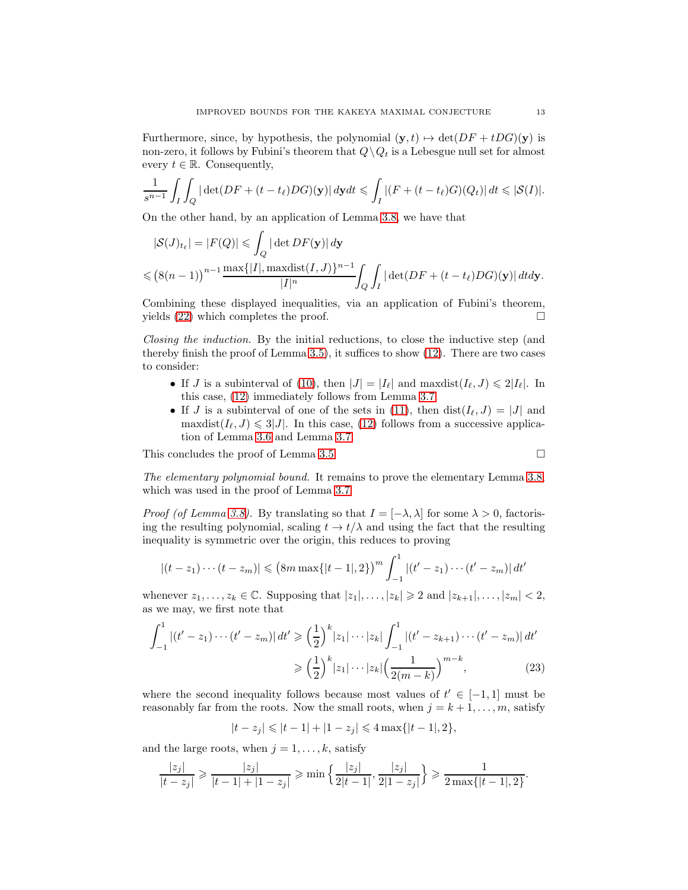Furthermore, since, by hypothesis, the polynomial  $(\mathbf{y}, t) \mapsto \det(DF + tDG)(\mathbf{y})$  is non-zero, it follows by Fubini's theorem that  $Q \setminus Q_t$  is a Lebesgue null set for almost every  $t \in \mathbb{R}$ . Consequently,

$$
\frac{1}{s^{n-1}}\int_I\int_Q|\det(DF+(t-t_\ell)DG)(\mathbf{y})|\,d\mathbf{y}dt\leqslant\int_I|(F+(t-t_\ell)G)(Q_t)|\,dt\leqslant |\mathcal{S}(I)|.
$$

On the other hand, by an application of Lemma [3.8,](#page-10-2) we have that

$$
|\mathcal{S}(J)_{t_{\ell}}| = |F(Q)| \leqslant \int_{Q} |\det DF(\mathbf{y})| d\mathbf{y}
$$
  

$$
\leqslant (8(n-1))^{n-1} \frac{\max\{|I|, \max\{\mathbf{i}(I, J)\}^{n-1}\}}{|I|^{n}} \int_{Q} \int_{I} |\det (DF + (t - t_{\ell})DG)(\mathbf{y})| dtd\mathbf{y}.
$$

Combining these displayed inequalities, via an application of Fubini's theorem, yields  $(22)$  which completes the proof.

Closing the induction. By the initial reductions, to close the inductive step (and thereby finish the proof of Lemma [3.5\)](#page-6-2), it suffices to show [\(12\)](#page-8-3). There are two cases to consider:

- If J is a subinterval of [\(10\)](#page-8-0), then  $|J| = |I_{\ell}|$  and maxdist $(I_{\ell}, J) \leq 2|I_{\ell}|$ . In this case, [\(12\)](#page-8-3) immediately follows from Lemma [3.7.](#page-9-3)
- If J is a subinterval of one of the sets in [\(11\)](#page-8-1), then  $dist(I_{\ell}, J) = |J|$  and maxdist $(I_{\ell}, J) \leq 3|J|$ . In this case, [\(12\)](#page-8-3) follows from a successive application of Lemma [3.6](#page-8-4) and Lemma [3.7.](#page-9-3)

This concludes the proof of Lemma [3.5.](#page-6-2)

<span id="page-13-0"></span>
$$
\qquad \qquad \Box
$$

The elementary polynomial bound. It remains to prove the elementary Lemma [3.8,](#page-10-2) which was used in the proof of Lemma [3.7.](#page-9-3)

*Proof (of Lemma [3.8\)](#page-10-2).* By translating so that  $I = [-\lambda, \lambda]$  for some  $\lambda > 0$ , factorising the resulting polynomial, scaling  $t \to t/\lambda$  and using the fact that the resulting inequality is symmetric over the origin, this reduces to proving

$$
|(t-z_1)\cdots(t-z_m)| \leq (8m \max\{|t-1|,2\})^m \int_{-1}^1 |(t'-z_1)\cdots(t'-z_m)| dt'
$$

whenever  $z_1, \ldots, z_k \in \mathbb{C}$ . Supposing that  $|z_1|, \ldots, |z_k| \geq 2$  and  $|z_{k+1}|, \ldots, |z_m| < 2$ , as we may, we first note that

$$
\int_{-1}^{1} |(t'-z_1)\cdots(t'-z_m)| \, dt' \ge \left(\frac{1}{2}\right)^k |z_1|\cdots|z_k| \int_{-1}^{1} |(t'-z_{k+1})\cdots(t'-z_m)| \, dt' \\
\ge \left(\frac{1}{2}\right)^k |z_1|\cdots|z_k| \left(\frac{1}{2(m-k)}\right)^{m-k},\n\tag{23}
$$

where the second inequality follows because most values of  $t' \in [-1,1]$  must be reasonably far from the roots. Now the small roots, when  $j = k + 1, \ldots, m$ , satisfy

$$
|t-z_j| \leq |t-1| + |1-z_j| \leq 4 \max\{|t-1|, 2\},\
$$

and the large roots, when  $j = 1, \ldots, k$ , satisfy

$$
\frac{|z_j|}{|t-z_j|} \geqslant \frac{|z_j|}{|t-1|+|1-z_j|} \geqslant \min\left\{\frac{|z_j|}{2|t-1|}, \frac{|z_j|}{2|1-z_j|}\right\} \geqslant \frac{1}{2\max\{|t-1|, 2\}}.
$$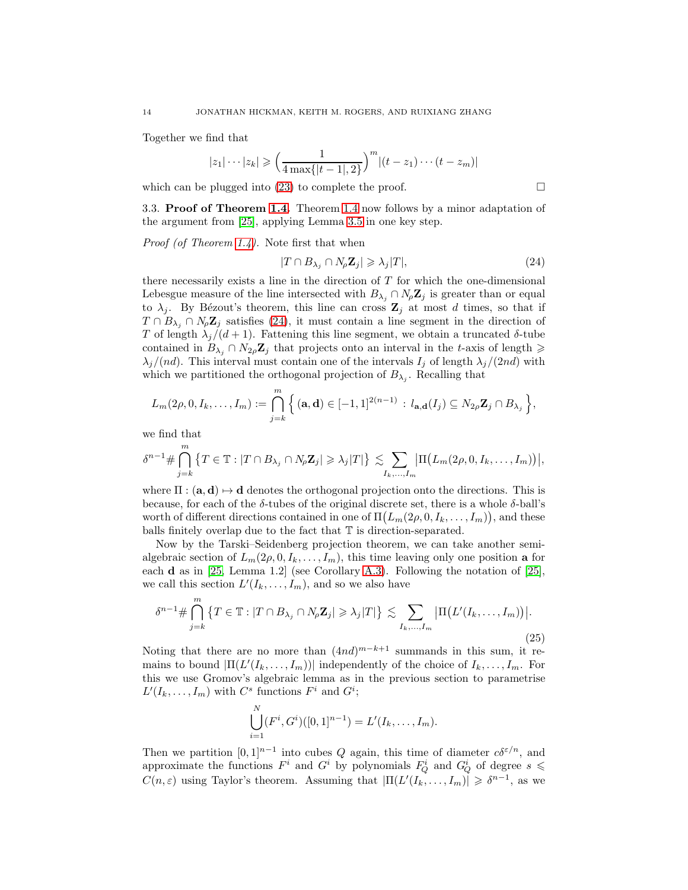Together we find that

$$
|z_1|\cdots|z_k| \geqslant \left(\frac{1}{4\max\{|t-1|,2\}}\right)^m |(t-z_1)\cdots(t-z_m)|
$$

<span id="page-14-0"></span>which can be plugged into [\(23\)](#page-13-0) to complete the proof.  $\Box$ 

3.3. Proof of Theorem [1.4.](#page-3-1) Theorem [1.4](#page-3-1) now follows by a minor adaptation of the argument from [\[25\]](#page-42-15), applying Lemma [3.5](#page-6-2) in one key step.

Proof (of Theorem [1.4\)](#page-3-1). Note first that when

<span id="page-14-1"></span>
$$
|T \cap B_{\lambda_j} \cap N_{\rho} \mathbf{Z}_j| \geqslant \lambda_j |T|,\tag{24}
$$

there necessarily exists a line in the direction of  $T$  for which the one-dimensional Lebesgue measure of the line intersected with  $B_{\lambda_i} \cap N_{\rho} \mathbb{Z}_j$  is greater than or equal to  $\lambda_j$ . By Bézout's theorem, this line can cross  $\mathbb{Z}_j$  at most d times, so that if  $T \n\cap B_{\lambda_i} \n\cap N_{\rho} \mathbb{Z}_j$  satisfies [\(24\)](#page-14-1), it must contain a line segment in the direction of T of length  $\lambda_i/(d+1)$ . Fattening this line segment, we obtain a truncated  $\delta$ -tube contained in  $B_{\lambda_i} \cap N_{2\rho} \mathbb{Z}_j$  that projects onto an interval in the t-axis of length  $\geq$  $\lambda_j/(nd)$ . This interval must contain one of the intervals  $I_j$  of length  $\lambda_j/(2nd)$  with which we partitioned the orthogonal projection of  $B_{\lambda_j}$ . Recalling that

$$
L_m(2\rho, 0, I_k, \ldots, I_m) := \bigcap_{j=k}^m \Big\{ (\mathbf{a}, \mathbf{d}) \in [-1, 1]^{2(n-1)} : l_{\mathbf{a}, \mathbf{d}}(I_j) \subseteq N_{2\rho} \mathbf{Z}_j \cap B_{\lambda_j} \Big\},
$$

we find that

$$
\delta^{n-1} \# \bigcap_{j=k}^m \left\{ T \in \mathbb{T} : |T \cap B_{\lambda_j} \cap N_{\rho} \mathbf{Z}_j| \geqslant \lambda_j |T| \right\} \lesssim \sum_{I_k, ..., I_m} \left| \Pi(L_m(2\rho, 0, I_k, ..., I_m)) \right|,
$$

where  $\Pi : (\mathbf{a}, \mathbf{d}) \mapsto \mathbf{d}$  denotes the orthogonal projection onto the directions. This is because, for each of the  $\delta$ -tubes of the original discrete set, there is a whole  $\delta$ -ball's worth of different directions contained in one of  $\Pi(L_m(2\rho, 0, I_k, \ldots, I_m))$ , and these balls finitely overlap due to the fact that T is direction-separated.

Now by the Tarski–Seidenberg projection theorem, we can take another semialgebraic section of  $L_m(2\rho, 0, I_k, \ldots, I_m)$ , this time leaving only one position **a** for each d as in [\[25,](#page-42-15) Lemma 1.2] (see Corollary [A.3\)](#page-40-2). Following the notation of [\[25\]](#page-42-15), we call this section  $L'(I_k,\ldots,I_m)$ , and so we also have

<span id="page-14-2"></span>
$$
\delta^{n-1} \# \bigcap_{j=k}^{m} \left\{ T \in \mathbb{T} : |T \cap B_{\lambda_j} \cap N_{\rho} \mathbf{Z}_j| \geqslant \lambda_j |T| \right\} \lesssim \sum_{I_k, \dots, I_m} \left| \Pi \big( L'(I_k, \dots, I_m) \big) \right|.
$$
\n(25)

Noting that there are no more than  $(4nd)^{m-k+1}$  summands in this sum, it remains to bound  $|\Pi(L'(I_k,\ldots,I_m))|$  independently of the choice of  $I_k,\ldots,I_m$ . For this we use Gromov's algebraic lemma as in the previous section to parametrise  $L'(I_k,\ldots,I_m)$  with  $C^s$  functions  $F^i$  and  $G^i$ ;

$$
\bigcup_{i=1}^N (F^i, G^i) ([0,1]^{n-1}) = L'(I_k, \ldots, I_m).
$$

Then we partition  $[0,1]^{n-1}$  into cubes Q again, this time of diameter  $c\delta^{\varepsilon/n}$ , and approximate the functions  $F^i$  and  $G^i$  by polynomials  $F_Q^i$  and  $G_Q^i$  of degree  $s \leq$  $C(n,\varepsilon)$  using Taylor's theorem. Assuming that  $|\Pi(L'(I_k,\ldots,I_m)| \geq \delta^{n-1}$ , as we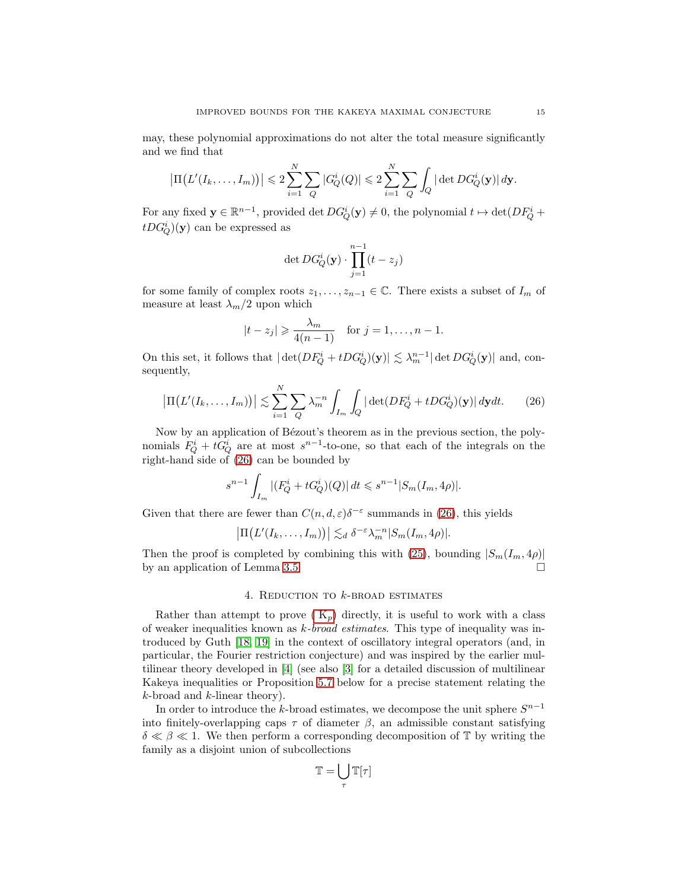may, these polynomial approximations do not alter the total measure significantly and we find that

$$
\left|\Pi(L'(I_k,\ldots,I_m))\right| \leq 2\sum_{i=1}^N \sum_Q |G_Q^i(Q)| \leq 2\sum_{i=1}^N \sum_Q \int_Q |\det DG_Q^i(\mathbf{y})| d\mathbf{y}.
$$

For any fixed  $y \in \mathbb{R}^{n-1}$ , provided det  $DG_Q^i(y) \neq 0$ , the polynomial  $t \mapsto \det(DF_Q^i +$  $tDG_Q^i)(\mathbf{y})$  can be expressed as

<span id="page-15-1"></span>
$$
\det DG^i_Q(\mathbf{y}) \cdot \prod_{j=1}^{n-1} (t - z_j)
$$

for some family of complex roots  $z_1, \ldots, z_{n-1} \in \mathbb{C}$ . There exists a subset of  $I_m$  of measure at least  $\lambda_m/2$  upon which

$$
|t-z_j| \geqslant \frac{\lambda_m}{4(n-1)} \quad \text{for } j=1,\ldots,n-1.
$$

On this set, it follows that  $|\det(DF_Q^i + tDG_Q^i)(\mathbf{y})| \lesssim \lambda_m^{n-1} |\det DG_Q^i(\mathbf{y})|$  and, consequently,

$$
\left|\Pi\big(L'(I_k,\ldots,I_m)\big)\right| \lesssim \sum_{i=1}^N \sum_Q \lambda_m^{-n} \int_{I_m} \int_Q |\det(DF_Q^i + tDG_Q^i)(\mathbf{y})| \, d\mathbf{y} dt. \tag{26}
$$

Now by an application of Bézout's theorem as in the previous section, the polynomials  $F_Q^i + tG_Q^i$  are at most  $s^{n-1}$ -to-one, so that each of the integrals on the right-hand side of [\(26\)](#page-15-1) can be bounded by

$$
s^{n-1} \int_{I_m} |(F_Q^i + tG_Q^i)(Q)| dt \leq s^{n-1} |S_m(I_m, 4\rho)|.
$$

Given that there are fewer than  $C(n, d, \varepsilon) \delta^{-\varepsilon}$  summands in [\(26\)](#page-15-1), this yields

$$
\left|\Pi(L'(I_k,\ldots,I_m))\right| \lesssim_d \delta^{-\varepsilon} \lambda_m^{-n} |S_m(I_m,4\rho)|.
$$

<span id="page-15-0"></span>Then the proof is completed by combining this with [\(25\)](#page-14-2), bounding  $|S_m(I_m, 4\rho)|$ by an application of Lemma [3.5.](#page-6-2)

# 4. REDUCTION TO  $k$ -BROAD ESTIMATES

Rather than attempt to prove  $(K_p)$  directly, it is useful to work with a class of weaker inequalities known as  $k$ -broad estimates. This type of inequality was introduced by Guth [\[18,](#page-41-12) [19\]](#page-42-13) in the context of oscillatory integral operators (and, in particular, the Fourier restriction conjecture) and was inspired by the earlier multilinear theory developed in [\[4\]](#page-41-7) (see also [\[3\]](#page-41-16) for a detailed discussion of multilinear Kakeya inequalities or Proposition [5.7](#page-20-0) below for a precise statement relating the  $k$ -broad and  $k$ -linear theory).

In order to introduce the k-broad estimates, we decompose the unit sphere  $S^{n-1}$ into finitely-overlapping caps  $\tau$  of diameter  $\beta$ , an admissible constant satisfying  $\delta \ll \beta \ll 1$ . We then perform a corresponding decomposition of T by writing the family as a disjoint union of subcollections

$$
\mathbb{T}=\bigcup_\tau \mathbb{T}[\tau]
$$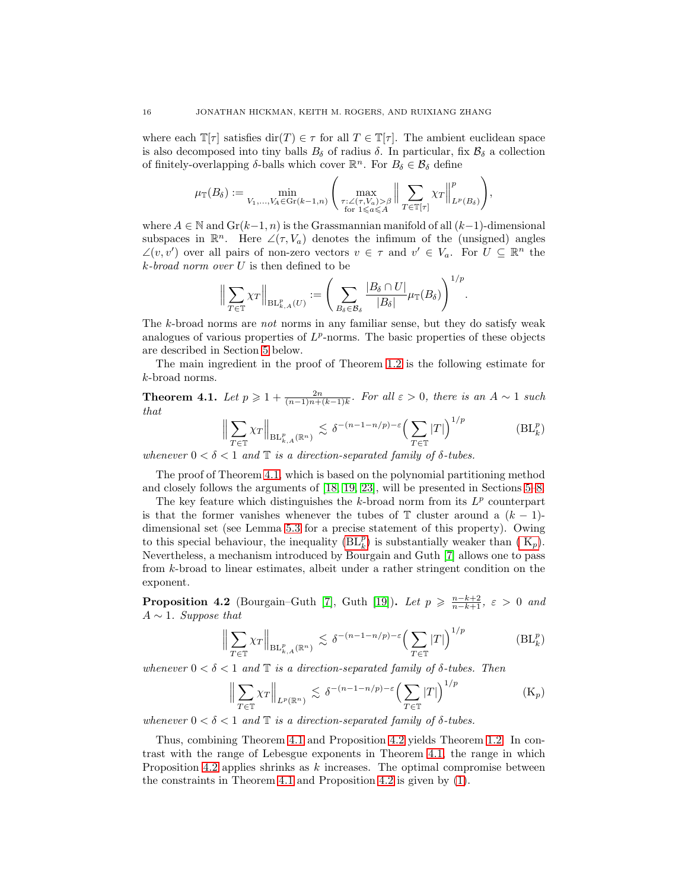where each  $\mathbb{T}[\tau]$  satisfies  $\text{dir}(T) \in \tau$  for all  $T \in \mathbb{T}[\tau]$ . The ambient euclidean space is also decomposed into tiny balls  $B_\delta$  of radius  $\delta$ . In particular, fix  $B_\delta$  a collection of finitely-overlapping  $\delta$ -balls which cover  $\mathbb{R}^n$ . For  $B_{\delta} \in \mathcal{B}_{\delta}$  define

$$
\mu_{\mathbb{T}}(B_\delta) := \min_{V_1,...,V_A \in \operatorname{Gr}(k-1,n)} \Bigg( \max_{\substack{\tau : \angle(\tau,V_a) > \beta \\ \text{for } 1 \leqslant a \leqslant A}} \Big\| \sum_{T \in \mathbb{T}[\tau]} \chi_T \Big\|_{L^p(B_\delta)}^p \Bigg),
$$

where  $A \in \mathbb{N}$  and  $\mathrm{Gr}(k-1,n)$  is the Grassmannian manifold of all  $(k-1)$ -dimensional subspaces in  $\mathbb{R}^n$ . Here  $\angle(\tau, V_a)$  denotes the infimum of the (unsigned) angles  $\angle(v, v')$  over all pairs of non-zero vectors  $v \in \tau$  and  $v' \in V_a$ . For  $U \subseteq \mathbb{R}^n$  the  $k$ -broad norm over  $U$  is then defined to be

$$
\Big\| \sum_{T \in \mathbb{T}} \chi_T \Big\|_{\mathrm{BL}_{k,A}^p(U)} := \Bigg( \sum_{B_\delta \in \mathcal{B}_\delta} \frac{|B_\delta \cap U|}{|B_\delta|} \mu_{\mathbb{T}}(B_\delta) \Bigg)^{1/p}.
$$

The k-broad norms are not norms in any familiar sense, but they do satisfy weak analogues of various properties of  $L^p$ -norms. The basic properties of these objects are described in Section [5](#page-18-0) below.

The main ingredient in the proof of Theorem [1.2](#page-2-0) is the following estimate for k-broad norms.

<span id="page-16-0"></span>**Theorem 4.1.** Let  $p \geq 1 + \frac{2n}{(n-1)n + (k-1)k}$ . For all  $\varepsilon > 0$ , there is an  $A \sim 1$  such that

<span id="page-16-1"></span>
$$
\Big\| \sum_{T \in \mathbb{T}} \chi_T \Big\|_{\mathrm{BL}_{k,A}^p(\mathbb{R}^n)} \lesssim \delta^{-(n-1-n/p)-\varepsilon} \Big(\sum_{T \in \mathbb{T}} |T|\Big)^{1/p} \tag{BL_k^p}
$$

whenever  $0 < \delta < 1$  and  $\mathbb T$  is a direction-separated family of  $\delta$ -tubes.

The proof of Theorem [4.1,](#page-16-0) which is based on the polynomial partitioning method and closely follows the arguments of [\[18,](#page-41-12) [19,](#page-42-13) [23\]](#page-42-17), will be presented in Sections [5–](#page-18-0)[8.](#page-34-0)

The key feature which distinguishes the  $k$ -broad norm from its  $L^p$  counterpart is that the former vanishes whenever the tubes of  $\mathbb T$  cluster around a  $(k-1)$ dimensional set (see Lemma [5.3](#page-19-0) for a precise statement of this property). Owing to this special behaviour, the inequality  $(BL_k^p)$  is substantially weaker than  $(K_p)$ . Nevertheless, a mechanism introduced by Bourgain and Guth [\[7\]](#page-41-13) allows one to pass from k-broad to linear estimates, albeit under a rather stringent condition on the exponent.

<span id="page-16-2"></span>**Proposition 4.2** (Bourgain–Guth [\[7\]](#page-41-13), Guth [\[19\]](#page-42-13)). Let  $p \ge \frac{n-k+2}{n-k+1}$ ,  $\varepsilon > 0$  and  $A \sim 1$ . Suppose that

$$
\left\| \sum_{T \in \mathbb{T}} \chi_T \right\|_{\operatorname{BL}_{k,A}^p(\mathbb{R}^n)} \lesssim \delta^{-(n-1-n/p)-\varepsilon} \left( \sum_{T \in \mathbb{T}} |T| \right)^{1/p} \tag{BL_k^p}
$$

whenever  $0 < \delta < 1$  and  $\mathbb T$  is a direction-separated family of  $\delta$ -tubes. Then

<span id="page-16-4"></span><span id="page-16-3"></span>
$$
\left\| \sum_{T \in \mathbb{T}} \chi_T \right\|_{L^p(\mathbb{R}^n)} \lesssim \delta^{-(n-1-n/p)-\varepsilon} \left( \sum_{T \in \mathbb{T}} |T| \right)^{1/p} \tag{K_p}
$$

whenever  $0 < \delta < 1$  and  $\mathbb T$  is a direction-separated family of  $\delta$ -tubes.

Thus, combining Theorem [4.1](#page-16-0) and Proposition [4.2](#page-16-2) yields Theorem [1.2.](#page-2-0) In contrast with the range of Lebesgue exponents in Theorem [4.1,](#page-16-0) the range in which Proposition [4.2](#page-16-2) applies shrinks as  $k$  increases. The optimal compromise between the constraints in Theorem [4.1](#page-16-0) and Proposition [4.2](#page-16-2) is given by [\(1\)](#page-2-1).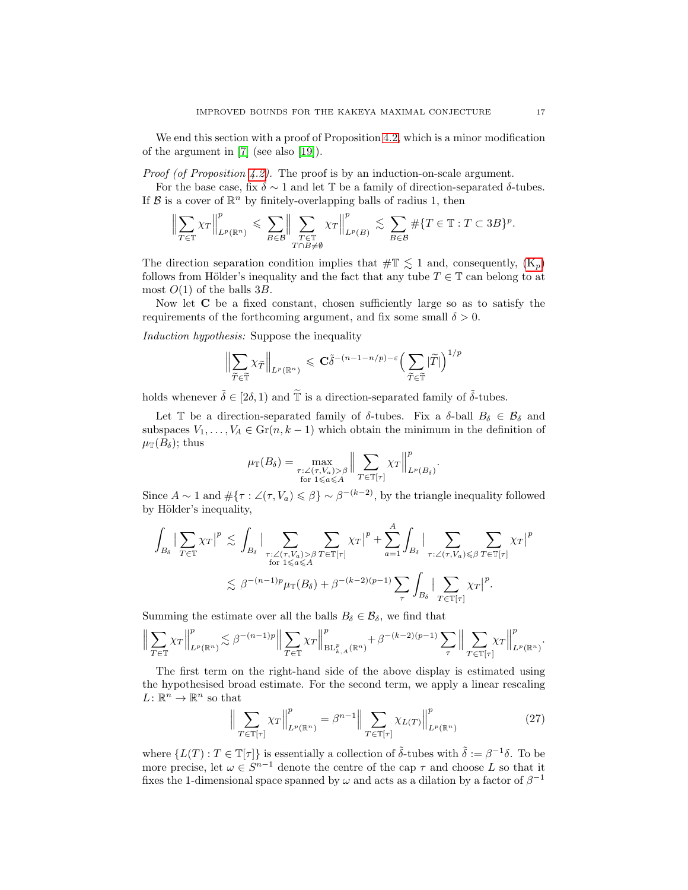We end this section with a proof of Proposition [4.2,](#page-16-2) which is a minor modification of the argument in [\[7\]](#page-41-13) (see also [\[19\]](#page-42-13)).

Proof (of Proposition [4.2\)](#page-16-2). The proof is by an induction-on-scale argument.

For the base case, fix  $\delta \sim 1$  and let T be a family of direction-separated  $\delta$ -tubes. If  $\mathcal B$  is a cover of  $\mathbb R^n$  by finitely-overlapping balls of radius 1, then

$$
\Big\|\sum_{T\in\mathbb{T}}\chi_T\Big\|_{L^p(\mathbb{R}^n)}^p\leqslant \sum_{B\in\mathcal{B}}\Big\|\sum_{\substack{T\in\mathbb{T}\\T\cap B\not=\emptyset}}\chi_T\Big\|_{L^p(B)}^p\lesssim \sum_{B\in\mathcal{B}}\#\{T\in\mathbb{T}:T\subset 3B\}^p.
$$

The direction separation condition implies that  $\#\mathbb{T} \lesssim 1$  and, consequently,  $(K_p)$ follows from Hölder's inequality and the fact that any tube  $T \in \mathbb{T}$  can belong to at most  $O(1)$  of the balls 3B.

Now let C be a fixed constant, chosen sufficiently large so as to satisfy the requirements of the forthcoming argument, and fix some small  $\delta > 0$ .

Induction hypothesis: Suppose the inequality

$$
\Bigl\|\sum_{\widetilde{T}\in\widetilde{\mathbb{T}}}\chi_{\widetilde{T}}\Bigr\|_{L^p(\mathbb{R}^n)}\,\leqslant\, \mathbf{C} \widetilde{\delta}^{-(n-1-n/p)-\varepsilon}\Bigl(\sum_{\widetilde{T}\in\widetilde{\mathbb{T}}}\vert \widetilde{T}\vert\Bigr)^{1/p}
$$

holds whenever  $\tilde{\delta} \in [2\delta, 1)$  and  $\tilde{\mathbb{T}}$  is a direction-separated family of  $\tilde{\delta}$ -tubes.

Let T be a direction-separated family of  $\delta$ -tubes. Fix a  $\delta$ -ball  $B_{\delta} \in \mathcal{B}_{\delta}$  and subspaces  $V_1, \ldots, V_A \in \text{Gr}(n, k-1)$  which obtain the minimum in the definition of  $\mu_{\mathbb{T}}(B_{\delta});$  thus

$$
\mu_{\mathbb{T}}(B_{\delta}) = \max_{\substack{\tau : \angle(\tau, V_a) > \beta \\ \text{for } 1 \leq a \leq A}} \Big\| \sum_{T \in \mathbb{T}[\tau]} \chi_T \Big\|_{L^p(B_{\delta})}^p.
$$

Since  $A \sim 1$  and  $\#\{\tau : \angle(\tau, V_a) \leq \beta\} \sim \beta^{-(k-2)}$ , by the triangle inequality followed by Hölder's inequality,

$$
\int_{B_{\delta}} \left| \sum_{T \in \mathbb{T}} \chi_{T} \right|^{p} \lesssim \int_{B_{\delta}} \left| \sum_{\substack{\tau : \angle(\tau, V_{a}) > \beta \\ \text{for } 1 \leq a \leq A}} \sum_{T \in \mathbb{T}[\tau]} \chi_{T} \right|^{p} + \sum_{a=1}^{A} \int_{B_{\delta}} \left| \sum_{\tau : \angle(\tau, V_{a}) \leq \beta} \sum_{T \in \mathbb{T}[\tau]} \chi_{T} \right|^{p}
$$
\n
$$
\lesssim \beta^{-(n-1)p} \mu_{\mathbb{T}}(B_{\delta}) + \beta^{-(k-2)(p-1)} \sum_{\tau} \int_{B_{\delta}} \left| \sum_{T \in \mathbb{T}[\tau]} \chi_{T} \right|^{p}.
$$

Summing the estimate over all the balls  $B_{\delta} \in \mathcal{B}_{\delta}$ , we find that

$$
\Big\|\sum_{T\in\mathbb{T}}\chi_T\Big\|_{L^p(\mathbb{R}^n)}^p\lesssim \beta^{-(n-1)p}\Big\|\sum_{T\in\mathbb{T}}\chi_T\Big\|_{\mathrm{BL}_{k,A}^p(\mathbb{R}^n)}^p+\beta^{-(k-2)(p-1)}\sum_{\tau}\Big\|\sum_{T\in\mathbb{T}[\tau]}\chi_T\Big\|_{L^p(\mathbb{R}^n)}^p.
$$

The first term on the right-hand side of the above display is estimated using the hypothesised broad estimate. For the second term, we apply a linear rescaling  $L: \mathbb{R}^n \to \mathbb{R}^n$  so that

<span id="page-17-0"></span>
$$
\left\| \sum_{T \in \mathbb{T}[\tau]} \chi_T \right\|_{L^p(\mathbb{R}^n)}^p = \beta^{n-1} \left\| \sum_{T \in \mathbb{T}[\tau]} \chi_{L(T)} \right\|_{L^p(\mathbb{R}^n)}^p \tag{27}
$$

where  $\{L(T) : T \in \mathbb{T}[\tau]\}$  is essentially a collection of  $\tilde{\delta}$ -tubes with  $\tilde{\delta} := \beta^{-1} \delta$ . To be more precise, let  $\omega \in S^{n-1}$  denote the centre of the cap  $\tau$  and choose L so that it fixes the 1-dimensional space spanned by  $\omega$  and acts as a dilation by a factor of  $\beta^{-1}$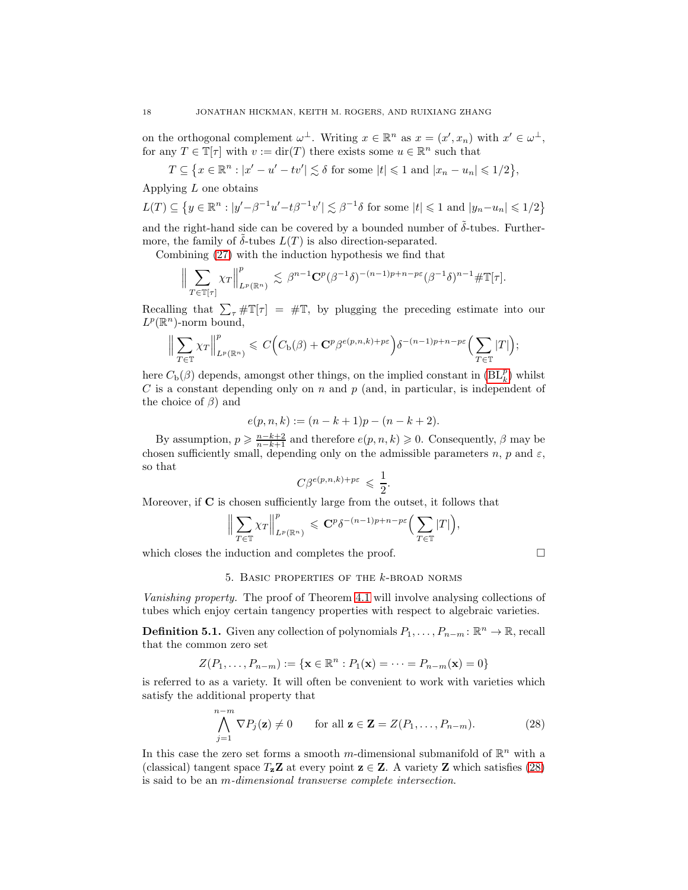on the orthogonal complement  $\omega^{\perp}$ . Writing  $x \in \mathbb{R}^n$  as  $x = (x', x_n)$  with  $x' \in \omega^{\perp}$ , for any  $T \in \mathbb{T}[\tau]$  with  $v := \text{dir}(T)$  there exists some  $u \in \mathbb{R}^n$  such that

 $T \subseteq \left\{ x \in \mathbb{R}^n : |x' - u' - tv'| \lesssim \delta \text{ for some } |t| \leq 1 \text{ and } |x_n - u_n| \leq 1/2 \right\},\$ 

Applying  $L$  one obtains

$$
L(T) \subseteq \left\{ y \in \mathbb{R}^n : |y' - \beta^{-1}u' - t\beta^{-1}v'| \lesssim \beta^{-1}\delta \text{ for some } |t| \leq 1 \text{ and } |y_n - u_n| \leq 1/2 \right\}
$$

and the right-hand side can be covered by a bounded number of  $\delta$ -tubes. Furthermore, the family of  $\delta$ -tubes  $L(T)$  is also direction-separated.

Combining [\(27\)](#page-17-0) with the induction hypothesis we find that

$$
\Big\|\sum_{T\in\mathbb{T}[\tau]} \chi_T \Big\|_{L^p(\mathbb{R}^n)}^p \lesssim \beta^{n-1} \mathbf{C}^p (\beta^{-1}\delta)^{-(n-1)p+n-p\varepsilon} (\beta^{-1}\delta)^{n-1} \#\mathbb{T}[\tau].
$$

Recalling that  $\sum_{\tau} \# \mathbb{T}[\tau] = \# \mathbb{T}$ , by plugging the preceding estimate into our  $L^p(\mathbb{R}^n)$ -norm bound,

$$
\Big\|\sum_{T\in\mathbb{T}}\chi_T\Big\|_{L^p(\mathbb{R}^n)}^p\leqslant C\Big(C_{\rm b}(\beta)+\mathbf{C}^p\beta^{e(p,n,k)+p\varepsilon}\Big)\delta^{-(n-1)p+n-p\varepsilon}\Big(\sum_{T\in\mathbb{T}}|T|\Big);
$$

here  $C_{\mathbf{b}}(\beta)$  depends, amongst other things, on the implied constant in  $(\mathrm{BL}_{k}^{p})$  whilst  $C$  is a constant depending only on  $n$  and  $p$  (and, in particular, is independent of the choice of  $\beta$ ) and

$$
e(p,n,k):=(n-k+1)p-(n-k+2).\\
$$

By assumption,  $p \geq \frac{n-k+2}{n-k+1}$  and therefore  $e(p, n, k) \geq 0$ . Consequently,  $\beta$  may be chosen sufficiently small, depending only on the admissible parameters *n*, *p* and  $\varepsilon$ , so that

$$
C\beta^{e(p,n,k)+p\varepsilon} \leqslant \frac{1}{2}.
$$

Moreover, if C is chosen sufficiently large from the outset, it follows that

$$
\Big\|\sum_{T\in\mathbb{T}}\chi_T\Big\|_{L^p(\mathbb{R}^n)}^p\leqslant \mathbf{C}^p\delta^{-(n-1)p+n-p\varepsilon}\Big(\sum_{T\in\mathbb{T}}|T|\Big),
$$

<span id="page-18-0"></span>which closes the induction and completes the proof.  $\Box$ 

# 5. BASIC PROPERTIES OF THE  $k$ -BROAD NORMS

Vanishing property. The proof of Theorem [4.1](#page-16-0) will involve analysing collections of tubes which enjoy certain tangency properties with respect to algebraic varieties.

<span id="page-18-1"></span>**Definition 5.1.** Given any collection of polynomials  $P_1, \ldots, P_{n-m} : \mathbb{R}^n \to \mathbb{R}$ , recall that the common zero set

$$
Z(P_1,\ldots,P_{n-m}) := \{ \mathbf{x} \in \mathbb{R}^n : P_1(\mathbf{x}) = \cdots = P_{n-m}(\mathbf{x}) = 0 \}
$$

is referred to as a variety. It will often be convenient to work with varieties which satisfy the additional property that

<span id="page-18-2"></span>
$$
\bigwedge_{j=1}^{n-m} \nabla P_j(\mathbf{z}) \neq 0 \qquad \text{for all } \mathbf{z} \in \mathbf{Z} = Z(P_1, \dots, P_{n-m}). \tag{28}
$$

In this case the zero set forms a smooth m-dimensional submanifold of  $\mathbb{R}^n$  with a (classical) tangent space  $T_z \mathbf{Z}$  at every point  $z \in \mathbf{Z}$ . A variety  $\mathbf{Z}$  which satisfies [\(28\)](#page-18-2) is said to be an m-dimensional transverse complete intersection.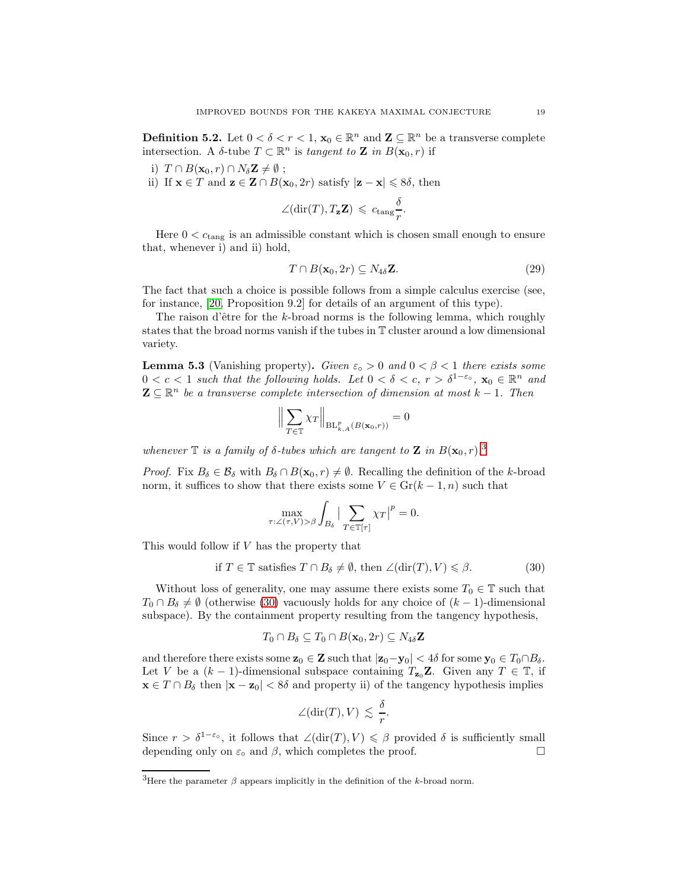<span id="page-19-3"></span>**Definition 5.2.** Let  $0 < \delta < r < 1$ ,  $\mathbf{x}_0 \in \mathbb{R}^n$  and  $\mathbf{Z} \subseteq \mathbb{R}^n$  be a transverse complete intersection. A  $\delta$ -tube  $T \subset \mathbb{R}^n$  is tangent to **Z** in  $B(\mathbf{x}_0, r)$  if

i)  $T \cap B(\mathbf{x}_0, r) \cap N_{\delta} \mathbf{Z} \neq \emptyset$ ;

ii) If  $\mathbf{x} \in T$  and  $\mathbf{z} \in \mathbf{Z} \cap B(\mathbf{x}_0, 2r)$  satisfy  $|\mathbf{z} - \mathbf{x}| \leq 8\delta$ , then

$$
\angle(\text{dir}(T), T_{\mathbf{z}}\mathbf{Z}) \,\leqslant\, c_{\text{tang}}\frac{\delta}{r}.
$$

Here  $0 < c_{\text{tang}}$  is an admissible constant which is chosen small enough to ensure that, whenever i) and ii) hold,

<span id="page-19-4"></span>
$$
T \cap B(\mathbf{x}_0, 2r) \subseteq N_{4\delta} \mathbf{Z}.
$$
 (29)

The fact that such a choice is possible follows from a simple calculus exercise (see, for instance, [\[20,](#page-42-18) Proposition 9.2] for details of an argument of this type).

The raison d'être for the k-broad norms is the following lemma, which roughly states that the broad norms vanish if the tubes in T cluster around a low dimensional variety.

<span id="page-19-0"></span>**Lemma 5.3** (Vanishing property). Given  $\varepsilon_0 > 0$  and  $0 < \beta < 1$  there exists some  $0 < c < 1$  such that the following holds. Let  $0 < \delta < c, r > \delta^{1-\varepsilon_o}$ ,  $\mathbf{x}_0 \in \mathbb{R}^n$  and  $\mathbf{Z} \subseteq \mathbb{R}^n$  be a transverse complete intersection of dimension at most  $k-1$ . Then

$$
\Big\| \sum_{T \in \mathbb{T}} \chi_T \Big\|_{\operatorname{BL}_{k,A}^p(B(\mathbf{x}_0,r))} = 0
$$

whenever  $\mathbb T$  is a family of  $\delta$ -tubes which are tangent to  $\mathbb Z$  in  $B(\mathbf{x}_0,r).$ <sup>[3](#page-19-1)</sup>

*Proof.* Fix  $B_{\delta} \in \mathcal{B}_{\delta}$  with  $B_{\delta} \cap B(\mathbf{x}_0, r) \neq \emptyset$ . Recalling the definition of the k-broad norm, it suffices to show that there exists some  $V \in \mathrm{Gr}(k-1,n)$  such that

$$
\max_{\tau:\angle(\tau,V)>\beta}\int_{B_{\delta}}\big|\sum_{T\in\mathbb{T}[\tau]}\chi_{T}\big|^{p}=0.
$$

This would follow if V has the property that

<span id="page-19-2"></span>
$$
\text{if } T \in \mathbb{T} \text{ satisfies } T \cap B_{\delta} \neq \emptyset, \text{ then } \angle(\text{dir}(T), V) \leqslant \beta. \tag{30}
$$

Without loss of generality, one may assume there exists some  $T_0 \in \mathbb{T}$  such that  $T_0 \cap B_\delta \neq \emptyset$  (otherwise [\(30\)](#page-19-2) vacuously holds for any choice of  $(k-1)$ -dimensional subspace). By the containment property resulting from the tangency hypothesis,

$$
T_0 \cap B_\delta \subseteq T_0 \cap B(\mathbf{x}_0, 2r) \subseteq N_{4\delta} \mathbf{Z}
$$

and therefore there exists some  $\mathbf{z}_0 \in \mathbf{Z}$  such that  $|\mathbf{z}_0 - \mathbf{y}_0| < 4\delta$  for some  $\mathbf{y}_0 \in T_0 \cap B_\delta$ . Let V be a  $(k-1)$ -dimensional subspace containing  $T_{\mathbf{z}_0}\mathbf{Z}$ . Given any  $T \in \mathbb{T}$ , if  $\mathbf{x} \in T \cap B_\delta$  then  $|\mathbf{x} - \mathbf{z}_0| < 8\delta$  and property ii) of the tangency hypothesis implies

$$
\angle(\text{dir}(T), V) \lesssim \frac{\delta}{r}.
$$

Since  $r > \delta^{1-\varepsilon_o}$ , it follows that  $\angle(\text{dir}(T), V) \leq \beta$  provided  $\delta$  is sufficiently small depending only on  $\varepsilon_{\circ}$  and  $\beta$ , which completes the proof.

<span id="page-19-1"></span><sup>&</sup>lt;sup>3</sup>Here the parameter  $\beta$  appears implicitly in the definition of the k-broad norm.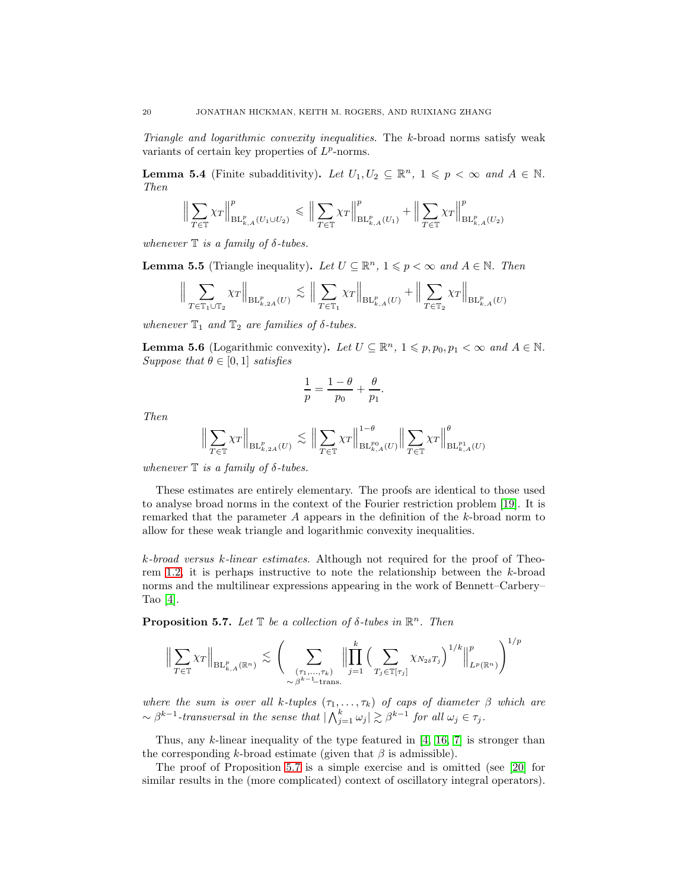Triangle and logarithmic convexity inequalities. The k-broad norms satisfy weak variants of certain key properties of  $L^p$ -norms.

**Lemma 5.4** (Finite subadditivity). Let  $U_1, U_2 \subseteq \mathbb{R}^n$ ,  $1 \leq p < \infty$  and  $A \in \mathbb{N}$ . Then

$$
\Big\| \sum_{T \in \mathbb{T}} \chi_T \Big\|_{\mathrm{BL}_{k,A}^p(U_1 \cup U_2)}^p \leqslant \Big\| \sum_{T \in \mathbb{T}} \chi_T \Big\|_{\mathrm{BL}_{k,A}^p(U_1)}^p + \Big\| \sum_{T \in \mathbb{T}} \chi_T \Big\|_{\mathrm{BL}_{k,A}^p(U_2)}^p
$$

whenever  $\mathbb T$  is a family of  $\delta$ -tubes.

<span id="page-20-1"></span>**Lemma 5.5** (Triangle inequality). Let  $U \subseteq \mathbb{R}^n$ ,  $1 \leq p < \infty$  and  $A \in \mathbb{N}$ . Then

$$
\Big\| \sum_{T \in \mathbb{T}_1 \cup \mathbb{T}_2} \chi_T \Big\|_{\mathrm{BL}_{k,2A}^p(U)} \lesssim \Big\| \sum_{T \in \mathbb{T}_1} \chi_T \Big\|_{\mathrm{BL}_{k,A}^p(U)} + \Big\| \sum_{T \in \mathbb{T}_2} \chi_T \Big\|_{\mathrm{BL}_{k,A}^p(U)}
$$

whenever  $\mathbb{T}_1$  and  $\mathbb{T}_2$  are families of  $\delta$ -tubes.

<span id="page-20-2"></span>**Lemma 5.6** (Logarithmic convexity). Let  $U \subseteq \mathbb{R}^n$ ,  $1 \leqslant p, p_0, p_1 < \infty$  and  $A \in \mathbb{N}$ . Suppose that  $\theta \in [0, 1]$  satisfies

$$
\frac{1}{p} = \frac{1-\theta}{p_0} + \frac{\theta}{p_1}.
$$

Then

$$
\Big\| \sum_{T \in \mathbb{T}} \chi_T \Big\|_{\mathrm{BL}_{k,2A}^p(U)} \lesssim \Big\| \sum_{T \in \mathbb{T}} \chi_T \Big\|_{\mathrm{BL}_{k,A}^{p_0}(U)}^{1-\theta} \Big\| \sum_{T \in \mathbb{T}} \chi_T \Big\|_{\mathrm{BL}_{k,A}^{p_1}(U)}^{\theta}
$$

whenever  $\mathbb T$  is a family of  $\delta$ -tubes.

These estimates are entirely elementary. The proofs are identical to those used to analyse broad norms in the context of the Fourier restriction problem [\[19\]](#page-42-13). It is remarked that the parameter A appears in the definition of the k-broad norm to allow for these weak triangle and logarithmic convexity inequalities.

k-broad versus k-linear estimates. Although not required for the proof of Theorem [1.2,](#page-2-0) it is perhaps instructive to note the relationship between the k-broad norms and the multilinear expressions appearing in the work of Bennett–Carbery– Tao [\[4\]](#page-41-7).

<span id="page-20-0"></span>**Proposition 5.7.** Let  $\mathbb{T}$  be a collection of  $\delta$ -tubes in  $\mathbb{R}^n$ . Then

$$
\Big\| \sum_{T \in \mathbb{T}} \chi_T \Big\|_{\mathrm{BL}_{k,A}^p(\mathbb{R}^n)} \lesssim \Bigg( \sum_{\substack{(\tau_1, \ldots, \tau_k) \\ \sim \beta^{k-1} \text{-trans.}}} \Big\| \prod_{j=1}^k \Big( \sum_{T_j \in \mathbb{T}[\tau_j]} \chi_{N_{2\delta}T_j} \Big)^{1/k} \Big\|_{L^p(\mathbb{R}^n)}^p \Bigg)^{1/p}
$$

where the sum is over all k-tuples  $(\tau_1, \ldots, \tau_k)$  of caps of diameter  $\beta$  which are  $\sim \beta^{k-1}$ -transversal in the sense that  $|\bigwedge_{j=1}^k \omega_j| \gtrsim \beta^{k-1}$  for all  $\omega_j \in \tau_j$ .

Thus, any  $k$ -linear inequality of the type featured in [\[4,](#page-41-7) [16,](#page-41-9) [7\]](#page-41-13) is stronger than the corresponding k-broad estimate (given that  $\beta$  is admissible).

The proof of Proposition [5.7](#page-20-0) is a simple exercise and is omitted (see [\[20\]](#page-42-18) for similar results in the (more complicated) context of oscillatory integral operators).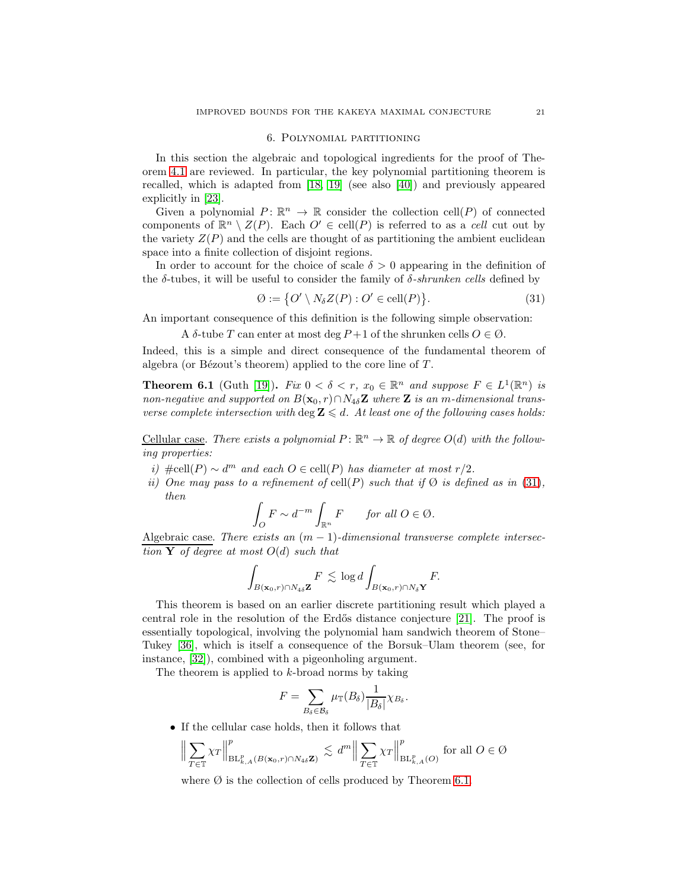#### 6. Polynomial partitioning

<span id="page-21-0"></span>In this section the algebraic and topological ingredients for the proof of Theorem [4.1](#page-16-0) are reviewed. In particular, the key polynomial partitioning theorem is recalled, which is adapted from [\[18,](#page-41-12) [19\]](#page-42-13) (see also [\[40\]](#page-42-19)) and previously appeared explicitly in [\[23\]](#page-42-17).

Given a polynomial  $P: \mathbb{R}^n \to \mathbb{R}$  consider the collection cell(P) of connected components of  $\mathbb{R}^n \setminus Z(P)$ . Each  $O' \in \text{cell}(P)$  is referred to as a *cell* cut out by the variety  $Z(P)$  and the cells are thought of as partitioning the ambient euclidean space into a finite collection of disjoint regions.

In order to account for the choice of scale  $\delta > 0$  appearing in the definition of the  $\delta$ -tubes, it will be useful to consider the family of  $\delta$ -shrunken cells defined by

<span id="page-21-1"></span>
$$
\emptyset := \{ O' \setminus N_{\delta} Z(P) : O' \in \text{cell}(P) \}. \tag{31}
$$

An important consequence of this definition is the following simple observation:

A  $\delta$ -tube T can enter at most deg  $P+1$  of the shrunken cells  $O \in \emptyset$ .

Indeed, this is a simple and direct consequence of the fundamental theorem of algebra (or Bézout's theorem) applied to the core line of  $T$ .

<span id="page-21-2"></span>**Theorem 6.1** (Guth [\[19\]](#page-42-13)). Fix  $0 < \delta < r$ ,  $x_0 \in \mathbb{R}^n$  and suppose  $F \in L^1(\mathbb{R}^n)$  is non-negative and supported on  $B(\mathbf{x}_0, r) \cap N_{4\delta} \mathbf{Z}$  where  $\mathbf{Z}$  is an m-dimensional transverse complete intersection with deg  $\mathbf{Z} \leq d$ . At least one of the following cases holds:

Cellular case. There exists a polynomial  $P: \mathbb{R}^n \to \mathbb{R}$  of degree  $O(d)$  with the following properties:

- i) #cell(P)  $\sim d^m$  and each  $O \in \text{cell}(P)$  has diameter at most  $r/2$ .
- ii) One may pass to a refinement of cell(P) such that if  $\emptyset$  is defined as in [\(31\)](#page-21-1), then

$$
\int_O F \sim d^{-m} \int_{\mathbb{R}^n} F \quad \text{for all } O \in \emptyset.
$$

Algebraic case. There exists an  $(m - 1)$ -dimensional transverse complete intersection Y of degree at most  $O(d)$  such that

$$
\int_{B(\mathbf{x}_0,r)\cap N_4\delta \mathbf{Z}} F \lesssim \log d \int_{B(\mathbf{x}_0,r)\cap N_\delta \mathbf{Y}} F.
$$

This theorem is based on an earlier discrete partitioning result which played a central role in the resolution of the Erdős distance conjecture  $[21]$ . The proof is essentially topological, involving the polynomial ham sandwich theorem of Stone– Tukey [\[36\]](#page-42-20), which is itself a consequence of the Borsuk–Ulam theorem (see, for instance, [\[32\]](#page-42-21)), combined with a pigeonholing argument.

The theorem is applied to  $k$ -broad norms by taking

$$
F = \sum_{B_{\delta} \in \mathcal{B}_{\delta}} \mu_{\mathbb{T}}(B_{\delta}) \frac{1}{|B_{\delta}|} \chi_{B_{\delta}}.
$$

• If the cellular case holds, then it follows that

$$
\Big\|\sum_{T\in\mathbb{T}}\chi_T\Big\|_{\mathrm{BL}_{k,A}^p(B(\mathbf{x}_0,r)\cap N_{4\delta}\mathbf{Z})}^p\lesssim \, d^m\Big\|\sum_{T\in\mathbb{T}}\chi_T\Big\|_{\mathrm{BL}_{k,A}^p(O)}^p\text{ for all }O\in\mathcal{O}
$$

where  $\emptyset$  is the collection of cells produced by Theorem [6.1.](#page-21-2)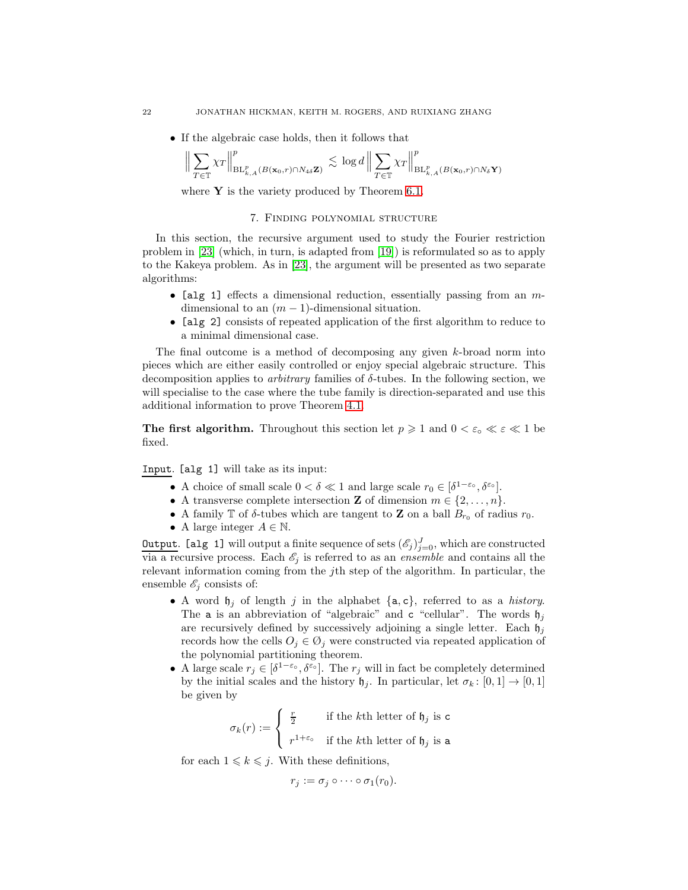• If the algebraic case holds, then it follows that

$$
\Big\| \sum_{T \in \mathbb{T}} \chi_T \Big\|_{\mathrm{BL}_{k,A}^p(B(\mathbf{x}_0,r) \cap N_{4\delta} \mathbf{Z})}^p \lesssim \log d \Big\| \sum_{T \in \mathbb{T}} \chi_T \Big\|_{\mathrm{BL}_{k,A}^p(B(\mathbf{x}_0,r) \cap N_{\delta} \mathbf{Y})}^p
$$

where  $Y$  is the variety produced by Theorem [6.1.](#page-21-2)

# 7. Finding polynomial structure

<span id="page-22-0"></span>In this section, the recursive argument used to study the Fourier restriction problem in [\[23\]](#page-42-17) (which, in turn, is adapted from [\[19\]](#page-42-13)) is reformulated so as to apply to the Kakeya problem. As in [\[23\]](#page-42-17), the argument will be presented as two separate algorithms:

- [alg 1] effects a dimensional reduction, essentially passing from an  $m$ dimensional to an  $(m-1)$ -dimensional situation.
- [alg 2] consists of repeated application of the first algorithm to reduce to a minimal dimensional case.

The final outcome is a method of decomposing any given  $k$ -broad norm into pieces which are either easily controlled or enjoy special algebraic structure. This decomposition applies to *arbitrary* families of  $\delta$ -tubes. In the following section, we will specialise to the case where the tube family is direction-separated and use this additional information to prove Theorem [4.1.](#page-16-0)

**The first algorithm.** Throughout this section let  $p \geq 1$  and  $0 < \varepsilon_0 \ll \varepsilon \ll 1$  be fixed.

Input. [alg 1] will take as its input:

- A choice of small scale  $0 < \delta \ll 1$  and large scale  $r_0 \in [\delta^{1-\varepsilon_o}, \delta^{\varepsilon_o}]$ .
- A transverse complete intersection **Z** of dimension  $m \in \{2, \ldots, n\}$ .
- A family  $\mathbb T$  of  $\delta$ -tubes which are tangent to **Z** on a ball  $B_{r_0}$  of radius  $r_0$ .
- A large integer  $A \in \mathbb{N}$ .

**Output.** [alg 1] will output a finite sequence of sets  $(\mathscr{E}_j)_{j=0}^J$ , which are constructed via a recursive process. Each  $\mathscr{E}_j$  is referred to as an *ensemble* and contains all the relevant information coming from the jth step of the algorithm. In particular, the ensemble  $\mathscr{E}_j$  consists of:

- A word  $\mathfrak{h}_i$  of length j in the alphabet  $\{a, c\}$ , referred to as a history. The **a** is an abbreviation of "algebraic" and **c** "cellular". The words  $\mathfrak{h}_i$ are recursively defined by successively adjoining a single letter. Each  $\mathfrak{h}_i$ records how the cells  $O_j \in \mathcal{O}_j$  were constructed via repeated application of the polynomial partitioning theorem.
- A large scale  $r_j \in [\delta^{1-\varepsilon_o}, \delta^{\varepsilon_o}]$ . The  $r_j$  will in fact be completely determined by the initial scales and the history  $\mathfrak{h}_i$ . In particular, let  $\sigma_k : [0, 1] \to [0, 1]$ be given by

$$
\sigma_k(r) := \begin{cases} \frac{r}{2} & \text{if the } k\text{th letter of } \mathfrak{h}_j \text{ is c} \\ r^{1+\varepsilon_o} & \text{if the } k\text{th letter of } \mathfrak{h}_j \text{ is a} \end{cases}
$$

for each  $1 \leq k \leq j$ . With these definitions,

$$
r_j := \sigma_j \circ \cdots \circ \sigma_1(r_0).
$$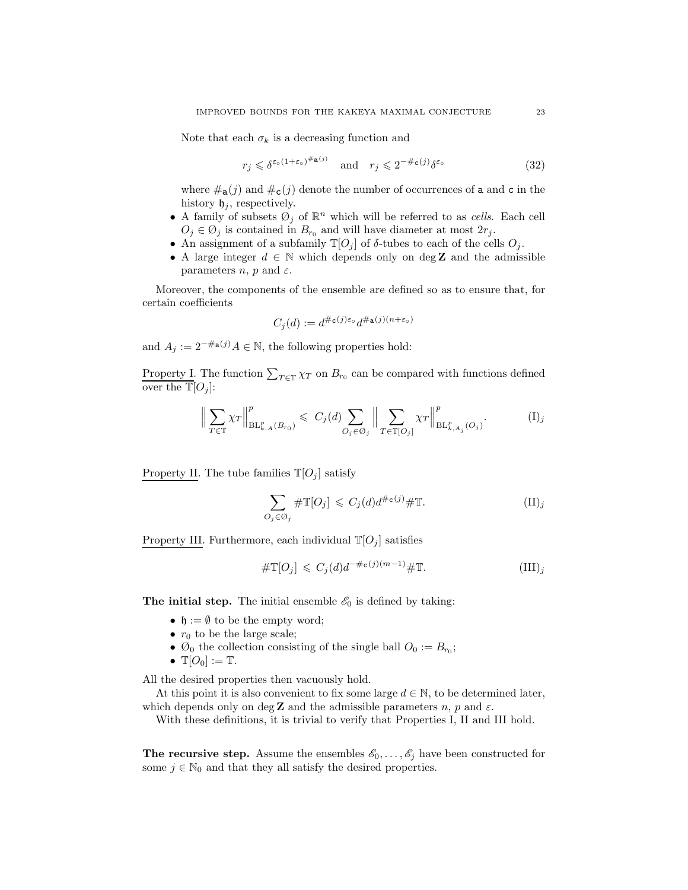Note that each  $\sigma_k$  is a decreasing function and

<span id="page-23-0"></span>
$$
r_j \leqslant \delta^{\varepsilon_0 (1 + \varepsilon_0)^{\#a(j)}} \quad \text{and} \quad r_j \leqslant 2^{-\#c(j)} \delta^{\varepsilon_0} \tag{32}
$$

where  $\#_{\mathbf{a}}(j)$  and  $\#_{\mathbf{c}}(j)$  denote the number of occurrences of a and c in the history  $\mathfrak{h}_i$ , respectively.

- A family of subsets  $\mathcal{O}_j$  of  $\mathbb{R}^n$  which will be referred to as *cells*. Each cell  $O_i \in \mathcal{O}_j$  is contained in  $B_{r_0}$  and will have diameter at most  $2r_j$ .
- An assignment of a subfamily  $\mathbb{T}[O_i]$  of  $\delta$ -tubes to each of the cells  $O_i$ .
- A large integer  $d \in \mathbb{N}$  which depends only on deg **Z** and the admissible parameters *n*, *p* and  $\varepsilon$ .

Moreover, the components of the ensemble are defined so as to ensure that, for certain coefficients

$$
C_j(d):=d^{\# \mathsf{c}(j)\varepsilon_\mathrm{o}}d^{\# \mathsf{a}(j)(n+\varepsilon_\mathrm{o})}
$$

and  $A_i := 2^{-\#a(j)} A \in \mathbb{N}$ , the following properties hold:

Property I. The function  $\sum_{T \in \mathbb{T}} \chi_T$  on  $B_{r_0}$  can be compared with functions defined over the  $\mathbb{T}[O_i]$ :

$$
\Big\| \sum_{T \in \mathbb{T}} \chi_T \Big\|_{\mathrm{BL}_{k,A}^p(B_{r_0})}^p \leq C_j(d) \sum_{O_j \in \mathcal{O}_j} \Big\| \sum_{T \in \mathbb{T}[O_j]} \chi_T \Big\|_{\mathrm{BL}_{k,A_j}^p(O_j)}^p. \tag{I}_j
$$

Property II. The tube families  $\mathbb{T}[O_j]$  satisfy

$$
\sum_{O_j \in \mathcal{O}_j} \# \mathbb{T}[O_j] \leqslant C_j(d) d^{\# \mathsf{c}(j)} \# \mathbb{T}.
$$
 (II)<sub>j</sub>

Property III. Furthermore, each individual  $\mathbb{T}[O_j]$  satisfies

$$
\# \mathbb{T}[O_j] \leqslant C_j(d) d^{-\# \mathsf{c}(j)(m-1)} \# \mathbb{T}.
$$
 (III)<sub>j</sub>

**The initial step.** The initial ensemble  $\mathscr{E}_0$  is defined by taking:

- $\mathfrak{h} := \emptyset$  to be the empty word;
- $r_0$  to be the large scale;
- $\mathcal{O}_0$  the collection consisting of the single ball  $O_0 := B_{r_0}$ ;
- $\mathbb{T}[O_0] := \mathbb{T}$ .

All the desired properties then vacuously hold.

At this point it is also convenient to fix some large  $d \in \mathbb{N}$ , to be determined later, which depends only on deg **Z** and the admissible parameters  $n$ ,  $p$  and  $\varepsilon$ .

With these definitions, it is trivial to verify that Properties I, II and III hold.

**The recursive step.** Assume the ensembles  $\mathscr{E}_0, \ldots, \mathscr{E}_j$  have been constructed for some  $j \in \mathbb{N}_0$  and that they all satisfy the desired properties.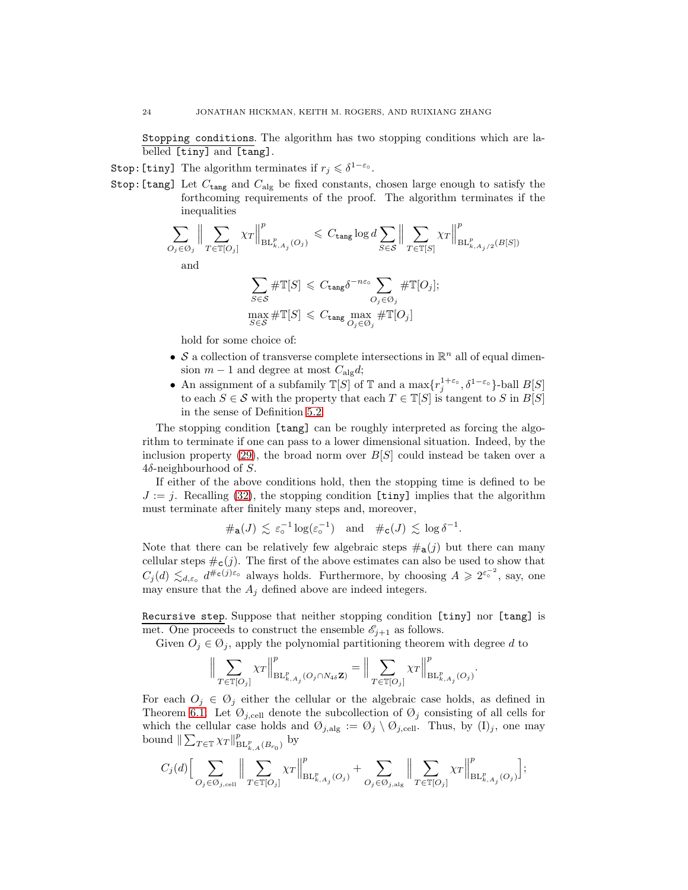Stopping conditions. The algorithm has two stopping conditions which are labelled [tiny] and [tang].

Stop: [tiny] The algorithm terminates if  $r_j \leq \delta^{1-\varepsilon_\circ}$ .

Stop: [tang] Let  $C_{\text{tang}}$  and  $C_{\text{alg}}$  be fixed constants, chosen large enough to satisfy the forthcoming requirements of the proof. The algorithm terminates if the inequalities

$$
\sum_{O_j \in \mathcal{O}_j} \Big\| \sum_{T \in \mathbb{T}[O_j]} \chi_T \Big\|_{\mathrm{BL}_{k, A_j}(O_j)}^p \leq C_{\text{tang}} \log d \sum_{S \in \mathcal{S}} \Big\| \sum_{T \in \mathbb{T}[S]} \chi_T \Big\|_{\mathrm{BL}_{k, A_j/2}^p(B[S])}^p
$$
  
and
$$
\sum \# \mathbb{T}[S] \leq C_{\text{tang}} \delta^{-n \varepsilon_0} \sum_{T \in \mathbb{T}[O_j];}
$$

$$
G \in S
$$
  
\n
$$
\max_{S \in S} \# \mathbb{T}[S] \leq C_{\text{tang}} \max_{O_j \in \mathcal{O}_j} \# \mathbb{T}[O_j]
$$

hold for some choice of:

- $\bullet \,$   ${\mathcal S}$  a collection of transverse complete intersections in  ${\mathbb R}^n$  all of equal dimension  $m-1$  and degree at most  $C_{\text{alg}}d$ ;
- An assignment of a subfamily  $\mathbb{T}[S]$  of  $\mathbb{T}$  and a  $\max\{r_j^{1+\varepsilon_o}, \delta^{1-\varepsilon_o}\}$ -ball  $B[S]$ to each  $S \in \mathcal{S}$  with the property that each  $T \in \mathbb{T}[S]$  is tangent to S in  $B[S]$ in the sense of Definition [5.2.](#page-19-3)

The stopping condition [tang] can be roughly interpreted as forcing the algorithm to terminate if one can pass to a lower dimensional situation. Indeed, by the inclusion property [\(29\)](#page-19-4), the broad norm over  $B[S]$  could instead be taken over a  $4\delta$ -neighbourhood of S.

If either of the above conditions hold, then the stopping time is defined to be  $J := j$ . Recalling [\(32\)](#page-23-0), the stopping condition [tiny] implies that the algorithm must terminate after finitely many steps and, moreover,

$$
\#_{\mathbf{a}}(J) \lesssim \varepsilon_{\circ}^{-1} \log(\varepsilon_{\circ}^{-1}) \quad \text{and} \quad \#_{\mathbf{c}}(J) \lesssim \log \delta^{-1}.
$$

Note that there can be relatively few algebraic steps  $\#a(j)$  but there can many cellular steps  $\#c(j)$ . The first of the above estimates can also be used to show that  $C_j(d) \lesssim_{d,\varepsilon_o} d^{\#c(j)\varepsilon_o}$  always holds. Furthermore, by choosing  $A \geqslant 2^{\varepsilon_o^{-2}}$ , say, one may ensure that the  $A_i$  defined above are indeed integers.

Recursive step. Suppose that neither stopping condition [tiny] nor [tang] is met. One proceeds to construct the ensemble  $\mathscr{E}_{j+1}$  as follows.

Given  $O_j \in \mathcal{O}_j$ , apply the polynomial partitioning theorem with degree d to

$$
\Big\|\sum_{T\in\mathbb{T}[O_j]}\chi_T\Big\|_{\mathrm{BL}_{k,A_j}^p(O_j\cap N_{4\delta}\mathbf{Z})}^p=\Big\|\sum_{T\in\mathbb{T}[O_j]}\chi_T\Big\|_{\mathrm{BL}_{k,A_j}^p(O_j)}^p.
$$

For each  $O_j \in \mathcal{O}_j$  either the cellular or the algebraic case holds, as defined in Theorem [6.1.](#page-21-2) Let  $\mathcal{O}_{j,\text{cell}}$  denote the subcollection of  $\mathcal{O}_j$  consisting of all cells for which the cellular case holds and  $\mathcal{O}_{j,alg} := \mathcal{O}_j \setminus \mathcal{O}_{j,cell}$ . Thus, by  $(I)_j$ , one may bound  $\|\sum_{T\in\mathbb{T}}\chi_T\|_{\mathrm{BL}_{k,A}^p(B_{r_0})}^p$  by

$$
C_j(d)\Big[\sum_{{\cal O}_j\in{\cal O}_{j,\mathrm{cell}}}\Big\|\sum_{T\in\mathbb{T}[{\cal O}_j]} \chi_T\Big\|_{\mathrm{BL}_{k,A_j}^p({\cal O}_j)}^p+\sum_{{\cal O}_j\in{\cal O}_{j,\mathrm{alg}}}\Big\|\sum_{T\in\mathbb{T}[{\cal O}_j]} \chi_T\Big\|_{\mathrm{BL}_{k,A_j}^p({\cal O}_j)}^p\Big];
$$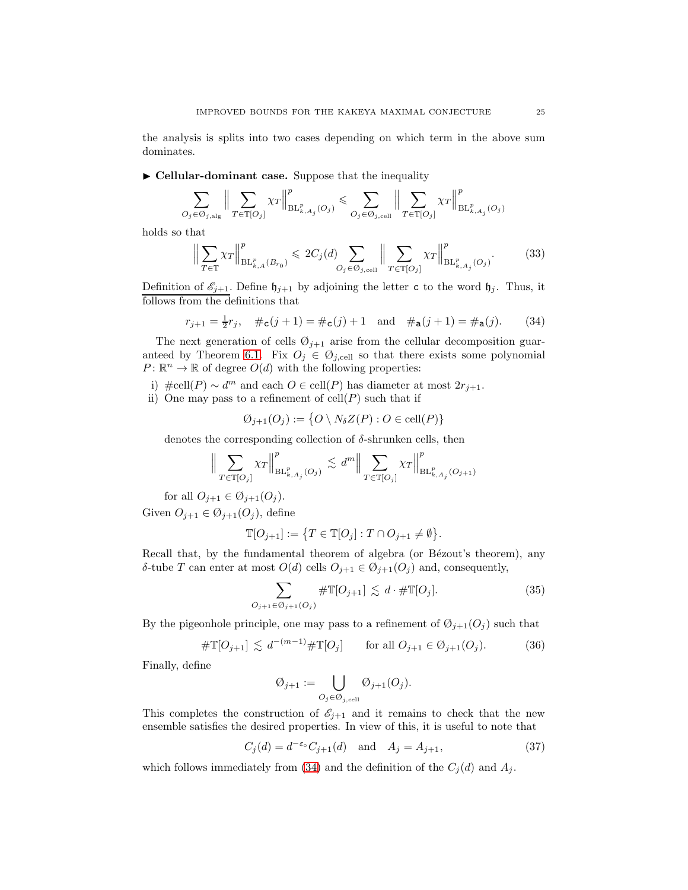the analysis is splits into two cases depending on which term in the above sum dominates.

 $\blacktriangleright$  Cellular-dominant case. Suppose that the inequality

$$
\sum_{O_j\in\mathcal{O}_{j,\mathrm{alg}}}\Big\|\sum_{T\in\mathbb{T}[O_j]}\chi_T\Big\|_{\mathrm{BL}_{k,A_j}^p(O_j)}^p\leqslant \sum_{O_j\in\mathcal{O}_{j,\mathrm{cell}}}\Big\|\sum_{T\in\mathbb{T}[O_j]}\chi_T\Big\|_{\mathrm{BL}_{k,A_j}^p(O_j)}^p
$$

holds so that

<span id="page-25-1"></span>
$$
\Big\| \sum_{T \in \mathbb{T}} \chi_T \Big\|_{\mathrm{BL}_{k,A}^p(B_{r_0})}^p \leq 2C_j(d) \sum_{O_j \in \mathcal{O}_{j,\mathrm{cell}}} \Big\| \sum_{T \in \mathbb{T}[O_j]} \chi_T \Big\|_{\mathrm{BL}_{k,A_j}^p(O_j)}^p. \tag{33}
$$

Definition of  $\mathcal{E}_{j+1}$ . Define  $\mathfrak{h}_{j+1}$  by adjoining the letter c to the word  $\mathfrak{h}_j$ . Thus, it follows from the definitions that

<span id="page-25-0"></span>
$$
r_{j+1} = \frac{1}{2}r_j
$$
,  $\#_c(j+1) = \#_c(j) + 1$  and  $\#_a(j+1) = \#_a(j)$ . (34)

The next generation of cells  $\mathcal{O}_{j+1}$  arise from the cellular decomposition guar-anteed by Theorem [6.1.](#page-21-2) Fix  $O_j \in \mathcal{O}_{j,cell}$  so that there exists some polynomial  $P: \mathbb{R}^n \to \mathbb{R}$  of degree  $O(d)$  with the following properties:

- i) #cell(P) ∼ d<sup>m</sup> and each  $O \in \text{cell}(P)$  has diameter at most  $2r_{j+1}$ .
- ii) One may pass to a refinement of  $\text{cell}(P)$  such that if

$$
\emptyset_{j+1}(O_j) := \{ O \setminus N_{\delta}Z(P) : O \in \text{cell}(P) \}
$$

denotes the corresponding collection of  $\delta$ -shrunken cells, then

$$
\Big\| \sum_{T \in \mathbb{T}[O_j]} \chi_T \Big\|_{\mathrm{BL}_{k, A_j}^p(O_j)}^p \lesssim d^m \Big\| \sum_{T \in \mathbb{T}[O_j]} \chi_T \Big\|_{\mathrm{BL}_{k, A_j}^p(O_{j+1})}^p
$$

for all  $O_{j+1} \in \mathcal{O}_{j+1}(O_j)$ .

Given  $O_{j+1} \in \mathcal{O}_{j+1}(O_j)$ , define

$$
\mathbb{T}[O_{j+1}] := \{ T \in \mathbb{T}[O_j] : T \cap O_{j+1} \neq \emptyset \}.
$$

Recall that, by the fundamental theorem of algebra (or Bézout's theorem), any δ-tube T can enter at most  $O(d)$  cells  $O_{j+1} \in \mathcal{O}_{j+1}(O_j)$  and, consequently,

<span id="page-25-3"></span>
$$
\sum_{O_{j+1}\in\mathcal{O}_{j+1}(O_j)}\#\mathbb{T}[O_{j+1}] \lesssim d \cdot \#\mathbb{T}[O_j].\tag{35}
$$

By the pigeonhole principle, one may pass to a refinement of  $\mathcal{O}_{j+1}(O_j)$  such that

<span id="page-25-4"></span>
$$
\# \mathbb{T}[O_{j+1}] \lesssim d^{-(m-1)} \# \mathbb{T}[O_j] \quad \text{for all } O_{j+1} \in \mathcal{O}_{j+1}(O_j). \tag{36}
$$

Finally, define

$$
\text{\O}_{j+1}:=\bigcup_{O_j\in\mathcal{O}_{j,\mathrm{cell}}}\text{\O}_{j+1}(O_j).
$$

This completes the construction of  $\mathscr{E}_{i+1}$  and it remains to check that the new ensemble satisfies the desired properties. In view of this, it is useful to note that

<span id="page-25-2"></span>
$$
C_j(d) = d^{-\varepsilon_0} C_{j+1}(d) \quad \text{and} \quad A_j = A_{j+1},\tag{37}
$$

which follows immediately from [\(34\)](#page-25-0) and the definition of the  $C_j(d)$  and  $A_j$ .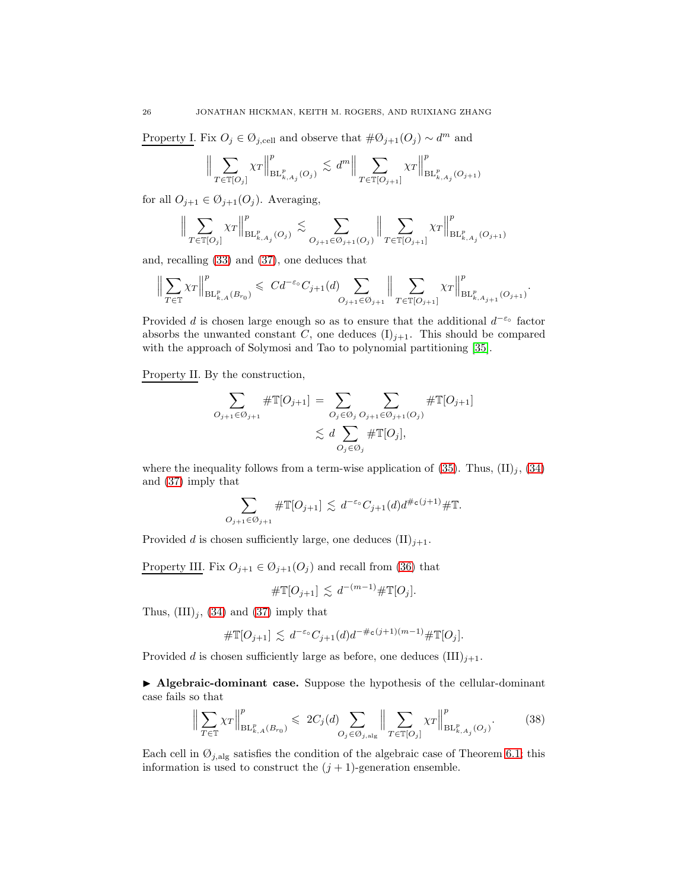Property I. Fix  $O_j \in \mathcal{O}_{j,cell}$  and observe that  $\#\mathcal{O}_{j+1}(O_j) \sim d^m$  and

$$
\Big\| \sum_{T \in \mathbb{T}[O_j]} \chi_T \Big\|_{\mathrm{BL}_{k,A_j}^p(O_j)}^p \lesssim d^m \Big\| \sum_{T \in \mathbb{T}[O_{j+1}]} \chi_T \Big\|_{\mathrm{BL}_{k,A_j}^p(O_{j+1})}^p
$$

for all  $O_{j+1} \in \mathcal{O}_{j+1}(O_j)$ . Averaging,

$$
\Big\| \sum_{T \in \mathbb{T}[O_j]} \chi_T \Big\|_{\mathrm{BL}_{k,A_j}^p(O_j)}^p \lesssim \sum_{O_{j+1} \in \mathcal{O}_{j+1}(O_j)} \Big\| \sum_{T \in \mathbb{T}[O_{j+1}]} \chi_T \Big\|_{\mathrm{BL}_{k,A_j}^p(O_{j+1})}^p
$$

and, recalling [\(33\)](#page-25-1) and [\(37\)](#page-25-2), one deduces that

$$
\Big\|\sum_{T\in\mathbb{T}}\chi_T\Big\|_{\mathrm{BL}_{k,A}^p(B_{r_0})}^p\leqslant \ C d^{-\varepsilon_0}C_{j+1}(d)\sum_{O_{j+1}\in\mathcal{O}_{j+1}}\Big\|\sum_{T\in\mathbb{T}[O_{j+1}]}\chi_T\Big\|_{\mathrm{BL}_{k,A_{j+1}}^p(O_{j+1})}^p.
$$

Provided d is chosen large enough so as to ensure that the additional  $d^{-\varepsilon_0}$  factor absorbs the unwanted constant C, one deduces  $(I)_{j+1}$ . This should be compared with the approach of Solymosi and Tao to polynomial partitioning [\[35\]](#page-42-22).

Property II. By the construction,

$$
\sum_{O_{j+1}\in\mathcal{O}_{j+1}} \# \mathbb{T}[O_{j+1}] = \sum_{O_j\in\mathcal{O}_j} \sum_{O_{j+1}\in\mathcal{O}_{j+1}(O_j)} \# \mathbb{T}[O_{j+1}]
$$
  

$$
\lesssim d \sum_{O_j\in\mathcal{O}_j} \# \mathbb{T}[O_j],
$$

where the inequality follows from a term-wise application of [\(35\)](#page-25-3). Thus,  $(\text{II})_j$ , [\(34\)](#page-25-0) and [\(37\)](#page-25-2) imply that

$$
\sum_{O_{j+1}\in\mathcal{O}_{j+1}}\#\mathbb{T}[O_{j+1}]\lesssim d^{-\varepsilon_o}C_{j+1}(d)d^{\#\mathsf{c}(j+1)}\#\mathbb{T}.
$$

Provided d is chosen sufficiently large, one deduces  $(II)_{j+1}$ .

Property III. Fix  $O_{j+1} \in \mathcal{O}_{j+1}(O_j)$  and recall from [\(36\)](#page-25-4) that

$$
\#\mathbb{T}[O_{j+1}] \lesssim d^{-(m-1)}\#\mathbb{T}[O_j].
$$

Thus,  $(III)<sub>j</sub>$ ,  $(34)$  and  $(37)$  imply that

$$
\#\mathbb{T}[O_{j+1}] \lesssim d^{-\varepsilon_0} C_{j+1}(d) d^{-\#\mathbf{c}(j+1)(m-1)} \#\mathbb{T}[O_j].
$$

Provided d is chosen sufficiently large as before, one deduces  $(III)_{j+1}$ .

▶ Algebraic-dominant case. Suppose the hypothesis of the cellular-dominant case fails so that

<span id="page-26-0"></span>
$$
\left\| \sum_{T \in \mathbb{T}} \chi_T \right\|_{\mathrm{BL}_{k,A}^p(B_{r_0})}^p \leq 2C_j(d) \sum_{O_j \in \mathcal{O}_{j,\mathrm{alg}}} \left\| \sum_{T \in \mathbb{T}[O_j]} \chi_T \right\|_{\mathrm{BL}_{k,A_j}^p(O_j)}^p. \tag{38}
$$

Each cell in  $\mathcal{O}_{j,alg}$  satisfies the condition of the algebraic case of Theorem [6.1;](#page-21-2) this information is used to construct the  $(j + 1)$ -generation ensemble.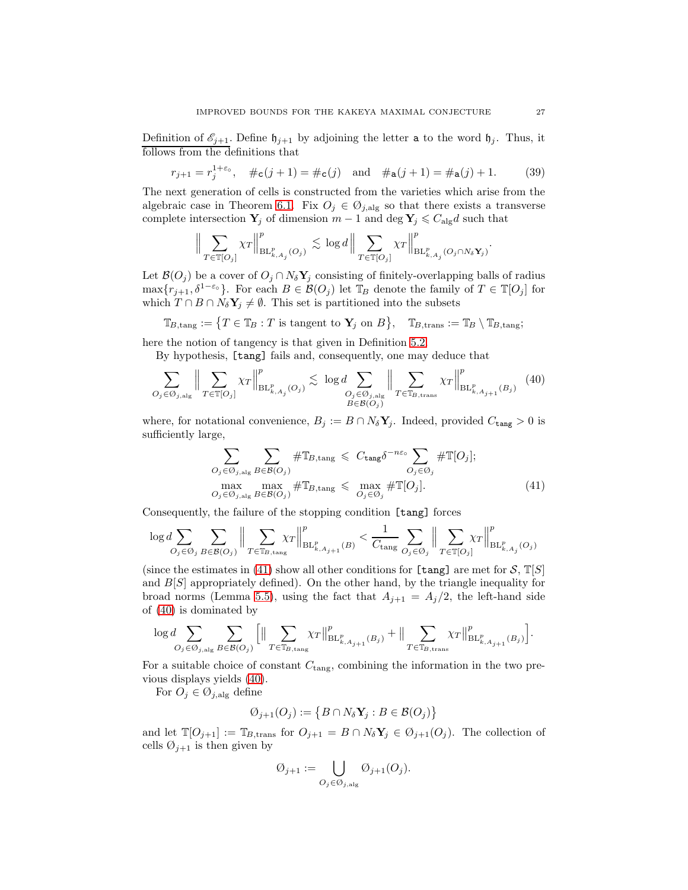Definition of  $\mathcal{E}_{j+1}$ . Define  $\mathfrak{h}_{j+1}$  by adjoining the letter **a** to the word  $\mathfrak{h}_j$ . Thus, it follows from the definitions that

<span id="page-27-2"></span>
$$
r_{j+1} = r_j^{1+\epsilon_o}
$$
,  $\#_c(j+1) = \#_c(j)$  and  $\#_a(j+1) = \#_a(j) + 1$ . (39)

The next generation of cells is constructed from the varieties which arise from the algebraic case in Theorem [6.1.](#page-21-2) Fix  $O_j \in \mathcal{O}_{j, \text{alg}}$  so that there exists a transverse complete intersection  $Y_j$  of dimension  $m-1$  and  $\deg Y_j \leq C_{\deg} d$  such that

$$
\Big\|\sum_{T\in\mathbb{T}[O_j]}\chi_T\Big\|_{\mathrm{BL}_{k,A_j}^p(O_j)}^p\lesssim \log d\Big\|\sum_{T\in\mathbb{T}[O_j]}\chi_T\Big\|_{\mathrm{BL}_{k,A_j}^p(O_j\cap N_\delta \mathbf{Y}_j)}^p.
$$

Let  $\mathcal{B}(O_j)$  be a cover of  $O_j \cap N_{\delta} Y_j$  consisting of finitely-overlapping balls of radius  $\max\{r_{j+1}, \delta^{1-\varepsilon} \}$ . For each  $B \in \mathcal{B}(O_j)$  let  $\mathbb{T}_B$  denote the family of  $T \in \mathbb{T}[O_j]$  for which  $T \cap B \cap N_{\delta}Y_j \neq \emptyset$ . This set is partitioned into the subsets

$$
\mathbb{T}_{B,\mathrm{tang}} := \{ T \in \mathbb{T}_B : T \text{ is tangent to } \mathbf{Y}_j \text{ on } B \}, \quad \mathbb{T}_{B,\mathrm{trans}} := \mathbb{T}_B \setminus \mathbb{T}_{B,\mathrm{tang}};
$$

here the notion of tangency is that given in Definition [5.2.](#page-19-3)

By hypothesis, [tang] fails and, consequently, one may deduce that

<span id="page-27-1"></span>
$$
\sum_{O_j \in \mathcal{O}_{j, \text{alg}}} \Big\| \sum_{T \in \mathbb{T}[O_j]} \chi_T \Big\|_{\mathrm{BL}_{k, A_j}^p(O_j)}^p \lesssim \log d \sum_{\substack{O_j \in \mathcal{O}_{j, \text{alg}} \\ B \in \mathcal{B}(O_j)}} \Big\| \sum_{T \in \mathbb{T}_{B, \text{trans}}} \chi_T \Big\|_{\mathrm{BL}_{k, A_{j+1}}^p(B_j)}^p \tag{40}
$$

where, for notational convenience,  $B_j := B \cap N_{\delta} Y_j$ . Indeed, provided  $C_{\text{tang}} > 0$  is sufficiently large,

<span id="page-27-0"></span>
$$
\sum_{O_j \in \mathcal{O}_{j, \text{alg}}} \sum_{B \in \mathcal{B}(O_j)} \# \mathbb{T}_{B, \text{tang}} \leq C_{\text{tang}} \delta^{-n\varepsilon_o} \sum_{O_j \in \mathcal{O}_j} \# \mathbb{T}[O_j];
$$
\n
$$
\max_{O_j \in \mathcal{O}_{j, \text{alg}}} \max_{B \in \mathcal{B}(O_j)} \# \mathbb{T}_{B, \text{tang}} \leq \max_{O_j \in \mathcal{O}_j} \# \mathbb{T}[O_j].
$$
\n(41)

Consequently, the failure of the stopping condition [tang] forces

$$
\log d\sum_{O_j\in\mathcal{O}_j}\sum_{B\in\mathcal{B}(O_j)}\Big\|\sum_{T\in\mathbb{T}_B,\mathrm{tang}}\chi_T\Big\|_{\mathrm{BL}_{k,A_j+1}^p(B)}^p<\frac{1}{C_{\mathrm{tang}}}\sum_{O_j\in\mathcal{O}_j}\Big\|\sum_{T\in\mathbb{T}[O_j]}\chi_T\Big\|_{\mathrm{BL}_{k,A_j}^p(O_j)}^p
$$

(since the estimates in [\(41\)](#page-27-0) show all other conditions for [tang] are met for  $S$ ,  $\mathbb{T}[S]$ and  $B[S]$  appropriately defined). On the other hand, by the triangle inequality for broad norms (Lemma [5.5\)](#page-20-1), using the fact that  $A_{j+1} = A_j/2$ , the left-hand side of [\(40\)](#page-27-1) is dominated by

$$
\log d\sum_{O_j\in \mathcal{O}_{j,\mathrm{alg}}} \sum_{B\in \mathcal{B}(O_j)}\Big[\big\|\sum_{T\in \mathbb{T}_{B,\mathrm{tang}}} \chi_T\big\|_{\mathrm{BL}_{k,A_{j+1}}^p(B_j)}^p+\big\|\sum_{T\in \mathbb{T}_{B,\mathrm{trans}}}\chi_T\big\|_{\mathrm{BL}_{k,A_{j+1}}^p(B_j)}^p\Big].
$$

For a suitable choice of constant  $C_{\text{tang}}$ , combining the information in the two previous displays yields [\(40\)](#page-27-1).

For  $O_j \in \mathcal{O}_{j,\text{alg}}$  define

$$
\text{\O}_{j+1}(O_j):=\left\{B\cap N_{\delta}\mathbf{Y}_j:B\in\mathcal{B}(O_j)\right\}
$$

and let  $\mathbb{T}[O_{j+1}] := \mathbb{T}_{B,\text{trans}}$  for  $O_{j+1} = B \cap N_{\delta} \mathbf{Y}_j \in \mathcal{O}_{j+1}(O_j)$ . The collection of cells  $\emptyset_{j+1}$  is then given by

$$
\text{\O}_{j+1}:=\bigcup_{O_j\in\mathcal{O}_{j,\text{alg}}}\text{\O}_{j+1}(O_j).
$$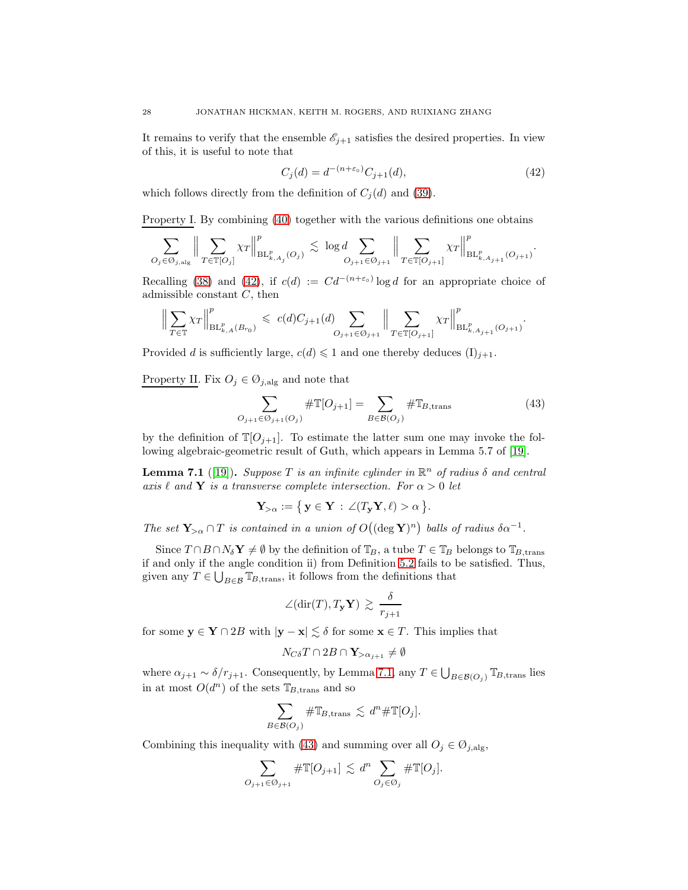It remains to verify that the ensemble  $\mathcal{E}_{j+1}$  satisfies the desired properties. In view of this, it is useful to note that

<span id="page-28-0"></span>
$$
C_j(d) = d^{-(n+\varepsilon_0)} C_{j+1}(d),
$$
\n(42)

which follows directly from the definition of  $C_i(d)$  and [\(39\)](#page-27-2).

Property I. By combining [\(40\)](#page-27-1) together with the various definitions one obtains

$$
\sum_{O_j \in \mathcal{O}_{j,\mathrm{alg}}} \Big\| \sum_{T \in \mathbb{T}[O_j]} \chi_T \Big\|_{\mathrm{BL}_{k,A_j}^p(O_j)}^p \lesssim \log d \sum_{O_{j+1} \in \mathcal{O}_{j+1}} \Big\| \sum_{T \in \mathbb{T}[O_{j+1}]} \chi_T \Big\|_{\mathrm{BL}_{k,A_{j+1}}^p(O_{j+1})}^p.
$$

Recalling [\(38\)](#page-26-0) and [\(42\)](#page-28-0), if  $c(d) := Cd^{-(n+\epsilon_o)} \log d$  for an appropriate choice of admissible constant  $C$ , then

$$
\Big\|\sum_{T\in\mathbb{T}}\chi_T\Big\|_{\mathrm{BL}_{k,A}^p(B_{r_0})}^p\,\leqslant\,c(d)C_{j+1}(d)\sum_{O_{j+1}\in\mathcal{O}_{j+1}}\Big\|\sum_{T\in\mathbb{T}[O_{j+1}]}\chi_T\Big\|_{\mathrm{BL}_{k,A_{j+1}}^p(O_{j+1})}^p.
$$

Provided d is sufficiently large,  $c(d) \leq 1$  and one thereby deduces  $(I)_{j+1}$ .

Property II. Fix  $O_j \in \mathcal{O}_{j, \text{alg}}$  and note that

<span id="page-28-2"></span>
$$
\sum_{O_{j+1} \in O_{j+1}(O_j)} \# \mathbb{T}[O_{j+1}] = \sum_{B \in \mathcal{B}(O_j)} \# \mathbb{T}_{B, \text{trans}} \tag{43}
$$

by the definition of  $\mathbb{T}[O_{j+1}]$ . To estimate the latter sum one may invoke the following algebraic-geometric result of Guth, which appears in Lemma 5.7 of [\[19\]](#page-42-13).

<span id="page-28-1"></span>**Lemma 7.1** ([\[19\]](#page-42-13)). Suppose T is an infinite cylinder in  $\mathbb{R}^n$  of radius  $\delta$  and central axis  $\ell$  and **Y** is a transverse complete intersection. For  $\alpha > 0$  let

$$
\mathbf{Y}_{>\alpha} := \big\{ \, \mathbf{y} \in \mathbf{Y} \, : \, \angle(T_{\mathbf{y}} \mathbf{Y}, \ell) > \alpha \, \big\}.
$$

The set  $\mathbf{Y}_{>\alpha} \cap T$  is contained in a union of  $O((\deg \mathbf{Y})^n)$  balls of radius  $\delta \alpha^{-1}$ .

Since  $T \cap B \cap N_{\delta} Y \neq \emptyset$  by the definition of  $\mathbb{T}_B$ , a tube  $T \in \mathbb{T}_B$  belongs to  $\mathbb{T}_{B,\text{trans}}$ if and only if the angle condition ii) from Definition [5.2](#page-19-3) fails to be satisfied. Thus, given any  $T \in \bigcup_{B \in \mathcal{B}} \mathbb{T}_{B,\text{trans}}$ , it follows from the definitions that

$$
\angle(\text{dir}(T), T_{\mathbf{y}}\mathbf{Y}) \, \gtrsim \, \frac{\delta}{r_{j+1}}
$$

for some  $y \in Y \cap 2B$  with  $|y - x| \leq \delta$  for some  $x \in T$ . This implies that

$$
N_{C\delta}T\cap 2B\cap \mathbf{Y}_{>\alpha_{j+1}}\neq \emptyset
$$

where  $\alpha_{j+1} \sim \delta/r_{j+1}$ . Consequently, by Lemma [7.1,](#page-28-1) any  $T \in \bigcup_{B \in \mathcal{B}(O_j)} \mathbb{T}_{B,\text{trans}}$  lies in at most  $O(d^n)$  of the sets  $\mathbb{T}_{B,\text{trans}}$  and so

$$
\sum_{B \in \mathcal{B}(O_j)} \# \mathbb{T}_{B, \text{trans}} \lesssim d^n \# \mathbb{T}[O_j].
$$

Combining this inequality with [\(43\)](#page-28-2) and summing over all  $O_j \in \mathcal{O}_{j, \text{alg}}$ ,

$$
\sum_{O_{j+1}\in\mathcal{O}_{j+1}}\#\mathbb{T}[O_{j+1}]\lesssim d^n\sum_{O_j\in\mathcal{O}_j}\#\mathbb{T}[O_j].
$$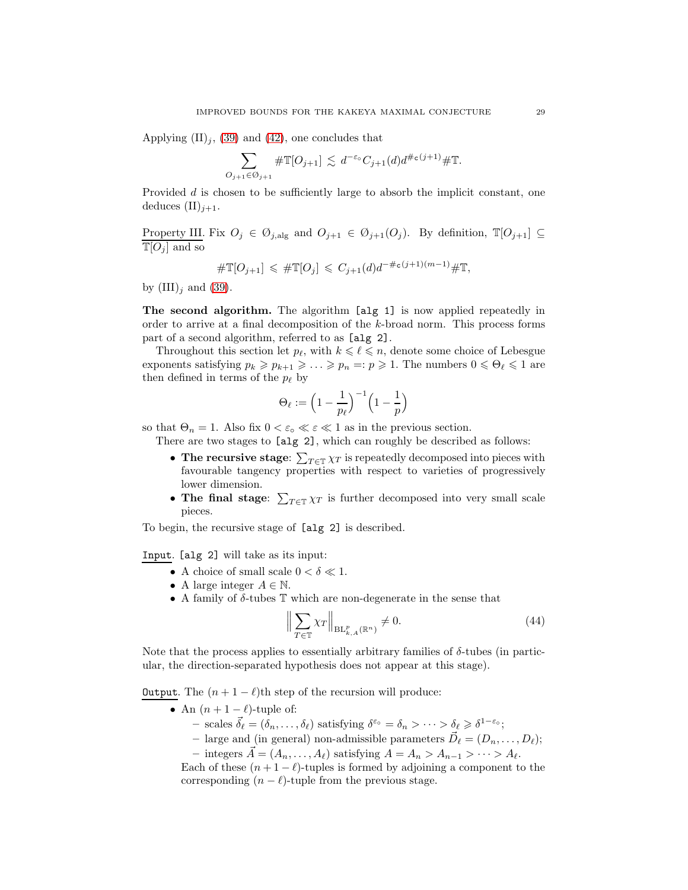Applying  $(\text{II})_i$ , [\(39\)](#page-27-2) and [\(42\)](#page-28-0), one concludes that

$$
\sum_{O_{j+1}\in\mathcal{O}_{j+1}}\#\mathbb{T}[O_{j+1}]\lesssim d^{-\varepsilon_o}C_{j+1}(d)d^{\#\mathsf{c}(j+1)}\#\mathbb{T}.
$$

Provided d is chosen to be sufficiently large to absorb the implicit constant, one deduces  $(\mathrm{II})_{i+1}$ .

Property III. Fix  $O_j \in \mathcal{O}_{j, \text{alg}}$  and  $O_{j+1} \in \mathcal{O}_{j+1}(O_j)$ . By definition,  $\mathbb{T}[O_{j+1}] \subseteq$  $\overline{\mathbb{T}[O_j]}$  and so

$$
\# \mathbb{T}[O_{j+1}] \leq \# \mathbb{T}[O_j] \leq C_{j+1}(d) d^{-\# \mathsf{c}(j+1)(m-1)} \# \mathbb{T},
$$

by  $(III)_i$  and  $(39)$ .

The second algorithm. The algorithm [alg 1] is now applied repeatedly in order to arrive at a final decomposition of the k-broad norm. This process forms part of a second algorithm, referred to as [alg 2].

Throughout this section let  $p_{\ell}$ , with  $k \leq \ell \leq n$ , denote some choice of Lebesgue exponents satisfying  $p_k \geq p_{k+1} \geq \ldots \geq p_n =: p \geq 1$ . The numbers  $0 \leq \Theta_\ell \leq 1$  are then defined in terms of the  $p_\ell$  by

$$
\Theta_\ell := \Big(1-\frac{1}{p_\ell}\Big)^{-1}\Big(1-\frac{1}{p}\Big)
$$

so that  $\Theta_n = 1$ . Also fix  $0 < \varepsilon_0 \ll \varepsilon \ll 1$  as in the previous section.

There are two stages to [alg 2], which can roughly be described as follows:

- The recursive stage:  $\sum_{T \in \mathbb{T}} \chi_T$  is repeatedly decomposed into pieces with favourable tangency properties with respect to varieties of progressively lower dimension.
- The final stage:  $\sum_{T \in \mathbb{T}} \chi_T$  is further decomposed into very small scale pieces.

To begin, the recursive stage of [alg 2] is described.

Input. [alg 2] will take as its input:

- A choice of small scale  $0 < \delta \ll 1$ .
- A large integer  $A \in \mathbb{N}$ .
- A family of  $\delta$ -tubes  $\mathbb T$  which are non-degenerate in the sense that

<span id="page-29-0"></span>
$$
\left\| \sum_{T \in \mathbb{T}} \chi_T \right\|_{\operatorname{BL}_{k,A}^p(\mathbb{R}^n)} \neq 0. \tag{44}
$$

Note that the process applies to essentially arbitrary families of  $\delta$ -tubes (in particular, the direction-separated hypothesis does not appear at this stage).

Output. The  $(n + 1 - \ell)$ th step of the recursion will produce:

- An  $(n+1-\ell)$ -tuple of:
	- $-$  scales  $\vec{\delta}_{\ell} = (\delta_n, \ldots, \delta_{\ell})$  satisfying  $\delta^{\varepsilon_{0}} = \delta_n > \cdots > \delta_{\ell} \geq \delta^{1-\varepsilon_{0}};$
	- large and (in general) non-admissible parameters  $\vec{D}_{\ell} = (D_n, \ldots, D_{\ell});$
	- integers  $\vec{A} = (A_n, \ldots, A_\ell)$  satisfying  $A = A_n > A_{n-1} > \cdots > A_\ell$ .

Each of these  $(n + 1 - \ell)$ -tuples is formed by adjoining a component to the corresponding  $(n - \ell)$ -tuple from the previous stage.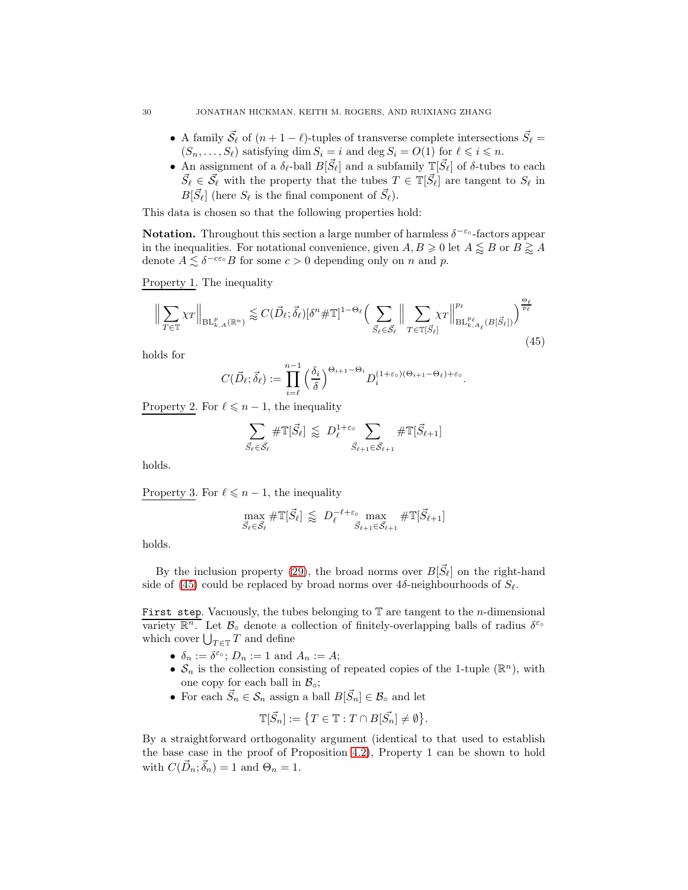- A family  $\vec{S}_{\ell}$  of  $(n+1-\ell)$ -tuples of transverse complete intersections  $\vec{S}_{\ell}$  =  $(S_n, \ldots, S_\ell)$  satisfying dim  $S_i = i$  and deg  $S_i = O(1)$  for  $\ell \leq i \leq n$ .
- An assignment of a  $\delta_{\ell}$ -ball  $B[\vec{S}_{\ell}]$  and a subfamily  $\mathbb{I}[\vec{S}_{\ell}]$  of  $\delta$ -tubes to each  $\vec{S}_{\ell} \in \vec{\mathcal{S}}_{\ell}$  with the property that the tubes  $T \in \mathbb{T}[\vec{S}_{\ell}]$  are tangent to  $S_{\ell}$  in  $B[\vec{S}_{\ell}]$  (here  $S_{\ell}$  is the final component of  $\vec{S}_{\ell}$ ).

This data is chosen so that the following properties hold:

**Notation.** Throughout this section a large number of harmless  $\delta^{-\epsilon_{o}}$ -factors appear in the inequalities. For notational convenience, given  $A, B \geq 0$  let  $A \leq B$  or  $B \geq A$ denote  $A \lesssim \delta^{-c\varepsilon_0} B$  for some  $c > 0$  depending only on n and p.

Property 1. The inequality

<span id="page-30-0"></span>
$$
\Big\| \sum_{T \in \mathbb{T}} \chi_T \Big\|_{\mathrm{BL}_{k,A}^p(\mathbb{R}^n)} \lesssim C(\vec{D}_{\ell}; \vec{\delta}_{\ell}) [\delta^n \# \mathbb{T}]^{1-\Theta_{\ell}} \Big( \sum_{\vec{S}_{\ell} \in \vec{\mathcal{S}}_{\ell}} \Big\| \sum_{T \in \mathbb{T}[\vec{S}_{\ell}]} \chi_T \Big\|_{\mathrm{BL}_{k,A_{\ell}}^{p_{\ell}}(B[\vec{S}_{\ell}])}^{\Theta_{\ell}} \Big)^{\frac{\Theta_{\ell}}{p_{\ell}}} \tag{45}
$$

holds for

$$
C(\vec{D}_{\ell};\vec{\delta}_{\ell}):=\prod_{i=\ell}^{n-1}\left(\frac{\delta_i}{\delta}\right)^{\Theta_{i+1}-\Theta_i}D_i^{(1+\varepsilon_o)(\Theta_{i+1}-\Theta_{\ell})+\varepsilon_o}.
$$

Property 2. For  $\ell \leq n-1$ , the inequality

$$
\sum_{\vec{S}_{\ell} \in \vec{\mathcal{S}}_{\ell}} \# \mathbb{T}[\vec{S}_{\ell}] \lessapprox D_{\ell}^{1+\varepsilon} \sum_{\vec{S}_{\ell+1} \in \vec{\mathcal{S}}_{\ell+1}} \# \mathbb{T}[\vec{S}_{\ell+1}]
$$

holds.

Property 3. For  $\ell \leq n-1$ , the inequality

$$
\max_{\vec{S}_{\ell} \in \vec{\mathcal{S}}_{\ell}} \#\mathbb{T}[\vec{S}_{\ell}] \lessapprox D_{\ell}^{-\ell + \varepsilon_{\text{o}}} \max_{\vec{S}_{\ell+1} \in \vec{\mathcal{S}}_{\ell+1}} \#\mathbb{T}[\vec{S}_{\ell+1}]
$$

holds.

By the inclusion property [\(29\)](#page-19-4), the broad norms over  $B[\vec{S}_{\ell}]$  on the right-hand side of [\(45\)](#page-30-0) could be replaced by broad norms over  $4\delta$ -neighbourhoods of  $S_{\ell}$ .

First step. Vacuously, the tubes belonging to  $T$  are tangent to the *n*-dimensional variety  $\mathbb{R}^n$ . Let  $\mathcal{B}_\circ$  denote a collection of finitely-overlapping balls of radius  $\delta^{\varepsilon_\circ}$ which cover  $\bigcup_{T \in \mathbb{T}} T$  and define

- $\delta_n := \delta^{\varepsilon_0}$ ;  $D_n := 1$  and  $A_n := A$ ;
- $S_n$  is the collection consisting of repeated copies of the 1-tuple  $(\mathbb{R}^n)$ , with one copy for each ball in  $\mathcal{B}_{\circ};$
- For each  $\vec{S}_n \in \mathcal{S}_n$  assign a ball  $B[\vec{S}_n] \in \mathcal{B}_\circ$  and let

$$
\mathbb{T}[\vec{S}_n] := \{ T \in \mathbb{T} : T \cap B[\vec{S}_n] \neq \emptyset \}.
$$

By a straightforward orthogonality argument (identical to that used to establish the base case in the proof of Proposition [4.2\)](#page-16-2), Property 1 can be shown to hold with  $C(\vec{D}_n; \vec{\delta}_n) = 1$  and  $\Theta_n = 1$ .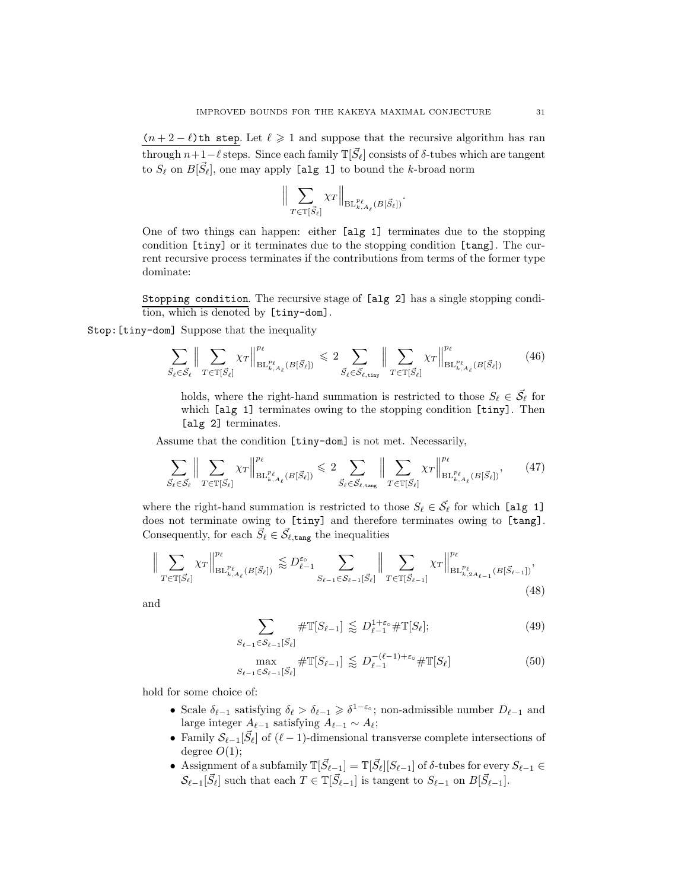$(n + 2 - \ell)$ th step. Let  $\ell \ge 1$  and suppose that the recursive algorithm has ran through  $n+1-\ell$  steps. Since each family  $\mathbb{T}[\vec{S}_{\ell}]$  consists of  $\delta$ -tubes which are tangent to  $S_{\ell}$  on  $B[\vec{S}_{\ell}]$ , one may apply [alg 1] to bound the k-broad norm

$$
\Big\| \sum_{T \in \mathbb{T}[\vec{S}_{\ell}]} \chi_T \Big\|_{\mathrm{BL}_{k,A_{\ell}}^{p_{\ell}}(B[\vec{S}_{\ell}])}.
$$

One of two things can happen: either [alg 1] terminates due to the stopping condition [tiny] or it terminates due to the stopping condition [tang]. The current recursive process terminates if the contributions from terms of the former type dominate:

Stopping condition. The recursive stage of [alg 2] has a single stopping condition, which is denoted by [tiny-dom].

## Stop:[tiny-dom] Suppose that the inequality

<span id="page-31-3"></span>
$$
\sum_{\vec{S}_{\ell} \in \vec{\mathcal{S}}_{\ell}} \Big\| \sum_{T \in \mathbb{T}[\vec{S}_{\ell}]} \chi_T \Big\|_{\mathrm{BL}_{k,A_{\ell}}^{p_{\ell}}(B[\vec{S}_{\ell}])}^{p_{\ell}} \leq 2 \sum_{\vec{S}_{\ell} \in \vec{\mathcal{S}}_{\ell,\mathrm{tiny}}} \Big\| \sum_{T \in \mathbb{T}[\vec{S}_{\ell}]} \chi_T \Big\|_{\mathrm{BL}_{k,A_{\ell}}^{p_{\ell}}(B[\vec{S}_{\ell}])}^{p_{\ell}} \tag{46}
$$

holds, where the right-hand summation is restricted to those  $S_{\ell} \in \vec{\mathcal{S}}_{\ell}$  for which [alg 1] terminates owing to the stopping condition [tiny]. Then [alg 2] terminates.

Assume that the condition [tiny-dom] is not met. Necessarily,

<span id="page-31-4"></span>
$$
\sum_{\vec{S}_{\ell} \in \vec{\mathcal{S}}_{\ell}} \Big\| \sum_{T \in \mathbb{T}[\vec{S}_{\ell}]} \chi_T \Big\|_{\mathrm{BL}_{k,A_{\ell}}^{p_{\ell}}(B[\vec{S}_{\ell}])}^{p_{\ell}} \leq 2 \sum_{\vec{S}_{\ell} \in \vec{\mathcal{S}}_{\ell,\text{tang}}} \Big\| \sum_{T \in \mathbb{T}[\vec{S}_{\ell}]} \chi_T \Big\|_{\mathrm{BL}_{k,A_{\ell}}^{p_{\ell}}(B[\vec{S}_{\ell}])}^{p_{\ell}},\tag{47}
$$

where the right-hand summation is restricted to those  $S_{\ell} \in \vec{S}_{\ell}$  for which [alg 1] does not terminate owing to [tiny] and therefore terminates owing to [tang]. Consequently, for each  $\vec{S}_{\ell} \in \vec{\mathcal{S}}_{\ell, \texttt{tang}}$  the inequalities

<span id="page-31-0"></span>
$$
\Big\| \sum_{T \in \mathbb{T}[\vec{S}_{\ell}]} \chi_T \Big\|_{\mathrm{BL}_{k,A_{\ell}}^{p_{\ell}}(B[\vec{S}_{\ell}])}^{p_{\ell}} \lessapprox D_{\ell-1}^{\varepsilon_{0}} \sum_{S_{\ell-1} \in \mathcal{S}_{\ell-1}[\vec{S}_{\ell}]} \Big\| \sum_{T \in \mathbb{T}[\vec{S}_{\ell-1}]} \chi_T \Big\|_{\mathrm{BL}_{k,2A_{\ell-1}}^{p_{\ell}}(B[\vec{S}_{\ell-1}])}^{p_{\ell}},\tag{48}
$$

and

$$
\sum_{S_{\ell-1}\in\mathcal{S}_{\ell-1}[\vec{S}_{\ell}]} \# \mathbb{T}[S_{\ell-1}] \lessapprox D_{\ell-1}^{1+\varepsilon_{\circ}} \# \mathbb{T}[S_{\ell}];\tag{49}
$$

<span id="page-31-2"></span><span id="page-31-1"></span>
$$
\max_{S_{\ell-1}\in\mathcal{S}_{\ell-1}[\vec{S}_{\ell}]} \# \mathbb{T}[S_{\ell-1}] \lessapprox D_{\ell-1}^{-(\ell-1)+\varepsilon_{\circ}} \# \mathbb{T}[S_{\ell}]
$$
\n
$$
(50)
$$

hold for some choice of:

- Scale  $\delta_{\ell-1}$  satisfying  $\delta_{\ell} > \delta_{\ell-1} \geq \delta^{1-\epsilon_{\circ}}$ ; non-admissible number  $D_{\ell-1}$  and large integer  $A_{\ell-1}$  satisfying  $A_{\ell-1} \sim A_{\ell}$ ;
- Family  $\mathcal{S}_{\ell-1}[\vec{S}_{\ell}]$  of  $(\ell-1)$ -dimensional transverse complete intersections of degree  $O(1)$ ;
- Assignment of a subfamily  $\mathbb{T}[\vec{S}_{\ell-1}] = \mathbb{T}[\vec{S}_{\ell}][S_{\ell-1}]$  of  $\delta$ -tubes for every  $S_{\ell-1} \in$  $\mathcal{S}_{\ell-1}[\vec{S}_{\ell}]$  such that each  $T \in \mathbb{T}[\vec{S}_{\ell-1}]$  is tangent to  $S_{\ell-1}$  on  $B[\vec{S}_{\ell-1}]$ .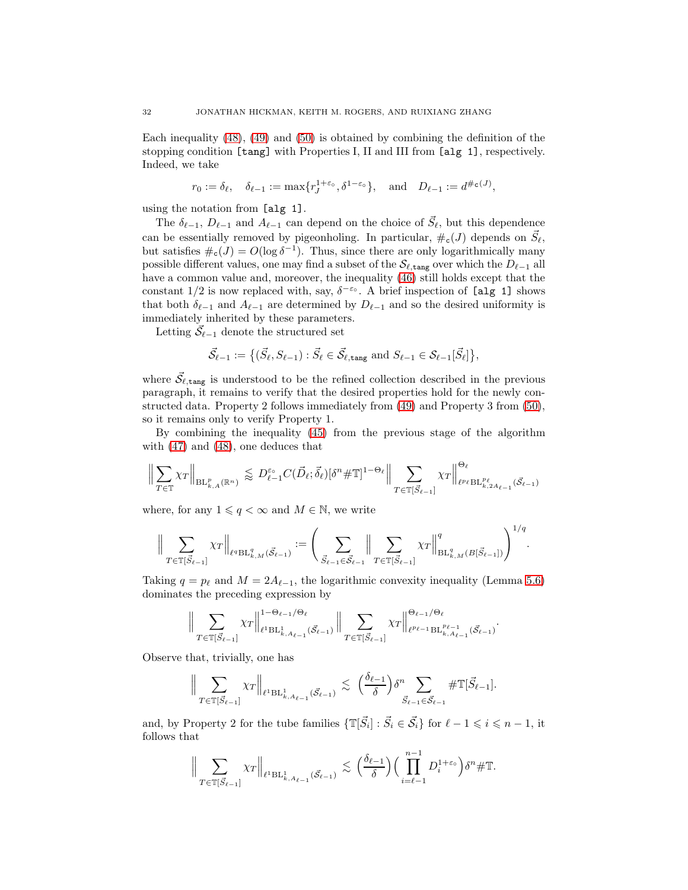Each inequality [\(48\)](#page-31-0), [\(49\)](#page-31-1) and [\(50\)](#page-31-2) is obtained by combining the definition of the stopping condition [tang] with Properties I, II and III from [alg 1], respectively. Indeed, we take

$$
r_0 := \delta_{\ell}, \quad \delta_{\ell-1} := \max\{r_J^{1+\varepsilon_0}, \delta^{1-\varepsilon_0}\}, \quad \text{and} \quad D_{\ell-1} := d^{\#_{\mathbf{C}}(J)},
$$

using the notation from [alg 1].

The  $\delta_{\ell-1}$ ,  $D_{\ell-1}$  and  $A_{\ell-1}$  can depend on the choice of  $\vec{S}_{\ell}$ , but this dependence can be essentially removed by pigeonholing. In particular,  $\#_c(J)$  depends on  $\vec{S}_{\ell}$ , but satisfies  $\#_{\mathsf{c}}(J) = O(\log \delta^{-1})$ . Thus, since there are only logarithmically many possible different values, one may find a subset of the  $\mathcal{S}_{\ell, \text{tang}}$  over which the  $D_{\ell-1}$  all have a common value and, moreover, the inequality [\(46\)](#page-31-3) still holds except that the constant  $1/2$  is now replaced with, say,  $\delta^{-\epsilon \circ}$ . A brief inspection of [alg 1] shows that both  $\delta_{\ell-1}$  and  $A_{\ell-1}$  are determined by  $D_{\ell-1}$  and so the desired uniformity is immediately inherited by these parameters.

Letting  $\vec{\mathcal{S}}_{\ell-1}$  denote the structured set

$$
\vec{\mathcal{S}}_{\ell-1} := \big\{ (\vec{S}_{\ell}, S_{\ell-1}) : \vec{S}_{\ell} \in \vec{\mathcal{S}}_{\ell, \text{tang}} \text{ and } S_{\ell-1} \in \mathcal{S}_{\ell-1}[\vec{S}_{\ell}] \big\},\
$$

where  $\vec{S}_{\ell, \text{tang}}$  is understood to be the refined collection described in the previous paragraph, it remains to verify that the desired properties hold for the newly constructed data. Property 2 follows immediately from [\(49\)](#page-31-1) and Property 3 from [\(50\)](#page-31-2), so it remains only to verify Property 1.

By combining the inequality [\(45\)](#page-30-0) from the previous stage of the algorithm with [\(47\)](#page-31-4) and [\(48\)](#page-31-0), one deduces that

$$
\Big\| \sum_{T \in \mathbb{T}} \chi_T \Big\|_{\mathrm{BL}_{k,A}^p(\mathbb{R}^n)} \lesssim D_{\ell-1}^{\varepsilon_\circ} C(\vec{D}_{\ell}; \vec{\delta}_{\ell}) [\delta^n \#\mathbb{T}]^{1-\Theta_{\ell}} \Big\| \sum_{T \in \mathbb{T}[\vec{S}_{\ell-1}]} \chi_T \Big\|_{\ell^{p_{\ell}} \mathrm{BL}_{k,2A_{\ell-1}}^{p_{\ell}}(\vec{S}_{\ell-1})}
$$

where, for any  $1 \leqslant q < \infty$  and  $M \in \mathbb{N}$ , we write

$$
\Big\| \sum_{T \in \mathbb{T}[\vec{S}_{\ell-1}]} \chi_T \Big\|_{\ell^q \mathrm{BL}_{k,M}^q(\vec{\mathcal{S}}_{\ell-1})} := \Bigg( \sum_{\vec{S}_{\ell-1} \in \vec{\mathcal{S}}_{\ell-1}} \Big\| \sum_{T \in \mathbb{T}[\vec{S}_{\ell-1}]} \chi_T \Big\|_{\mathrm{BL}_{k,M}^q(B[\vec{S}_{\ell-1}])}^q \Bigg)^{1/q}.
$$

Taking  $q = p_\ell$  and  $M = 2A_{\ell-1}$ , the logarithmic convexity inequality (Lemma [5.6\)](#page-20-2) dominates the preceding expression by

$$
\Big\| \sum_{T \in \mathbb{T}[\vec{S}_{\ell-1}]} \chi_T \Big\|_{\ell^1 \mathrm{BL}_{k,A_{\ell-1}}^1(\vec{S}_{\ell-1})}^{1-\Theta_{\ell-1}/\Theta_{\ell}} \Big\| \sum_{T \in \mathbb{T}[\vec{S}_{\ell-1}]} \chi_T \Big\|_{\ell^{p_{\ell-1}} \mathrm{BL}_{k,A_{\ell-1}}^{p_{\ell-1}}(\vec{S}_{\ell-1})}^{\Theta_{\ell-1}/\Theta_{\ell}}.
$$

Observe that, trivially, one has

$$
\Big\|\sum_{T\in\mathbb{T}[\vec{S}_{\ell-1}]}\chi_T\Big\|_{\ell^1\mathrm{BL}_{k,A_{\ell-1}}^1(\vec{S}_{\ell-1})}\lesssim \Big(\frac{\delta_{\ell-1}}{\delta}\Big)\delta^n \sum_{\vec{S}_{\ell-1}\in\vec{\mathcal{S}}_{\ell-1}}\#\mathbb{T}[\vec{S}_{\ell-1}].
$$

and, by Property 2 for the tube families  $\{\mathbb{T}[\vec{S}_i] : \vec{S}_i \in \vec{\mathcal{S}}_i\}$  for  $\ell - 1 \leq i \leq n - 1$ , it follows that

$$
\Big\|\sum_{T\in\mathbb{T}[\vec{S}_{\ell-1}]}\chi_T\Big\|_{\ell^1\mathrm{BL}_{k,A_{\ell-1}}^1(\vec{S}_{\ell-1})}\lesssim \Big(\frac{\delta_{\ell-1}}{\delta}\Big)\Big(\prod_{i=\ell-1}^{n-1}D_i^{1+\varepsilon_\mathrm{o}}\Big)\delta^n\#\mathbb{T}.
$$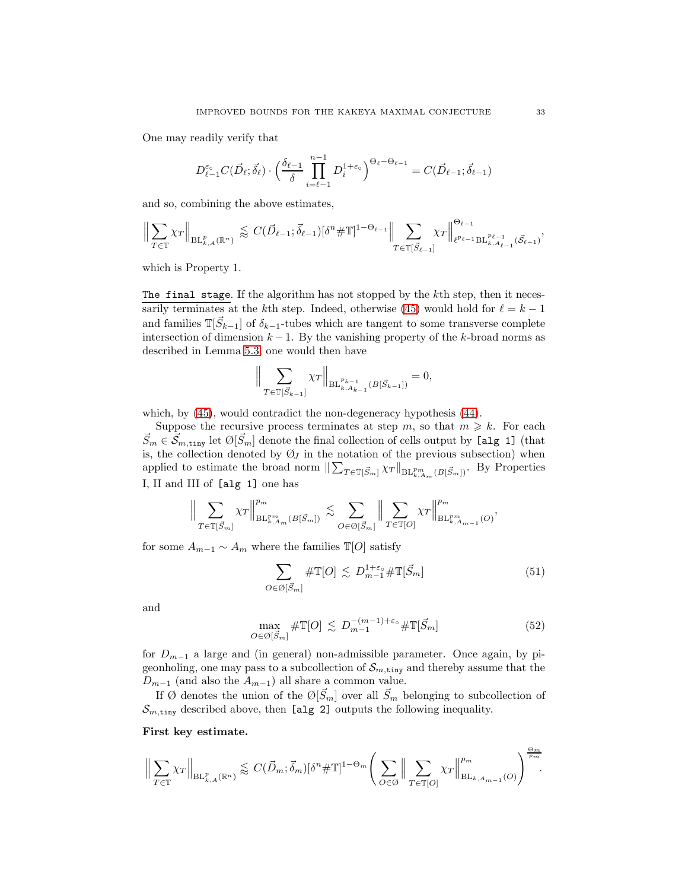One may readily verify that

$$
D_{\ell-1}^{\varepsilon_{\circ}}C(\vec{D}_{\ell};\vec{\delta}_{\ell})\cdot \left(\frac{\delta_{\ell-1}}{\delta}\prod_{i=\ell-1}^{n-1}D_{i}^{1+\varepsilon_{\circ}}\right)^{\Theta_{\ell}-\Theta_{\ell-1}}=C(\vec{D}_{\ell-1};\vec{\delta}_{\ell-1})
$$

and so, combining the above estimates,

$$
\Big\|\sum_{T\in\mathbb{T}}\chi_T\Big\|_{\mathrm{BL}_{k,A}^p(\mathbb{R}^n)}\lesssim C(\vec{D}_{\ell-1};\vec{\delta}_{\ell-1})[\delta^n\#\mathbb{T}]^{1-\Theta_{\ell-1}}\Big\|\sum_{T\in\mathbb{T}[\vec{S}_{\ell-1}]}\chi_T\Big\|_{\ell^{p_{\ell-1}}\mathrm{BL}_{k,A_{\ell-1}}^{p_{\ell-1}}(\vec{S}_{\ell-1})}^{\Theta_{\ell-1}},
$$

which is Property 1.

The final stage. If the algorithm has not stopped by the kth step, then it neces-sarily terminates at the kth step. Indeed, otherwise [\(45\)](#page-30-0) would hold for  $\ell = k - 1$ and families  $\mathbb{T}[\vec{S}_{k-1}]$  of  $\delta_{k-1}$ -tubes which are tangent to some transverse complete intersection of dimension  $k - 1$ . By the vanishing property of the k-broad norms as described in Lemma [5.3,](#page-19-0) one would then have

$$
\Big\| \sum_{T \in \mathbb{T}[\vec{S}_{k-1}]} \chi_T \Big\|_{\mathrm{BL}_{k,A_{k-1}}^{p_{k-1}}(B[\vec{S}_{k-1}])} = 0,
$$

which, by [\(45\)](#page-30-0), would contradict the non-degeneracy hypothesis [\(44\)](#page-29-0).

Suppose the recursive process terminates at step m, so that  $m \geq k$ . For each  $\vec{S}_m \in \vec{\mathcal{S}}_{m,\texttt{tiny}}$  let  $\emptyset[\vec{S}_m]$  denote the final collection of cells output by [alg 1] (that is, the collection denoted by  $\mathcal{O}_J$  in the notation of the previous subsection) when applied to estimate the broad norm  $\|\sum_{T\in\mathbb{T}[\vec{S}_m]} \chi_T\|_{\text{BL}_{k,A_m}^{p_m}(B[\vec{S}_m])}$ . By Properties I, II and III of [alg 1] one has

$$
\Big\| \sum_{T \in \mathbb{T}[\vec{S}_m]} \chi_T \Big\|_{\mathrm{BL}_{k,A_m}^{p_m}(B[\vec{S}_m])}^{p_m} \lesssim \sum_{O \in \mathcal{O}[\vec{S}_m]} \Big\| \sum_{T \in \mathbb{T}[O]} \chi_T \Big\|_{\mathrm{BL}_{k,A_{m-1}}^{p_m}(O)}^{p_m},
$$

for some  $A_{m-1} \sim A_m$  where the families  $\mathbb{T}[O]$  satisfy

<span id="page-33-0"></span>
$$
\sum_{O \in \mathcal{O}[\vec{S}_m]} \# \mathbb{T}[O] \lesssim D_{m-1}^{1+\varepsilon} \# \mathbb{T}[\vec{S}_m]
$$
(51)

and

<span id="page-33-1"></span>
$$
\max_{O \in \mathcal{O}[\vec{S}_m]} \# \mathbb{T}[O] \lesssim D_{m-1}^{-(m-1)+\varepsilon_{\circ}} \# \mathbb{T}[\vec{S}_m]
$$
(52)

for  $D_{m-1}$  a large and (in general) non-admissible parameter. Once again, by pigeonholing, one may pass to a subcollection of  $\mathcal{S}_{m,\text{tiny}}$  and thereby assume that the  $D_{m-1}$  (and also the  $A_{m-1}$ ) all share a common value.

If Ø denotes the union of the  $\mathcal{O}[\vec{S}_m]$  over all  $\vec{S}_m$  belonging to subcollection of  $\mathcal{S}_{m,\text{tiny}}$  described above, then [alg 2] outputs the following inequality.

# First key estimate.

$$
\Big\|\sum_{T\in\mathbb{T}}\chi_T\Big\|_{\mathrm{BL}_{k,A}^p(\mathbb{R}^n)}\lessapprox C(\vec{D}_m;\vec{\delta}_m)[\delta^n\#\mathbb{T}]^{1-\Theta_m}\Bigg(\sum_{O\in\mathcal{O}}\Big\|\sum_{T\in\mathbb{T}[O]}\chi_T\Big\|_{\mathrm{BL}_{k,A_{m-1}}(O)}^{p_m}\Bigg)^{\frac{\Theta_m}{p_m}}.
$$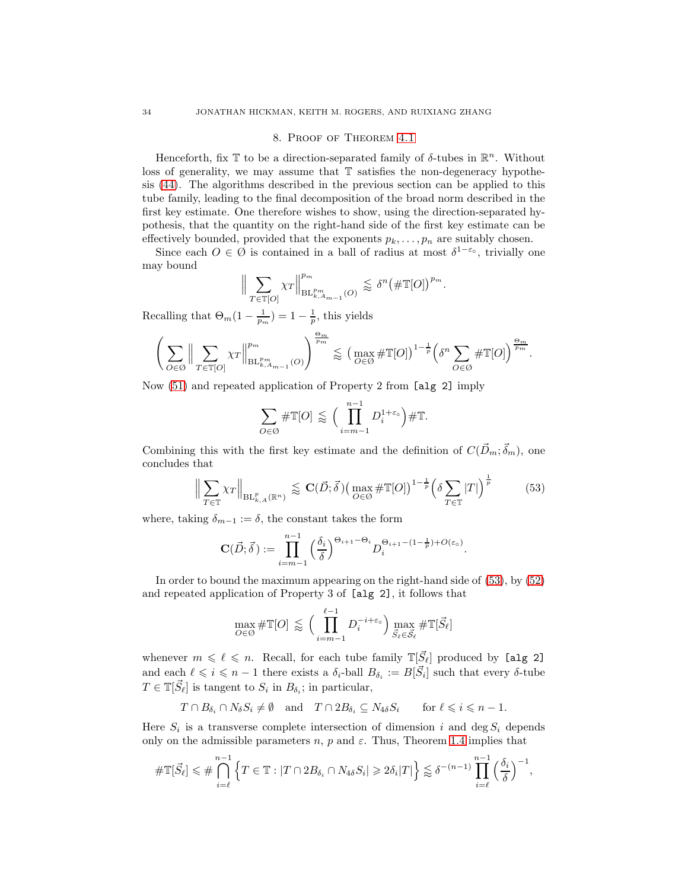#### 8. Proof of Theorem [4.1](#page-16-0)

<span id="page-34-0"></span>Henceforth, fix  $\mathbb T$  to be a direction-separated family of  $\delta$ -tubes in  $\mathbb R^n$ . Without loss of generality, we may assume that T satisfies the non-degeneracy hypothesis [\(44\)](#page-29-0). The algorithms described in the previous section can be applied to this tube family, leading to the final decomposition of the broad norm described in the first key estimate. One therefore wishes to show, using the direction-separated hypothesis, that the quantity on the right-hand side of the first key estimate can be effectively bounded, provided that the exponents  $p_k, \ldots, p_n$  are suitably chosen.

Since each  $O \in \emptyset$  is contained in a ball of radius at most  $\delta^{1-\epsilon_{\circ}}$ , trivially one may bound

$$
\Big\|\sum_{T\in\mathbb{T}[O]} \chi_T \Big\|_{\mathrm{BL}_{k, A_{m-1}}^{p_m}(O)}^{p_m} \lesssim \delta^n \big(\#\mathbb{T}[O]\big)^{p_m}.
$$

Recalling that  $\Theta_m(1-\frac{1}{p_m})=1-\frac{1}{p}$ , this yields

$$
\left(\sum_{O\in\mathcal{O}}\Big\|\sum_{T\in\mathbb{T}[O]}\chi_T\Big\|_{\mathrm{BL}_{k,A_{m-1}}^{p_m}(O)}^{p_m}\right)^{\frac{\Theta_m}{p_m}}\lesssim \left(\max_{O\in\mathcal{O}}\#\mathbb{T}[O]\right)^{1-\frac{1}{p}}\left(\delta^n\sum_{O\in\mathcal{O}}\#\mathbb{T}[O]\right)^{\frac{\Theta_m}{p_m}}.
$$

Now [\(51\)](#page-33-0) and repeated application of Property 2 from [alg 2] imply

$$
\sum_{O \in \emptyset} \# \mathbb{T}[O] \lessapprox \Big( \prod_{i=m-1}^{n-1} D_i^{1+\varepsilon_o} \Big) \# \mathbb{T}.
$$

Combining this with the first key estimate and the definition of  $C(\vec{D}_m; \vec{\delta}_m)$ , one concludes that

<span id="page-34-1"></span>
$$
\left\| \sum_{T \in \mathbb{T}} \chi_T \right\|_{\mathrm{BL}_{k,A}^p(\mathbb{R}^n)} \lessapprox \mathbf{C}(\vec{D}; \vec{\delta}) \left( \max_{O \in \mathcal{O}} \#\mathbb{T}[O] \right)^{1 - \frac{1}{p}} \left( \delta \sum_{T \in \mathbb{T}} |T| \right)^{\frac{1}{p}} \tag{53}
$$

where, taking  $\delta_{m-1} := \delta$ , the constant takes the form

$$
\mathbf{C}(\vec{D};\vec{\delta}) := \prod_{i=m-1}^{n-1} \left(\frac{\delta_i}{\delta}\right)^{\Theta_{i+1}-\Theta_i} D_i^{\Theta_{i+1}-(1-\frac{1}{p})+O(\varepsilon_0)}.
$$

In order to bound the maximum appearing on the right-hand side of [\(53\)](#page-34-1), by [\(52\)](#page-33-1) and repeated application of Property 3 of [alg 2], it follows that

$$
\max_{O \in \mathcal{O}} \# \mathbb{T}[O] \lessapprox \Big( \prod_{i=m-1}^{\ell-1} D_i^{-i+\varepsilon_o} \Big) \max_{\vec{S}_{\ell} \in \vec{\mathcal{S}}_{\ell}} \# \mathbb{T}[\vec{S}_{\ell}]
$$

whenever  $m \leq \ell \leq n$ . Recall, for each tube family  $\mathbb{T}[\vec{S}_{\ell}]$  produced by [alg 2] and each  $\ell \leqslant i \leqslant n-1$  there exists a  $\delta_i$ -ball  $B_{\delta_i} := B[\vec{S}_i]$  such that every  $\delta$ -tube  $T \in \mathbb{T}[\vec{S}_{\ell}]$  is tangent to  $S_i$  in  $B_{\delta_i}$ ; in particular,

$$
T \cap B_{\delta_i} \cap N_{\delta} S_i \neq \emptyset
$$
 and  $T \cap 2B_{\delta_i} \subseteq N_{4\delta} S_i$  for  $\ell \leq i \leq n-1$ .

Here  $S_i$  is a transverse complete intersection of dimension i and deg  $S_i$  depends only on the admissible parameters  $n$ ,  $p$  and  $\varepsilon$ . Thus, Theorem [1.4](#page-3-1) implies that

$$
\#\mathbb{T}[\vec{S}_{\ell}] \leq \#\bigcap_{i=\ell}^{n-1} \left\{ T \in \mathbb{T} : |T \cap 2B_{\delta_i} \cap N_{4\delta} S_i| \geqslant 2\delta_i |T| \right\} \lessapprox \delta^{-(n-1)} \prod_{i=\ell}^{n-1} \left( \frac{\delta_i}{\delta} \right)^{-1},
$$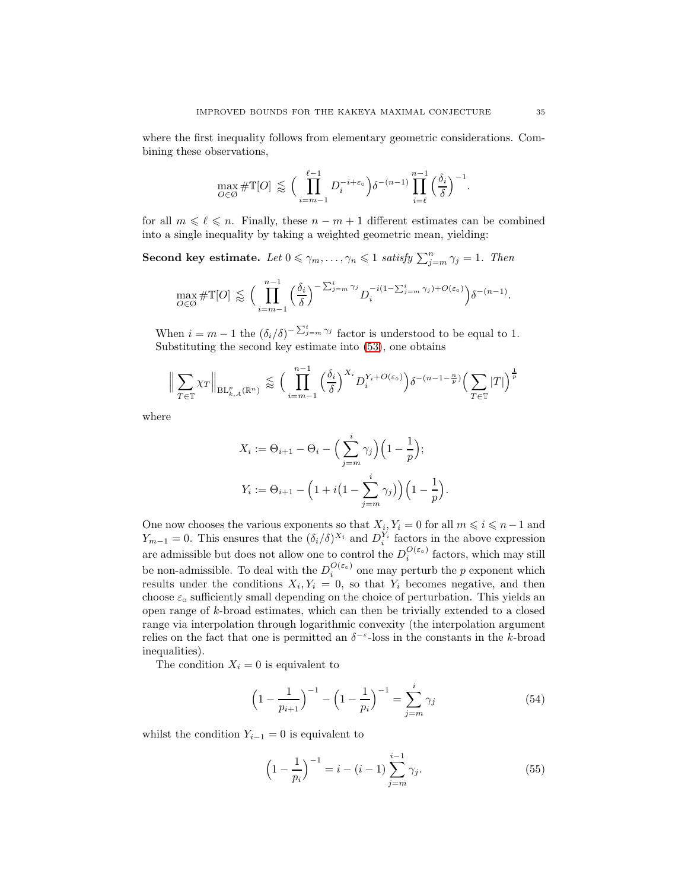where the first inequality follows from elementary geometric considerations. Combining these observations,

$$
\max_{O \in \mathcal{O}} \# \mathbb{T}[O] \lessapprox \Big(\prod_{i=m-1}^{\ell-1} D_i^{-i+\varepsilon_o} \Big) \delta^{-(n-1)} \prod_{i=\ell}^{n-1} \Big(\frac{\delta_i}{\delta}\Big)^{-1}.
$$

for all  $m \leq \ell \leq n$ . Finally, these  $n - m + 1$  different estimates can be combined into a single inequality by taking a weighted geometric mean, yielding:

Second key estimate. Let  $0 \le \gamma_m, \ldots, \gamma_n \le 1$  satisfy  $\sum_{j=m}^n \gamma_j = 1$ . Then

$$
\max_{O \in \mathcal{O}} \# \mathbb{T}[O] \lessapprox \Big( \prod_{i=m-1}^{n-1} \left( \frac{\delta_i}{\delta} \right)^{-\sum_{j=m}^i \gamma_j} D_i^{-i(1-\sum_{j=m}^i \gamma_j) + O(\varepsilon_o)} \Big) \delta^{-(n-1)}.
$$

When  $i = m - 1$  the  $(\delta_i/\delta)^{-\sum_{j=m}^{i} \gamma_j}$  factor is understood to be equal to 1. Substituting the second key estimate into [\(53\)](#page-34-1), one obtains

$$
\Big\| \sum_{T \in \mathbb{T}} \chi_T \Big\|_{\mathrm{BL}_{k,A}^p(\mathbb{R}^n)} \lesssim \Big( \prod_{i=m-1}^{n-1} \Big( \frac{\delta_i}{\delta} \Big)^{X_i} D_i^{Y_i + O(\varepsilon_0)} \Big) \delta^{-(n-1-\frac{n}{p})} \Big( \sum_{T \in \mathbb{T}} |T| \Big)^{\frac{1}{p}}
$$

where

$$
X_i := \Theta_{i+1} - \Theta_i - \left(\sum_{j=m}^i \gamma_j\right) \left(1 - \frac{1}{p}\right);
$$
  

$$
Y_i := \Theta_{i+1} - \left(1 + i\left(1 - \sum_{j=m}^i \gamma_j\right)\right) \left(1 - \frac{1}{p}\right)
$$

One now chooses the various exponents so that  $X_i, Y_i = 0$  for all  $m \leq i \leq n-1$  and  $Y_{m-1} = 0$ . This ensures that the  $(\delta_i/\delta)^{X_i}$  and  $D_i^{Y_i}$  factors in the above expression are admissible but does not allow one to control the  $D_i^{O(\varepsilon_o)}$  factors, which may still be non-admissible. To deal with the  $D_i^{O(\varepsilon_o)}$  $\frac{\partial(\varepsilon_0)}{\partial i}$  one may perturb the p exponent which results under the conditions  $X_i, Y_i = 0$ , so that  $Y_i$  becomes negative, and then choose  $\varepsilon_{\text{o}}$  sufficiently small depending on the choice of perturbation. This yields an open range of k-broad estimates, which can then be trivially extended to a closed range via interpolation through logarithmic convexity (the interpolation argument relies on the fact that one is permitted an  $\delta^{-\epsilon}$ -loss in the constants in the k-broad inequalities).

The condition  $X_i = 0$  is equivalent to

<span id="page-35-1"></span>
$$
\left(1 - \frac{1}{p_{i+1}}\right)^{-1} - \left(1 - \frac{1}{p_i}\right)^{-1} = \sum_{j=m}^{i} \gamma_j \tag{54}
$$

.

whilst the condition  $Y_{i-1} = 0$  is equivalent to

<span id="page-35-0"></span>
$$
\left(1 - \frac{1}{p_i}\right)^{-1} = i - (i - 1) \sum_{j=m}^{i-1} \gamma_j.
$$
 (55)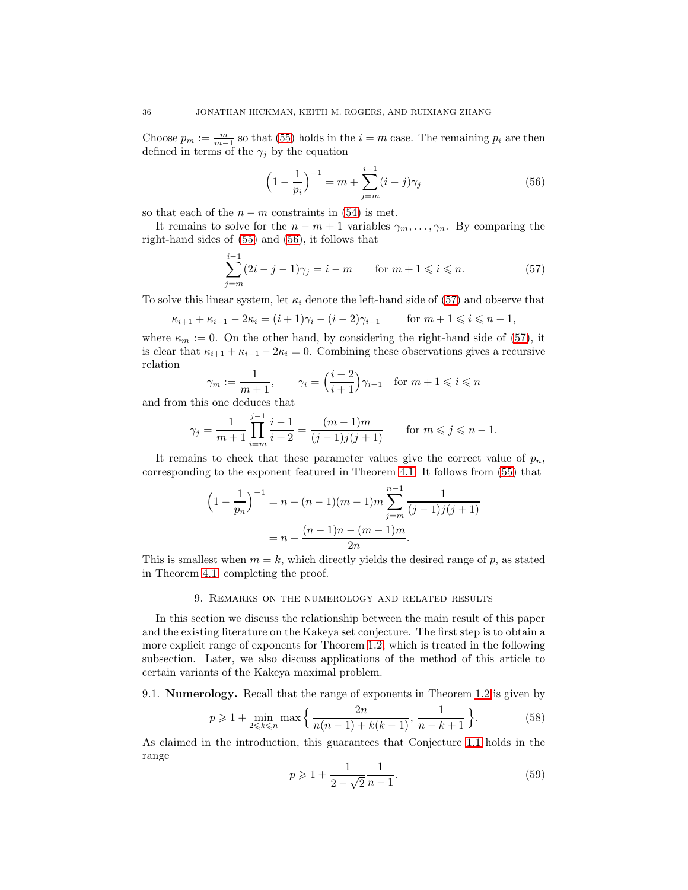Choose  $p_m := \frac{m}{m-1}$  so that [\(55\)](#page-35-0) holds in the  $i = m$  case. The remaining  $p_i$  are then defined in terms of the  $\gamma_j$  by the equation

<span id="page-36-1"></span>
$$
\left(1 - \frac{1}{p_i}\right)^{-1} = m + \sum_{j=m}^{i-1} (i - j)\gamma_j \tag{56}
$$

so that each of the  $n - m$  constraints in [\(54\)](#page-35-1) is met.

It remains to solve for the  $n - m + 1$  variables  $\gamma_m, \ldots, \gamma_n$ . By comparing the right-hand sides of [\(55\)](#page-35-0) and [\(56\)](#page-36-1), it follows that

<span id="page-36-2"></span>
$$
\sum_{j=m}^{i-1} (2i - j - 1)\gamma_j = i - m \qquad \text{for } m+1 \leq i \leq n. \tag{57}
$$

To solve this linear system, let  $\kappa_i$  denote the left-hand side of [\(57\)](#page-36-2) and observe that

$$
\kappa_{i+1} + \kappa_{i-1} - 2\kappa_i = (i+1)\gamma_i - (i-2)\gamma_{i-1}
$$
 for  $m+1 \le i \le n-1$ ,

where  $\kappa_m := 0$ . On the other hand, by considering the right-hand side of [\(57\)](#page-36-2), it is clear that  $\kappa_{i+1} + \kappa_{i-1} - 2\kappa_i = 0$ . Combining these observations gives a recursive relation

$$
\gamma_m := \frac{1}{m+1}, \qquad \gamma_i = \left(\frac{i-2}{i+1}\right)\gamma_{i-1} \quad \text{for } m+1 \leqslant i \leqslant n
$$

and from this one deduces that

$$
\gamma_j = \frac{1}{m+1} \prod_{i=m}^{j-1} \frac{i-1}{i+2} = \frac{(m-1)m}{(j-1)j(j+1)} \quad \text{for } m \leq j \leq n-1.
$$

It remains to check that these parameter values give the correct value of  $p_n$ , corresponding to the exponent featured in Theorem [4.1.](#page-16-0) It follows from [\(55\)](#page-35-0) that

$$
\left(1 - \frac{1}{p_n}\right)^{-1} = n - (n - 1)(m - 1)m \sum_{j=m}^{n-1} \frac{1}{(j-1)j(j+1)}
$$

$$
= n - \frac{(n-1)n - (m-1)m}{2n}.
$$

<span id="page-36-0"></span>This is smallest when  $m = k$ , which directly yields the desired range of p, as stated in Theorem [4.1,](#page-16-0) completing the proof.

### 9. Remarks on the numerology and related results

In this section we discuss the relationship between the main result of this paper and the existing literature on the Kakeya set conjecture. The first step is to obtain a more explicit range of exponents for Theorem [1.2,](#page-2-0) which is treated in the following subsection. Later, we also discuss applications of the method of this article to certain variants of the Kakeya maximal problem.

9.1. Numerology. Recall that the range of exponents in Theorem [1.2](#page-2-0) is given by

<span id="page-36-3"></span>
$$
p \geq 1 + \min_{2 \leq k \leq n} \max\left\{\frac{2n}{n(n-1) + k(k-1)}, \frac{1}{n-k+1}\right\}.
$$
 (58)

As claimed in the introduction, this guarantees that Conjecture [1.1](#page-1-1) holds in the range

<span id="page-36-4"></span>
$$
p \geqslant 1 + \frac{1}{2 - \sqrt{2}} \frac{1}{n - 1}.\tag{59}
$$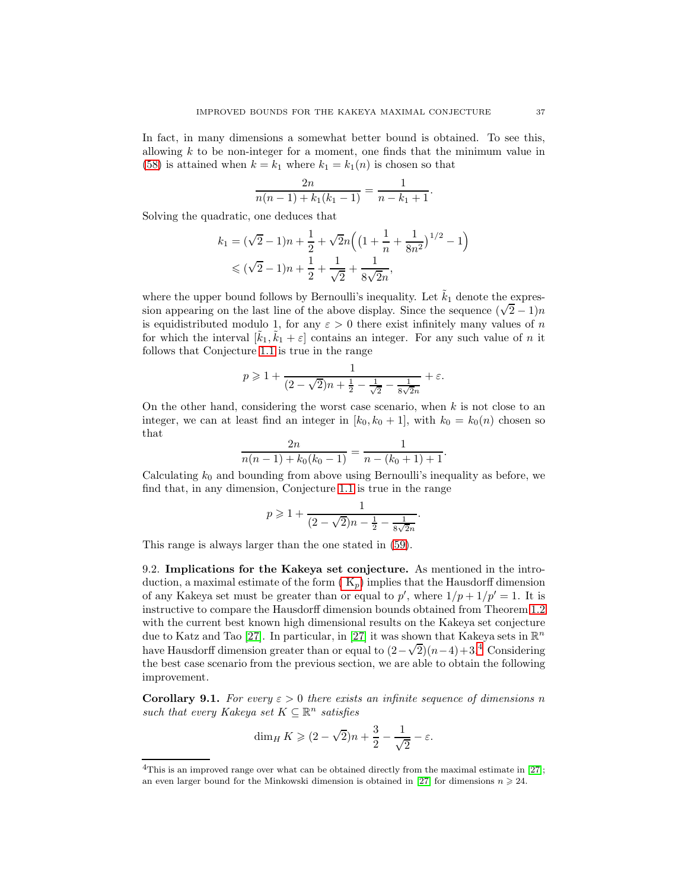In fact, in many dimensions a somewhat better bound is obtained. To see this, allowing  $k$  to be non-integer for a moment, one finds that the minimum value in [\(58\)](#page-36-3) is attained when  $k = k_1$  where  $k_1 = k_1(n)$  is chosen so that

$$
\frac{2n}{n(n-1)+k_1(k_1-1)} = \frac{1}{n-k_1+1}.
$$

Solving the quadratic, one deduces that

$$
k_1 = (\sqrt{2} - 1)n + \frac{1}{2} + \sqrt{2}n\left(\left(1 + \frac{1}{n} + \frac{1}{8n^2}\right)^{1/2} - 1\right)
$$
  
\$\leqslant (\sqrt{2} - 1)n + \frac{1}{2} + \frac{1}{\sqrt{2}} + \frac{1}{8\sqrt{2}n},

where the upper bound follows by Bernoulli's inequality. Let  $\tilde{k}_1$  denote the expression appearing on the last line of the above display. Since the sequence  $(\sqrt{2}-1)n$ is equidistributed modulo 1, for any  $\varepsilon > 0$  there exist infinitely many values of n for which the interval  $[\tilde{k}_1, \tilde{k}_1 + \varepsilon]$  contains an integer. For any such value of n it follows that Conjecture [1.1](#page-1-1) is true in the range

$$
p \geqslant 1 + \frac{1}{(2 - \sqrt{2})n + \frac{1}{2} - \frac{1}{\sqrt{2}} - \frac{1}{8\sqrt{2}n}} + \varepsilon.
$$

On the other hand, considering the worst case scenario, when  $k$  is not close to an integer, we can at least find an integer in  $[k_0, k_0 + 1]$ , with  $k_0 = k_0(n)$  chosen so that  $\Omega$ 

$$
\frac{2n}{n(n-1)+k_0(k_0-1)} = \frac{1}{n-(k_0+1)+1}.
$$

Calculating  $k_0$  and bounding from above using Bernoulli's inequality as before, we find that, in any dimension, Conjecture [1.1](#page-1-1) is true in the range

$$
p \geqslant 1 + \frac{1}{(2 - \sqrt{2})n - \frac{1}{2} - \frac{1}{8\sqrt{2}n}}.
$$

This range is always larger than the one stated in [\(59\)](#page-36-4).

9.2. Implications for the Kakeya set conjecture. As mentioned in the introduction, a maximal estimate of the form  $(K_p)$  implies that the Hausdorff dimension of any Kakeya set must be greater than or equal to  $p'$ , where  $1/p + 1/p' = 1$ . It is instructive to compare the Hausdorff dimension bounds obtained from Theorem [1.2](#page-2-0) with the current best known high dimensional results on the Kakeya set conjecture due to Katz and Tao [\[27\]](#page-42-8). In particular, in [27] it was shown that Kakeya sets in  $\mathbb{R}^n$ have Hausdorff dimension greater than or equal to  $(2-\sqrt{2})(n-4)+3.\frac{4}{3}$  $(2-\sqrt{2})(n-4)+3.\frac{4}{3}$  $(2-\sqrt{2})(n-4)+3.\frac{4}{3}$  Considering the best case scenario from the previous section, we are able to obtain the following improvement.

**Corollary 9.1.** For every  $\varepsilon > 0$  there exists an infinite sequence of dimensions n such that every Kakeya set  $K \subseteq \mathbb{R}^n$  satisfies

$$
\dim_H K \geqslant (2 - \sqrt{2})n + \frac{3}{2} - \frac{1}{\sqrt{2}} - \varepsilon.
$$

<span id="page-37-0"></span><sup>&</sup>lt;sup>4</sup>This is an improved range over what can be obtained directly from the maximal estimate in [\[27\]](#page-42-8); an even larger bound for the Minkowski dimension is obtained in [\[27\]](#page-42-8) for dimensions  $n \geq 24$ .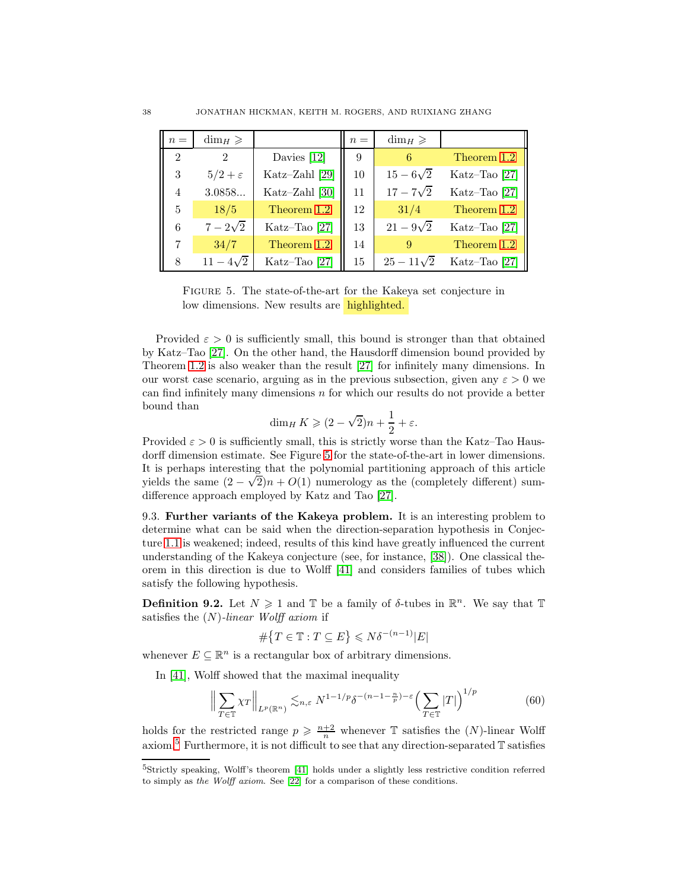<span id="page-38-0"></span>

| $n =$          | $\dim_H \geqslant$ |                | $n =$ | $\dim_H \geq$     |                 |
|----------------|--------------------|----------------|-------|-------------------|-----------------|
| $\mathfrak{D}$ |                    | Davies $[12]$  | 9     | 6                 | Theorem 1.2     |
| 3              | $5/2+\varepsilon$  | Katz-Zahl [29] | 10    | $15 - 6\sqrt{2}$  | Katz-Tao [27]   |
| 4              | 3.0858             | Katz-Zahl [30] | 11    | $17 - 7\sqrt{2}$  | Katz-Tao [27]   |
| $\mathbf{5}$   | 18/5               | Theorem 1.2    | 12    | 31/4              | Theorem 1.2     |
| 6              | $7 - 2\sqrt{2}$    | Katz-Tao [27]  | 13    | $21 - 9\sqrt{2}$  | Katz-Tao $[27]$ |
| 7              | 34/7               | Theorem 1.2    | 14    | 9                 | Theorem 1.2     |
| 8              | $11 - 4\sqrt{2}$   | Katz-Tao [27]  | 15    | $25 - 11\sqrt{2}$ | Katz-Tao [27]   |

Figure 5. The state-of-the-art for the Kakeya set conjecture in low dimensions. New results are highlighted.

Provided  $\varepsilon > 0$  is sufficiently small, this bound is stronger than that obtained by Katz–Tao [\[27\]](#page-42-8). On the other hand, the Hausdorff dimension bound provided by Theorem [1.2](#page-2-0) is also weaker than the result [\[27\]](#page-42-8) for infinitely many dimensions. In our worst case scenario, arguing as in the previous subsection, given any  $\varepsilon > 0$  we can find infinitely many dimensions n for which our results do not provide a better bound than

$$
\dim_H K \geqslant (2 - \sqrt{2})n + \frac{1}{2} + \varepsilon.
$$

Provided  $\varepsilon > 0$  is sufficiently small, this is strictly worse than the Katz–Tao Hausdorff dimension estimate. See Figure [5](#page-38-0) for the state-of-the-art in lower dimensions. It is perhaps interesting that the polynomial partitioning approach of this article yields the same  $(2 - \sqrt{2})n + O(1)$  numerology as the (completely different) sumdifference approach employed by Katz and Tao [\[27\]](#page-42-8).

9.3. Further variants of the Kakeya problem. It is an interesting problem to determine what can be said when the direction-separation hypothesis in Conjecture [1.1](#page-1-1) is weakened; indeed, results of this kind have greatly influenced the current understanding of the Kakeya conjecture (see, for instance, [\[38\]](#page-42-23)). One classical theorem in this direction is due to Wolff [\[41\]](#page-42-2) and considers families of tubes which satisfy the following hypothesis.

**Definition 9.2.** Let  $N \geq 1$  and  $\mathbb{T}$  be a family of  $\delta$ -tubes in  $\mathbb{R}^n$ . We say that  $\mathbb{T}$ satisfies the  $(N)$ -linear Wolff axiom if

$$
\#\big\{T\in\mathbb{T}:T\subseteq E\big\}\leqslant N\delta^{-(n-1)}|E|
$$

whenever  $E \subseteq \mathbb{R}^n$  is a rectangular box of arbitrary dimensions.

In [\[41\]](#page-42-2), Wolff showed that the maximal inequality

<span id="page-38-2"></span>
$$
\left\| \sum_{T \in \mathbb{T}} \chi_T \right\|_{L^p(\mathbb{R}^n)} \lesssim_{n,\varepsilon} N^{1-1/p} \delta^{-(n-1-\frac{n}{p})-\varepsilon} \left( \sum_{T \in \mathbb{T}} |T| \right)^{1/p} \tag{60}
$$

holds for the restricted range  $p \geqslant \frac{n+2}{n}$  whenever  $\mathbb T$  satisfies the  $(N)$ -linear Wolff axiom.<sup>[5](#page-38-1)</sup> Furthermore, it is not difficult to see that any direction-separated  $\mathbb T$  satisfies

<span id="page-38-1"></span><sup>5</sup>Strictly speaking, Wolff's theorem [\[41\]](#page-42-2) holds under a slightly less restrictive condition referred to simply as the Wolff axiom. See [\[22\]](#page-42-11) for a comparison of these conditions.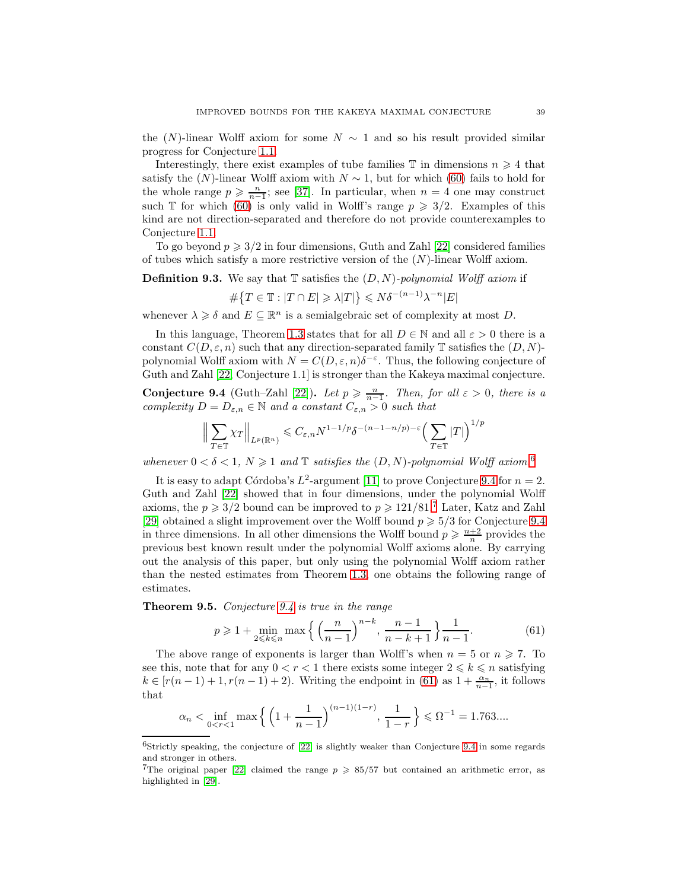the  $(N)$ -linear Wolff axiom for some  $N \sim 1$  and so his result provided similar progress for Conjecture [1.1.](#page-1-1)

Interestingly, there exist examples of tube families  $\mathbb T$  in dimensions  $n \geq 4$  that satisfy the  $(N)$ -linear Wolff axiom with  $N \sim 1$ , but for which [\(60\)](#page-38-2) fails to hold for the whole range  $p \geq \frac{n}{n-1}$ ; see [\[37\]](#page-42-24). In particular, when  $n = 4$  one may construct such T for which [\(60\)](#page-38-2) is only valid in Wolff's range  $p \geq 3/2$ . Examples of this kind are not direction-separated and therefore do not provide counterexamples to Conjecture [1.1.](#page-1-1)

To go beyond  $p \geq 3/2$  in four dimensions, Guth and Zahl [\[22\]](#page-42-11) considered families of tubes which satisfy a more restrictive version of the  $(N)$ -linear Wolff axiom.

**Definition 9.3.** We say that  $\mathbb{T}$  satisfies the  $(D, N)$ -polynomial Wolff axiom if

$$
\#\big\{T\in\mathbb{T}:|T\cap E|\geqslant\lambda|T|\big\}\leqslant N\delta^{-(n-1)}\lambda^{-n}|E|
$$

whenever  $\lambda \geq \delta$  and  $E \subseteq \mathbb{R}^n$  is a semialgebraic set of complexity at most D.

In this language, Theorem [1.3](#page-3-0) states that for all  $D \in \mathbb{N}$  and all  $\varepsilon > 0$  there is a constant  $C(D, \varepsilon, n)$  such that any direction-separated family T satisfies the  $(D, N)$ polynomial Wolff axiom with  $N = C(D, \varepsilon, n)\delta^{-\varepsilon}$ . Thus, the following conjecture of Guth and Zahl [\[22,](#page-42-11) Conjecture 1.1] is stronger than the Kakeya maximal conjecture.

<span id="page-39-1"></span>**Conjecture 9.4** (Guth–Zahl [\[22\]](#page-42-11)). Let  $p \ge \frac{n}{n-1}$ . Then, for all  $\varepsilon > 0$ , there is a complexity  $D = D_{\varepsilon,n} \in \mathbb{N}$  and a constant  $C_{\varepsilon,n} > 0$  such that

$$
\left\| \sum_{T \in \mathbb{T}} \chi_T \right\|_{L^p(\mathbb{R}^n)} \leqslant C_{\varepsilon,n} N^{1-1/p} \delta^{-(n-1-n/p)-\varepsilon} \left( \sum_{T \in \mathbb{T}} |T| \right)^{1/p}
$$

whenever  $0 < \delta < 1$ ,  $N \geq 1$  and  $\mathbb T$  satisfies the  $(D, N)$ -polynomial Wolff axiom.<sup>[6](#page-39-0)</sup>

It is easy to adapt Córdoba's  $L^2$ -argument [\[11\]](#page-41-2) to prove Conjecture [9.4](#page-39-1) for  $n = 2$ . Guth and Zahl [\[22\]](#page-42-11) showed that in four dimensions, under the polynomial Wolff axioms, the  $p \geq 3/2$  bound can be improved to  $p \geq 121/81$ .<sup>[7](#page-39-2)</sup> Later, Katz and Zahl [\[29\]](#page-42-9) obtained a slight improvement over the Wolff bound  $p \geq 5/3$  for Conjecture [9.4](#page-39-1) in three dimensions. In all other dimensions the Wolff bound  $p \geq \frac{n+2}{n}$  provides the previous best known result under the polynomial Wolff axioms alone. By carrying out the analysis of this paper, but only using the polynomial Wolff axiom rather than the nested estimates from Theorem [1.3,](#page-3-0) one obtains the following range of estimates.

<span id="page-39-4"></span>Theorem 9.5. Conjecture [9.4](#page-39-1) is true in the range

<span id="page-39-3"></span>
$$
p \geqslant 1 + \min_{2 \leqslant k \leqslant n} \max \left\{ \left( \frac{n}{n-1} \right)^{n-k}, \frac{n-1}{n-k+1} \right\} \frac{1}{n-1}.
$$
 (61)

The above range of exponents is larger than Wolff's when  $n = 5$  or  $n \ge 7$ . To see this, note that for any  $0 < r < 1$  there exists some integer  $2 \leq k \leq n$  satisfying  $k \in [r(n-1)+1, r(n-1)+2)$ . Writing the endpoint in [\(61\)](#page-39-3) as  $1+\frac{\alpha_n}{n-1}$ , it follows that

$$
\alpha_n < \inf_{0 < r < 1} \max \left\{ \left( 1 + \frac{1}{n-1} \right)^{(n-1)(1-r)}, \frac{1}{1-r} \right\} \leq \Omega^{-1} = 1.763...
$$

<span id="page-39-0"></span> $6$ Strictly speaking, the conjecture of  $[22]$  is slightly weaker than Conjecture [9.4](#page-39-1) in some regards and stronger in others.

<span id="page-39-2"></span><sup>&</sup>lt;sup>7</sup>The original paper [\[22\]](#page-42-11) claimed the range  $p \ge 85/57$  but contained an arithmetic error, as highlighted in [\[29\]](#page-42-9).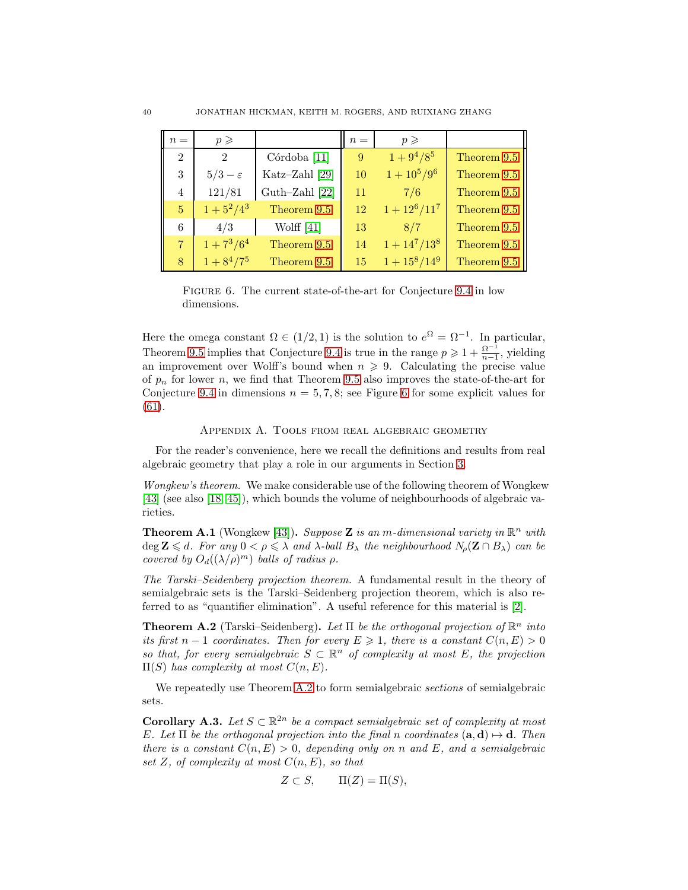<span id="page-40-3"></span>

| $n =$          | $p \geqslant$               |                         | $n =$ | $p \geqslant$   |             |
|----------------|-----------------------------|-------------------------|-------|-----------------|-------------|
| $\overline{2}$ | $\mathcal{D}_{\mathcal{L}}$ | Córdoba <sup>[11]</sup> | 9     | $1+9^4/8^5$     | Theorem 9.5 |
| 3              | $5/3-\varepsilon$           | Katz-Zahl [29]          | 10    | $1+10^5/9^6$    | Theorem 9.5 |
| 4              | 121/81                      | Guth-Zahl $[22]$        | 11    | 7/6             | Theorem 9.5 |
| 5 <sup>1</sup> | $1+5^2/4^3$                 | Theorem 9.5             | 12    | $1+12^6/11^7$   | Theorem 9.5 |
| 6              | 4/3                         | Wolff $[41]$            | 13    | 8/7             | Theorem 9.5 |
| $7 -$          | $1+7^3/6^4$                 | Theorem 9.5             | 14    | $1 + 14^7/13^8$ | Theorem 9.5 |
| 8              | $1+8^4/7^5$                 | Theorem 9.5             | 15    | $1+15^8/14^9$   | Theorem 9.5 |

Figure 6. The current state-of-the-art for Conjecture [9.4](#page-39-1) in low dimensions.

Here the omega constant  $\Omega \in (1/2, 1)$  is the solution to  $e^{\Omega} = \Omega^{-1}$ . In particular, Theorem [9.5](#page-39-4) implies that Conjecture [9.4](#page-39-1) is true in the range  $p \geqslant 1 + \frac{\Omega^{-1}}{n-1}$  $\frac{\Omega}{n-1}$ , yielding an improvement over Wolff's bound when  $n \geq 9$ . Calculating the precise value of  $p_n$  for lower n, we find that Theorem [9.5](#page-39-4) also improves the state-of-the-art for Conjecture [9.4](#page-39-1) in dimensions  $n = 5, 7, 8$ ; see Figure [6](#page-40-3) for some explicit values for [\(61\)](#page-39-3).

# Appendix A. Tools from real algebraic geometry

For the reader's convenience, here we recall the definitions and results from real algebraic geometry that play a role in our arguments in Section [3.](#page-4-2)

Wongkew's theorem. We make considerable use of the following theorem of Wongkew [\[43\]](#page-42-16) (see also [\[18,](#page-41-12) [45\]](#page-42-25)), which bounds the volume of neighbourhoods of algebraic varieties.

<span id="page-40-0"></span>**Theorem A.1** (Wongkew [\[43\]](#page-42-16)). Suppose **Z** is an m-dimensional variety in  $\mathbb{R}^n$  with deg  $\mathbf{Z} \leq d$ . For any  $0 < \rho \leq \lambda$  and  $\lambda$ -ball  $B_{\lambda}$  the neighbourhood  $N_{\rho}(\mathbf{Z} \cap B_{\lambda})$  can be covered by  $O_d((\lambda/\rho)^m)$  balls of radius  $\rho$ .

The Tarski–Seidenberg projection theorem. A fundamental result in the theory of semialgebraic sets is the Tarski–Seidenberg projection theorem, which is also referred to as "quantifier elimination". A useful reference for this material is [\[2\]](#page-41-17).

<span id="page-40-1"></span>**Theorem A.2** (Tarski–Seidenberg). Let  $\Pi$  be the orthogonal projection of  $\mathbb{R}^n$  into its first  $n-1$  coordinates. Then for every  $E \geq 1$ , there is a constant  $C(n, E) > 0$ so that, for every semialgebraic  $S \subset \mathbb{R}^n$  of complexity at most E, the projection  $\Pi(S)$  has complexity at most  $C(n, E)$ .

We repeatedly use Theorem [A.2](#page-40-1) to form semialgebraic *sections* of semialgebraic sets.

<span id="page-40-2"></span>**Corollary A.3.** Let  $S \subset \mathbb{R}^{2n}$  be a compact semialgebraic set of complexity at most E. Let  $\Pi$  be the orthogonal projection into the final n coordinates  $(\mathbf{a}, \mathbf{d}) \mapsto \mathbf{d}$ . Then there is a constant  $C(n, E) > 0$ , depending only on n and E, and a semialgebraic set Z, of complexity at most  $C(n, E)$ , so that

$$
Z \subset S, \qquad \Pi(Z) = \Pi(S),
$$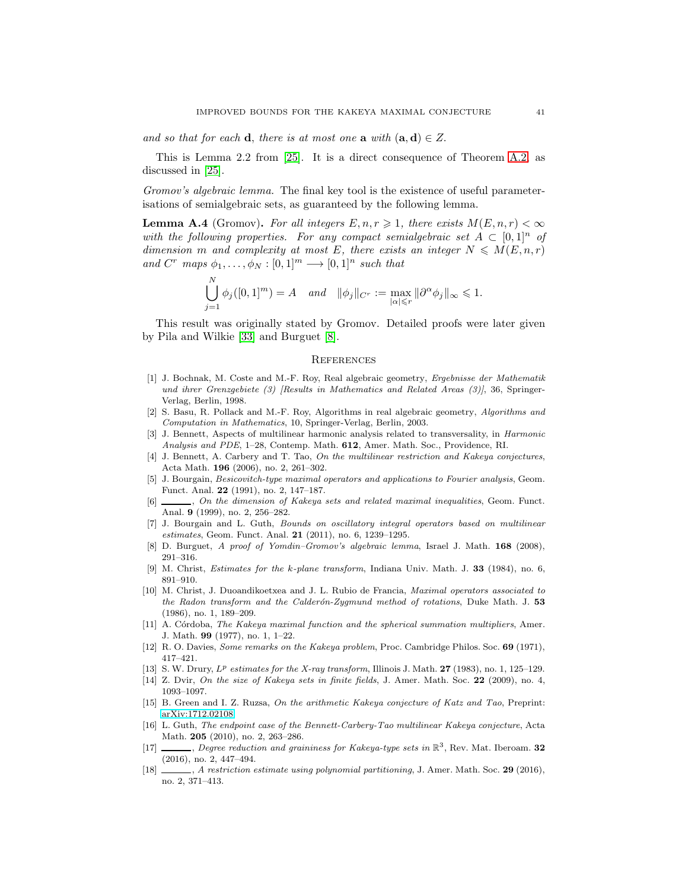and so that for each **d**, there is at most one **a** with  $(a, d) \in Z$ .

This is Lemma 2.2 from [\[25\]](#page-42-15). It is a direct consequence of Theorem [A.2,](#page-40-1) as discussed in [\[25\]](#page-42-15).

Gromov's algebraic lemma. The final key tool is the existence of useful parameterisations of semialgebraic sets, as guaranteed by the following lemma.

<span id="page-41-15"></span>**Lemma A.4** (Gromov). For all integers  $E, n, r \geq 1$ , there exists  $M(E, n, r) < \infty$ with the following properties. For any compact semialgebraic set  $A \subset [0,1]^n$  of dimension m and complexity at most E, there exists an integer  $N \leq M(E, n, r)$ and  $C^r$  maps  $\phi_1, \ldots, \phi_N : [0,1]^m \longrightarrow [0,1]^n$  such that

$$
\bigcup_{j=1}^N \phi_j([0,1]^m) = A \quad \text{and} \quad \|\phi_j\|_{C^r} := \max_{|\alpha| \leq r} \|\partial^\alpha \phi_j\|_\infty \leq 1.
$$

This result was originally stated by Gromov. Detailed proofs were later given by Pila and Wilkie [\[33\]](#page-42-26) and Burguet [\[8\]](#page-41-18).

#### **REFERENCES**

- <span id="page-41-14"></span>[1] J. Bochnak, M. Coste and M.-F. Roy, Real algebraic geometry, Ergebnisse der Mathematik und ihrer Grenzgebiete (3) [Results in Mathematics and Related Areas (3)], 36, Springer-Verlag, Berlin, 1998.
- <span id="page-41-17"></span>[2] S. Basu, R. Pollack and M.-F. Roy, Algorithms in real algebraic geometry, Algorithms and Computation in Mathematics, 10, Springer-Verlag, Berlin, 2003.
- <span id="page-41-16"></span>[3] J. Bennett, Aspects of multilinear harmonic analysis related to transversality, in Harmonic Analysis and PDE, 1–28, Contemp. Math. 612, Amer. Math. Soc., Providence, RI.
- <span id="page-41-7"></span>[4] J. Bennett, A. Carbery and T. Tao, On the multilinear restriction and Kakeya conjectures, Acta Math. 196 (2006), no. 2, 261–302.
- <span id="page-41-0"></span>[5] J. Bourgain, Besicovitch-type maximal operators and applications to Fourier analysis, Geom. Funct. Anal. 22 (1991), no. 2, 147–187.
- <span id="page-41-6"></span>[6]  $\ldots$ , On the dimension of Kakeya sets and related maximal inequalities, Geom. Funct. Anal. 9 (1999), no. 2, 256–282.
- <span id="page-41-13"></span>[7] J. Bourgain and L. Guth, Bounds on oscillatory integral operators based on multilinear estimates, Geom. Funct. Anal. 21 (2011), no. 6, 1239–1295.
- <span id="page-41-18"></span><span id="page-41-4"></span>[8] D. Burguet, A proof of Yomdin–Gromov's algebraic lemma, Israel J. Math. 168 (2008), 291–316.
- <span id="page-41-5"></span>[9] M. Christ, Estimates for the k-plane transform, Indiana Univ. Math. J. 33 (1984), no. 6, 891–910.
- [10] M. Christ, J. Duoandikoetxea and J. L. Rubio de Francia, Maximal operators associated to the Radon transform and the Calderón-Zygmund method of rotations, Duke Math. J.  $53$ (1986), no. 1, 189–209.
- <span id="page-41-2"></span>[11] A. Córdoba, The Kakeya maximal function and the spherical summation multipliers, Amer. J. Math. 99 (1977), no. 1, 1–22.
- <span id="page-41-3"></span><span id="page-41-1"></span>[12] R. O. Davies, Some remarks on the Kakeya problem, Proc. Cambridge Philos. Soc. 69 (1971), 417–421.
- <span id="page-41-8"></span>[13] S. W. Drury,  $L^p$  estimates for the X-ray transform, Illinois J. Math. 27 (1983), no. 1, 125–129.
- [14] Z. Dvir, On the size of Kakeya sets in finite fields, J. Amer. Math. Soc. 22 (2009), no. 4, 1093–1097.
- <span id="page-41-11"></span>[15] B. Green and I. Z. Ruzsa, On the arithmetic Kakeya conjecture of Katz and Tao, Preprint: [arXiv:1712.02108.](http://arxiv.org/abs/1712.02108)
- <span id="page-41-9"></span>[16] L. Guth, The endpoint case of the Bennett-Carbery-Tao multilinear Kakeya conjecture, Acta Math. 205 (2010), no. 2, 263–286.
- <span id="page-41-10"></span>[17]  $\_\_\_\_\_$ , Degree reduction and graininess for Kakeya-type sets in  $\mathbb{R}^3$ , Rev. Mat. Iberoam. 32 (2016), no. 2, 447–494.
- <span id="page-41-12"></span>[18] , A restriction estimate using polynomial partitioning, J. Amer. Math. Soc. 29 (2016), no. 2, 371–413.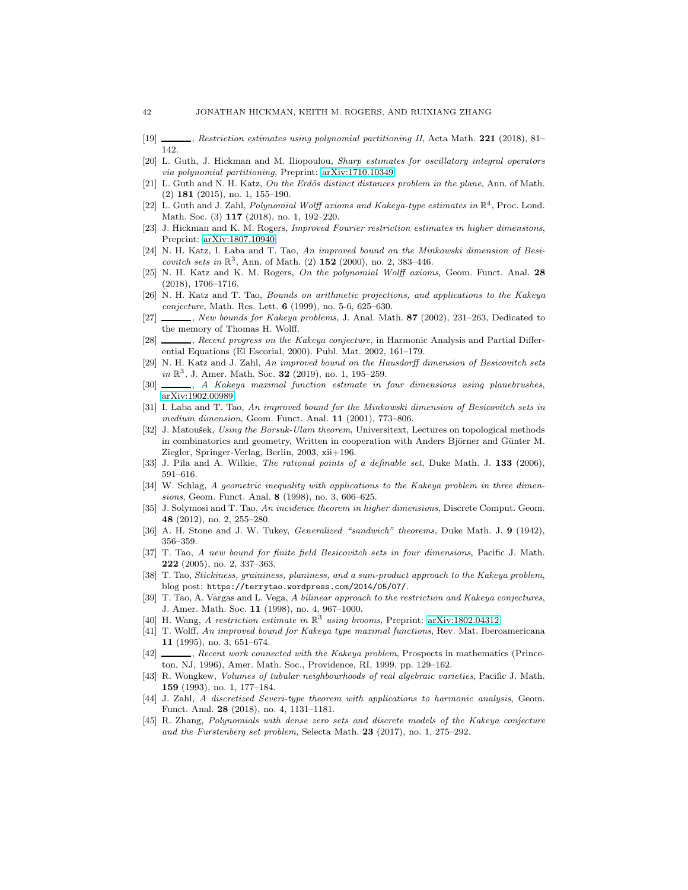- <span id="page-42-18"></span>[19] , Restriction estimates using polynomial partitioning II, Acta Math. 221 (2018), 81– 142.
- [20] L. Guth, J. Hickman and M. Iliopoulou, Sharp estimates for oscillatory integral operators via polynomial partitioning, Preprint: [arXiv:1710.10349.](http://arxiv.org/abs/1710.10349)
- <span id="page-42-12"></span> $[21]$  L. Guth and N. H. Katz, On the Erdös distinct distances problem in the plane, Ann. of Math.  $(2)$  181  $(2015)$ , no. 1, 155–190.
- <span id="page-42-11"></span>[22] L. Guth and J. Zahl, Polynomial Wolff axioms and Kakeya-type estimates in  $\mathbb{R}^4$ , Proc. Lond. Math. Soc. (3) 117 (2018), no. 1, 192–220.
- <span id="page-42-17"></span>[23] J. Hickman and K. M. Rogers, Improved Fourier restriction estimates in higher dimensions, Preprint: [arXiv:1807.10940.](http://arxiv.org/abs/1807.10940)
- <span id="page-42-6"></span>[24] N. H. Katz, I. Laba and T. Tao, An improved bound on the Minkowski dimension of Besicovitch sets in  $\mathbb{R}^3$ , Ann. of Math. (2) 152 (2000), no. 2, 383-446.
- <span id="page-42-15"></span>[25] N. H. Katz and K. M. Rogers, On the polynomial Wolff axioms, Geom. Funct. Anal. 28 (2018), 1706–1716.
- <span id="page-42-5"></span>[26] N. H. Katz and T. Tao, Bounds on arithmetic projections, and applications to the Kakeya conjecture, Math. Res. Lett. 6 (1999), no. 5-6, 625–630.
- <span id="page-42-8"></span>[27]  $\_\_\_\_\_\_\_\_\_\_\_\_\_\_\_\_\_\_\_\_\_\_\_\_\_\_\_\_\_\_\_\_\_\.\_A$ . Anal. Math. 87 (2002), 231–263, Dedicated to the memory of Thomas H. Wolff.
- <span id="page-42-1"></span>[28]  $\_\_\_\_\$ , Recent progress on the Kakeya conjecture, in Harmonic Analysis and Partial Differential Equations (El Escorial, 2000). Publ. Mat. 2002, 161–179.
- <span id="page-42-9"></span>[29] N. H. Katz and J. Zahl, An improved bound on the Hausdorff dimension of Besicovitch sets  $in \mathbb{R}^3$ , J. Amer. Math. Soc.  $32(2019)$ , no. 1, 195-259.
- <span id="page-42-10"></span><span id="page-42-7"></span>[30]  $\_\_\_\_\$ , A Kakeya maximal function estimate in four dimensions using planebrushes, [arXiv:1902.00989.](http://arxiv.org/abs/1902.00989)
- [31] I. Laba and T. Tao, An improved bound for the Minkowski dimension of Besicovitch sets in medium dimension, Geom. Funct. Anal. 11 (2001), 773–806.
- <span id="page-42-21"></span>[32] J. Matoušek, Using the Borsuk-Ulam theorem, Universitext, Lectures on topological methods in combinatorics and geometry, Written in cooperation with Anders Björner and Günter M. Ziegler, Springer-Verlag, Berlin, 2003, xii+196.
- <span id="page-42-26"></span><span id="page-42-3"></span>[33] J. Pila and A. Wilkie, *The rational points of a definable set*, Duke Math. J. 133 (2006), 591–616.
- [34] W. Schlag, A geometric inequality with applications to the Kakeya problem in three dimensions, Geom. Funct. Anal. **8** (1998), no. 3, 606–625.
- <span id="page-42-22"></span>[35] J. Solymosi and T. Tao, An incidence theorem in higher dimensions, Discrete Comput. Geom. 48 (2012), no. 2, 255–280.
- <span id="page-42-24"></span><span id="page-42-20"></span>[36] A. H. Stone and J. W. Tukey, Generalized "sandwich" theorems, Duke Math. J. 9 (1942), 356–359.
- [37] T. Tao, A new bound for finite field Besicovitch sets in four dimensions, Pacific J. Math. 222 (2005), no. 2, 337–363.
- <span id="page-42-23"></span>[38] T. Tao, Stickiness, graininess, planiness, and a sum-product approach to the Kakeya problem, blog post: https://terrytao.wordpress.com/2014/05/07/.
- <span id="page-42-4"></span>[39] T. Tao, A. Vargas and L. Vega, A bilinear approach to the restriction and Kakeya conjectures, J. Amer. Math. Soc. 11 (1998), no. 4, 967–1000.
- <span id="page-42-19"></span><span id="page-42-2"></span>[40] H. Wang, A restriction estimate in  $\mathbb{R}^3$  using brooms, Preprint: [arXiv:1802.04312.](http://arxiv.org/abs/1802.04312)
- [41] T. Wolff, An improved bound for Kakeya type maximal functions, Rev. Mat. Iberoamericana 11 (1995), no. 3, 651–674.
- <span id="page-42-0"></span>[42]  $\ldots$ , Recent work connected with the Kakeya problem, Prospects in mathematics (Princeton, NJ, 1996), Amer. Math. Soc., Providence, RI, 1999, pp. 129–162.
- <span id="page-42-16"></span>[43] R. Wongkew, Volumes of tubular neighbourhoods of real algebraic varieties, Pacific J. Math. 159 (1993), no. 1, 177–184.
- <span id="page-42-14"></span>[44] J. Zahl, A discretized Severi-type theorem with applications to harmonic analysis, Geom. Funct. Anal. 28 (2018), no. 4, 1131–1181.
- <span id="page-42-25"></span>[45] R. Zhang, Polynomials with dense zero sets and discrete models of the Kakeya conjecture and the Furstenberg set problem, Selecta Math. 23 (2017), no. 1, 275–292.

<span id="page-42-13"></span>